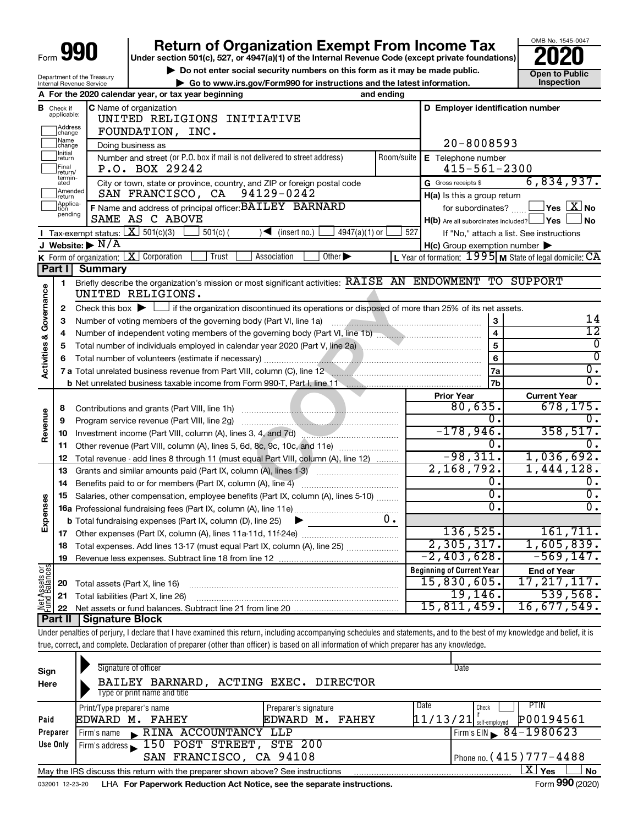| ⊦orm | OI | ſ |
|------|----|---|
|      |    |   |

# **990** Return of Organization Exempt From Income Tax <br>
Under section 501(c), 527, or 4947(a)(1) of the Internal Revenue Code (except private foundations)<br> **PO20**

▶ Do not enter social security numbers on this form as it may be made public.<br>
▶ Go to www.irs.gov/Form990 for instructions and the latest information. **Department in the latest** information. **| Go to www.irs.gov/Form990 for instructions and the latest information. Inspection**



Department of the Treasury Internal Revenue Service

|                         |                               | A For the 2020 calendar year, or tax year beginning                                                                                                                        | and ending     |                                                     |                                                                        |
|-------------------------|-------------------------------|----------------------------------------------------------------------------------------------------------------------------------------------------------------------------|----------------|-----------------------------------------------------|------------------------------------------------------------------------|
|                         | <b>B</b> Check if applicable: | <b>C</b> Name of organization<br>UNITED RELIGIONS INITIATIVE                                                                                                               |                | D Employer identification number                    |                                                                        |
|                         | Address<br>change             | FOUNDATION, INC.                                                                                                                                                           |                |                                                     |                                                                        |
|                         | Name<br> change               | Doing business as                                                                                                                                                          |                | $20 - 8008593$                                      |                                                                        |
|                         | Initial<br>return             | Number and street (or P.O. box if mail is not delivered to street address)                                                                                                 | Room/suite     | E Telephone number                                  |                                                                        |
|                         | Final<br> return/             | P.O. BOX 29242                                                                                                                                                             |                | $415 - 561 - 2300$                                  |                                                                        |
|                         | termin-<br>ated               | City or town, state or province, country, and ZIP or foreign postal code                                                                                                   |                | G Gross receipts \$                                 | 6,834,937.                                                             |
|                         | Amended<br>return             | SAN FRANCISCO, CA 94129-0242                                                                                                                                               |                | H(a) Is this a group return                         |                                                                        |
|                         | Applica-<br>Ition             | F Name and address of principal officer: BAILEY BARNARD                                                                                                                    |                | for subordinates?                                   | $\blacksquare$ Yes $\boxed{\text{X}}$ No                               |
|                         | pending                       | SAME AS C ABOVE                                                                                                                                                            |                | $H(b)$ Are all subordinates included? $\Box$ Yes    | ⊿ No                                                                   |
|                         |                               | Tax-exempt status: $X \overline{301(c)(3)}$<br>$501(c)$ (<br>$4947(a)(1)$ or<br>$\sqrt{\frac{1}{1}}$ (insert no.)                                                          | 527            |                                                     | If "No," attach a list. See instructions                               |
|                         |                               | J Website: $\triangleright$ N/A                                                                                                                                            |                | $H(c)$ Group exemption number $\blacktriangleright$ |                                                                        |
|                         |                               | <b>K</b> Form of organization: $\boxed{\mathbf{X}}$ Corporation<br>Trust<br>Other $\blacktriangleright$<br>Association                                                     |                |                                                     | L Year of formation: $1995$ M State of legal domicile: $\overline{CA}$ |
|                         | Part I                        | <b>Summary</b>                                                                                                                                                             |                |                                                     |                                                                        |
|                         | 1                             | Briefly describe the organization's mission or most significant activities: RAISE AN ENDOWMENT TO SUPPORT                                                                  |                |                                                     |                                                                        |
| Governance              |                               | UNITED RELIGIONS.                                                                                                                                                          |                |                                                     |                                                                        |
|                         | 2                             | Check this box $\blacktriangleright \Box$ if the organization discontinued its operations or disposed of more than 25% of its net assets.                                  |                |                                                     |                                                                        |
|                         | з                             |                                                                                                                                                                            |                | 3                                                   | 14<br>$\overline{12}$                                                  |
|                         | 4                             |                                                                                                                                                                            |                | $\overline{\mathbf{4}}$<br>$\overline{5}$           | 0                                                                      |
|                         | 5                             |                                                                                                                                                                            | $6\phantom{a}$ | $\overline{0}$                                      |                                                                        |
| <b>Activities &amp;</b> | 6                             |                                                                                                                                                                            |                |                                                     | $\overline{0}$ .                                                       |
|                         |                               | 7 a Total unrelated business revenue from Part VIII, column (C), line 12 <b>Column Contract Contract Contract Contract</b>                                                 |                | <b>7a</b><br>7b                                     | $\overline{0}$ .                                                       |
|                         |                               |                                                                                                                                                                            |                | <b>Prior Year</b>                                   | <b>Current Year</b>                                                    |
|                         | 8                             |                                                                                                                                                                            |                | 80,635.                                             | 678, 175.                                                              |
| Revenue                 | 9                             | Program service revenue (Part VIII, line 2g)                                                                                                                               |                | 0.                                                  |                                                                        |
|                         | 10                            | Investment income (Part VIII, column (A), lines 3, 4, and 7d)                                                                                                              |                | $-178,946.$                                         | 358,517.                                                               |
|                         | 11                            | Other revenue (Part VIII, column (A), lines 5, 6d, 8c, 9c, 10c, and 11e)                                                                                                   |                | 0.                                                  |                                                                        |
|                         | 12                            | Total revenue - add lines 8 through 11 (must equal Part VIII, column (A), line 12)                                                                                         |                | $-98, 311.$                                         | 1,036,692.                                                             |
|                         | 13                            | Grants and similar amounts paid (Part IX, column (A), lines 1-3)                                                                                                           |                | 2,168,792.                                          | 1,444,128.                                                             |
|                         | 14                            | Benefits paid to or for members (Part IX, column (A), line 4)                                                                                                              |                | Ο.                                                  | υ.                                                                     |
|                         | 15                            | Salaries, other compensation, employee benefits (Part IX, column (A), lines 5-10)                                                                                          |                | σ.                                                  | $\overline{0}$ .                                                       |
| Expenses                |                               |                                                                                                                                                                            |                | О.                                                  | $\overline{0}$ .                                                       |
|                         |                               | <b>b</b> Total fundraising expenses (Part IX, column (D), line 25) $\blacktriangleright$                                                                                   | 0.             |                                                     |                                                                        |
|                         | 17                            |                                                                                                                                                                            |                | 136, 525.                                           | 161, 711.                                                              |
|                         |                               | 18 Total expenses. Add lines 13-17 (must equal Part IX, column (A), line 25)                                                                                               |                | 2,305,317.                                          | 1,605,839.                                                             |
|                         | 19                            | Revenue less expenses. Subtract line 18 from line 12                                                                                                                       |                | 2,403,628.                                          | 569, 147.                                                              |
| Net Assets or           |                               |                                                                                                                                                                            |                | <b>Beginning of Current Year</b>                    | <b>End of Year</b>                                                     |
|                         | 20                            | Total assets (Part X, line 16)                                                                                                                                             |                | 15,830,605.                                         | 17, 217, 117.                                                          |
|                         | 21                            | Total liabilities (Part X, line 26)                                                                                                                                        |                | 19,146.                                             | 539,568.                                                               |
|                         | 22                            |                                                                                                                                                                            |                | 15,811,459.                                         | 16,677,549.                                                            |
|                         | Part II                       | <b>Signature Block</b>                                                                                                                                                     |                |                                                     |                                                                        |
|                         |                               | Under penalties of perjury, I declare that I have examined this return, including accompanying schedules and statements, and to the best of my knowledge and belief, it is |                |                                                     |                                                                        |
|                         |                               | true, correct, and complete. Declaration of preparer (other than officer) is based on all information of which preparer has any knowledge.                                 |                |                                                     |                                                                        |
|                         |                               |                                                                                                                                                                            |                |                                                     |                                                                        |

| Sign                                                                                                             | Signature of officer                                                                                         |                              | Date                                  |  |  |  |  |  |  |  |
|------------------------------------------------------------------------------------------------------------------|--------------------------------------------------------------------------------------------------------------|------------------------------|---------------------------------------|--|--|--|--|--|--|--|
| Here                                                                                                             | BAILEY BARNARD,                                                                                              | ACTING EXEC. DIRECTOR        |                                       |  |  |  |  |  |  |  |
|                                                                                                                  | Type or print name and title                                                                                 |                              |                                       |  |  |  |  |  |  |  |
|                                                                                                                  | Print/Type preparer's name                                                                                   | Preparer's signature         | PTIN<br>Date<br>Check                 |  |  |  |  |  |  |  |
| Paid                                                                                                             | EDWARD M. FAHEY                                                                                              | EDWARD<br>м.<br><b>FAHEY</b> | P00194561<br>$11/13/21$ self-employed |  |  |  |  |  |  |  |
| Preparer                                                                                                         | RINA ACCOUNTANCY<br>Firm's name<br>$\mathbf{K}$                                                              | LLP                          | Firm's EIN $\sqrt{84-1980623}$        |  |  |  |  |  |  |  |
| Use Only                                                                                                         | Firm's address 150 POST STREET, STE 200                                                                      |                              |                                       |  |  |  |  |  |  |  |
|                                                                                                                  | SAN FRANCISCO, CA 94108                                                                                      |                              | Phone no. $(415)$ $777 - 4488$        |  |  |  |  |  |  |  |
| $\mathbf{X}$ Yes<br><b>No</b><br>May the IRS discuss this return with the preparer shown above? See instructions |                                                                                                              |                              |                                       |  |  |  |  |  |  |  |
|                                                                                                                  | Form 990 (2020)<br>LHA For Paperwork Reduction Act Notice, see the separate instructions.<br>032001 12-23-20 |                              |                                       |  |  |  |  |  |  |  |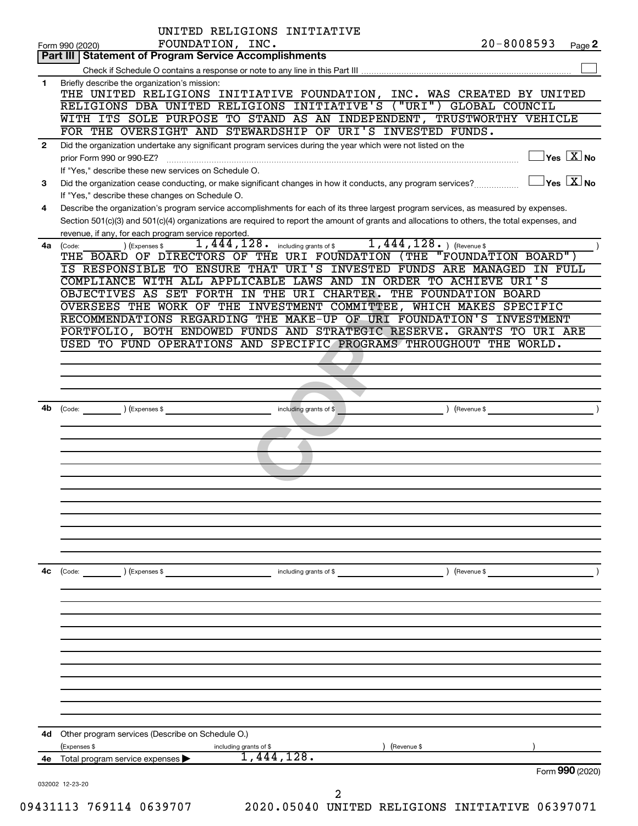|              | UNITED RELIGIONS INITIATIVE                                                                                                                                     |                                             |
|--------------|-----------------------------------------------------------------------------------------------------------------------------------------------------------------|---------------------------------------------|
|              | FOUNDATION, INC.<br>$20 - 8008593$<br>Form 990 (2020)                                                                                                           | Page 2                                      |
|              | Part III   Statement of Program Service Accomplishments                                                                                                         |                                             |
|              |                                                                                                                                                                 |                                             |
| 1.           | Briefly describe the organization's mission:                                                                                                                    |                                             |
|              | THE UNITED RELIGIONS INITIATIVE FOUNDATION, INC. WAS CREATED BY UNITED                                                                                          |                                             |
|              | RELIGIONS DBA UNITED RELIGIONS INITIATIVE'S ("URI") GLOBAL COUNCIL                                                                                              |                                             |
|              | WITH ITS SOLE PURPOSE TO STAND AS AN INDEPENDENT, TRUSTWORTHY VEHICLE                                                                                           |                                             |
|              | FOR THE OVERSIGHT AND STEWARDSHIP OF URI'S INVESTED FUNDS.                                                                                                      |                                             |
| $\mathbf{2}$ | Did the organization undertake any significant program services during the year which were not listed on the                                                    | $\overline{\ }$ Yes $\overline{\rm \ }X$ No |
|              | prior Form 990 or 990-EZ?                                                                                                                                       |                                             |
|              | If "Yes," describe these new services on Schedule O.                                                                                                            | $\sqrt{\ }$ Yes $\sqrt{\ \text{X}}$ No      |
| 3            | Did the organization cease conducting, or make significant changes in how it conducts, any program services?<br>If "Yes," describe these changes on Schedule O. |                                             |
| 4            | Describe the organization's program service accomplishments for each of its three largest program services, as measured by expenses.                            |                                             |
|              | Section 501(c)(3) and 501(c)(4) organizations are required to report the amount of grants and allocations to others, the total expenses, and                    |                                             |
|              | revenue, if any, for each program service reported.                                                                                                             |                                             |
| 4a -         | 1, 444, 128. including grants of \$1, 444, 128. ) (Revenue \$<br>) (Expenses \$<br>(Code:                                                                       |                                             |
|              | THE BOARD OF DIRECTORS OF THE URI FOUNDATION (THE "FOUNDATION BOARD")                                                                                           |                                             |
|              | IS RESPONSIBLE TO ENSURE THAT URI'S INVESTED FUNDS ARE MANAGED IN FULL                                                                                          |                                             |
|              | COMPLIANCE WITH ALL APPLICABLE LAWS AND IN ORDER TO ACHIEVE URI'S                                                                                               |                                             |
|              | OBJECTIVES AS SET FORTH IN THE URI CHARTER. THE FOUNDATION BOARD                                                                                                |                                             |
|              | OVERSEES THE WORK OF THE INVESTMENT COMMITTEE, WHICH MAKES SPECIFIC                                                                                             |                                             |
|              | RECOMMENDATIONS REGARDING THE MAKE-UP OF URI FOUNDATION'S INVESTMENT                                                                                            |                                             |
|              | PORTFOLIO, BOTH ENDOWED FUNDS AND STRATEGIC RESERVE. GRANTS TO URI ARE                                                                                          |                                             |
|              | USED TO FUND OPERATIONS AND SPECIFIC PROGRAMS THROUGHOUT THE WORLD.                                                                                             |                                             |
|              |                                                                                                                                                                 |                                             |
|              |                                                                                                                                                                 |                                             |
|              |                                                                                                                                                                 |                                             |
|              |                                                                                                                                                                 |                                             |
| 4b           | (Code: ) (Expenses \$<br>including grants of \$<br>$($ Revenue \$                                                                                               |                                             |
|              |                                                                                                                                                                 |                                             |
|              |                                                                                                                                                                 |                                             |
|              |                                                                                                                                                                 |                                             |
|              |                                                                                                                                                                 |                                             |
|              |                                                                                                                                                                 |                                             |
|              |                                                                                                                                                                 |                                             |
|              |                                                                                                                                                                 |                                             |
|              |                                                                                                                                                                 |                                             |
|              |                                                                                                                                                                 |                                             |
|              |                                                                                                                                                                 |                                             |
|              |                                                                                                                                                                 |                                             |
|              |                                                                                                                                                                 |                                             |
| 4c           | (Expenses \$<br>(Revenue \$<br>(Code:<br>including grants of \$                                                                                                 |                                             |
|              |                                                                                                                                                                 |                                             |
|              |                                                                                                                                                                 |                                             |
|              |                                                                                                                                                                 |                                             |
|              |                                                                                                                                                                 |                                             |
|              |                                                                                                                                                                 |                                             |
|              |                                                                                                                                                                 |                                             |
|              |                                                                                                                                                                 |                                             |
|              |                                                                                                                                                                 |                                             |
|              |                                                                                                                                                                 |                                             |
|              |                                                                                                                                                                 |                                             |
|              |                                                                                                                                                                 |                                             |
| 4d           | Other program services (Describe on Schedule O.)                                                                                                                |                                             |
|              | (Expenses \$<br>(Revenue \$<br>including grants of \$                                                                                                           |                                             |
|              | 1,444,128.<br>Total program service expenses                                                                                                                    |                                             |
|              |                                                                                                                                                                 | Form 990 (2020)                             |
|              | 032002 12-23-20                                                                                                                                                 |                                             |
|              | 2                                                                                                                                                               |                                             |
|              | $21112 760111 0620707$<br>2020 AEAAA INITERRA RRITATANA TNIESIARING AC207071                                                                                    |                                             |

09431113 769114 0639707 2020.05040 UNITED RELIGIONS INITIATIVE 06397071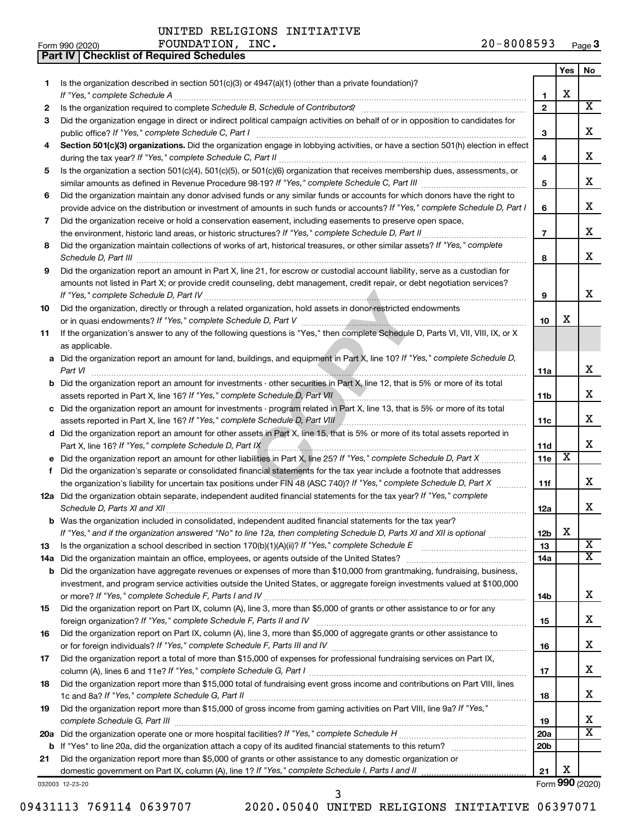**Part IV Checklist of Required Schedules**

|     |                                                                                                                                       |                 | Yes | No.                     |
|-----|---------------------------------------------------------------------------------------------------------------------------------------|-----------------|-----|-------------------------|
| 1   | Is the organization described in section $501(c)(3)$ or $4947(a)(1)$ (other than a private foundation)?                               |                 |     |                         |
|     | If "Yes," complete Schedule A                                                                                                         | 1               | x   |                         |
| 2   |                                                                                                                                       | $\mathbf{2}$    |     | $\overline{\mathbf{X}}$ |
| З   | Did the organization engage in direct or indirect political campaign activities on behalf of or in opposition to candidates for       |                 |     |                         |
|     | public office? If "Yes," complete Schedule C, Part I                                                                                  | 3               |     | x                       |
| 4   | Section 501(c)(3) organizations. Did the organization engage in lobbying activities, or have a section 501(h) election in effect      |                 |     |                         |
|     |                                                                                                                                       | 4               |     | x                       |
| 5   | Is the organization a section 501(c)(4), 501(c)(5), or 501(c)(6) organization that receives membership dues, assessments, or          |                 |     |                         |
|     |                                                                                                                                       | 5               |     | x                       |
| 6   | Did the organization maintain any donor advised funds or any similar funds or accounts for which donors have the right to             |                 |     |                         |
|     | provide advice on the distribution or investment of amounts in such funds or accounts? If "Yes," complete Schedule D, Part I          | 6               |     | х                       |
| 7   | Did the organization receive or hold a conservation easement, including easements to preserve open space,                             |                 |     |                         |
|     | the environment, historic land areas, or historic structures? If "Yes," complete Schedule D, Part II                                  | $\overline{7}$  |     | х                       |
| 8   | Did the organization maintain collections of works of art, historical treasures, or other similar assets? If "Yes," complete          |                 |     |                         |
|     | Schedule D, Part III                                                                                                                  | 8               |     | х                       |
| 9   | Did the organization report an amount in Part X, line 21, for escrow or custodial account liability, serve as a custodian for         |                 |     |                         |
|     | amounts not listed in Part X; or provide credit counseling, debt management, credit repair, or debt negotiation services?             |                 |     |                         |
|     |                                                                                                                                       | 9               |     | x                       |
| 10  | Did the organization, directly or through a related organization, hold assets in donor-restricted endowments                          |                 |     |                         |
|     |                                                                                                                                       | 10              | x.  |                         |
| 11  | If the organization's answer to any of the following questions is "Yes," then complete Schedule D, Parts VI, VII, VIII, IX, or X      |                 |     |                         |
|     | as applicable.                                                                                                                        |                 |     |                         |
|     | a Did the organization report an amount for land, buildings, and equipment in Part X, line 10? If "Yes," complete Schedule D,         |                 |     |                         |
|     | Part VI                                                                                                                               | 11a             |     | х                       |
|     | <b>b</b> Did the organization report an amount for investments - other securities in Part X, line 12, that is 5% or more of its total |                 |     |                         |
|     | assets reported in Part X, line 16? If "Yes," complete Schedule D, Part VII                                                           | 11b             |     | х                       |
|     | c Did the organization report an amount for investments - program related in Part X, line 13, that is 5% or more of its total         |                 |     |                         |
|     | assets reported in Part X, line 16? If "Yes," complete Schedule D, Part VIII                                                          | 11c             |     | х                       |
|     |                                                                                                                                       |                 |     |                         |
|     | d Did the organization report an amount for other assets in Part X, line 15, that is 5% or more of its total assets reported in       |                 |     | х                       |
|     |                                                                                                                                       | 11d             | X   |                         |
|     |                                                                                                                                       | 11e             |     |                         |
| f   | Did the organization's separate or consolidated financial statements for the tax year include a footnote that addresses               |                 |     | х                       |
|     | the organization's liability for uncertain tax positions under FIN 48 (ASC 740)? If "Yes," complete Schedule D, Part X                | 11f             |     |                         |
|     | 12a Did the organization obtain separate, independent audited financial statements for the tax year? If "Yes," complete               |                 |     | x                       |
|     | Schedule D, Parts XI and XII                                                                                                          | 12a             |     |                         |
|     | <b>b</b> Was the organization included in consolidated, independent audited financial statements for the tax year?                    |                 | х   |                         |
|     | If "Yes," and if the organization answered "No" to line 12a, then completing Schedule D, Parts XI and XII is optional                 | 12 <sub>b</sub> |     | $\overline{\textbf{x}}$ |
| 13  |                                                                                                                                       | 13              |     |                         |
| 14a | Did the organization maintain an office, employees, or agents outside of the United States?                                           | 14a             |     | X                       |
| b   | Did the organization have aggregate revenues or expenses of more than \$10,000 from grantmaking, fundraising, business,               |                 |     |                         |
|     | investment, and program service activities outside the United States, or aggregate foreign investments valued at \$100,000            |                 |     |                         |
|     |                                                                                                                                       | 14b             |     | x                       |
| 15  | Did the organization report on Part IX, column (A), line 3, more than \$5,000 of grants or other assistance to or for any             |                 |     |                         |
|     |                                                                                                                                       | 15              |     | х                       |
| 16  | Did the organization report on Part IX, column (A), line 3, more than \$5,000 of aggregate grants or other assistance to              |                 |     |                         |
|     |                                                                                                                                       | 16              |     | X.                      |
| 17  | Did the organization report a total of more than \$15,000 of expenses for professional fundraising services on Part IX,               |                 |     |                         |
|     |                                                                                                                                       | 17              |     | X.                      |
| 18  | Did the organization report more than \$15,000 total of fundraising event gross income and contributions on Part VIII, lines          |                 |     |                         |
|     |                                                                                                                                       | 18              |     | X.                      |
| 19  | Did the organization report more than \$15,000 of gross income from gaming activities on Part VIII, line 9a? If "Yes,"                |                 |     |                         |
|     |                                                                                                                                       | 19              |     | x                       |
|     |                                                                                                                                       | <b>20a</b>      |     | $\overline{\mathbf{X}}$ |
|     |                                                                                                                                       | 20 <sub>b</sub> |     |                         |
| 21  | Did the organization report more than \$5,000 of grants or other assistance to any domestic organization or                           |                 |     |                         |
|     |                                                                                                                                       | 21              | х   |                         |
|     | 032003 12-23-20                                                                                                                       |                 |     | Form 990 (2020)         |

09431113 769114 0639707 2020.05040 UNITED RELIGIONS INITIATIVE 06397071 3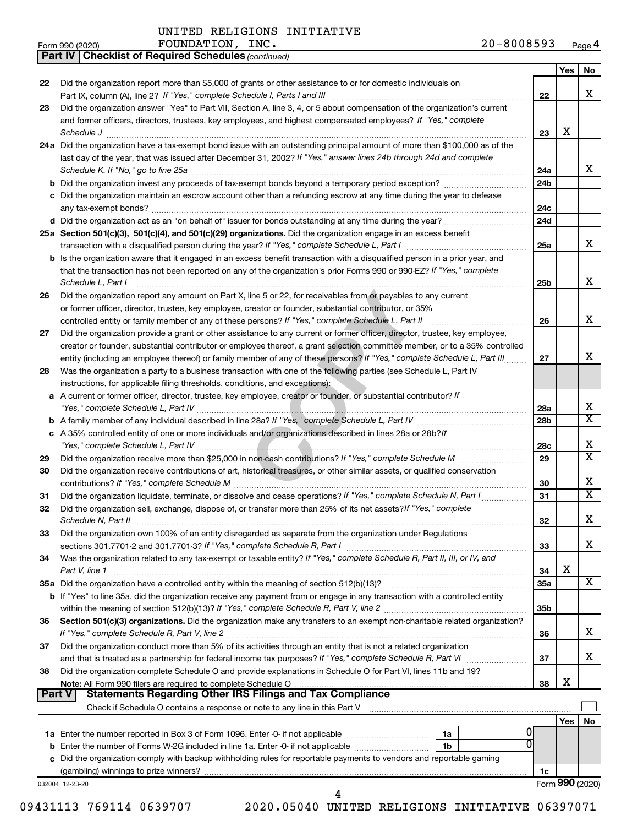|               | 20-8008593<br>FOUNDATION, INC.<br>Form 990 (2020)                                                                                  |                        |     | Page 4                  |
|---------------|------------------------------------------------------------------------------------------------------------------------------------|------------------------|-----|-------------------------|
|               | <b>Part IV   Checklist of Required Schedules (continued)</b>                                                                       |                        |     |                         |
|               |                                                                                                                                    |                        | Yes | No                      |
| 22            | Did the organization report more than \$5,000 of grants or other assistance to or for domestic individuals on                      |                        |     |                         |
|               |                                                                                                                                    | 22                     |     | х                       |
| 23            | Did the organization answer "Yes" to Part VII, Section A, line 3, 4, or 5 about compensation of the organization's current         |                        |     |                         |
|               | and former officers, directors, trustees, key employees, and highest compensated employees? If "Yes," complete                     |                        |     |                         |
|               |                                                                                                                                    | 23                     | х   |                         |
|               | 24a Did the organization have a tax-exempt bond issue with an outstanding principal amount of more than \$100,000 as of the        |                        |     |                         |
|               | last day of the year, that was issued after December 31, 2002? If "Yes," answer lines 24b through 24d and complete                 | 24a                    |     | x                       |
|               | <b>b</b> Did the organization invest any proceeds of tax-exempt bonds beyond a temporary period exception?                         | 24b                    |     |                         |
|               | c Did the organization maintain an escrow account other than a refunding escrow at any time during the year to defease             |                        |     |                         |
|               |                                                                                                                                    | 24c                    |     |                         |
|               |                                                                                                                                    | 24d                    |     |                         |
|               | 25a Section 501(c)(3), 501(c)(4), and 501(c)(29) organizations. Did the organization engage in an excess benefit                   |                        |     |                         |
|               |                                                                                                                                    | 25a                    |     | x                       |
|               | b Is the organization aware that it engaged in an excess benefit transaction with a disqualified person in a prior year, and       |                        |     |                         |
|               | that the transaction has not been reported on any of the organization's prior Forms 990 or 990-EZ? If "Yes," complete              |                        |     |                         |
|               | Schedule L, Part I                                                                                                                 | 25b                    |     | x                       |
| 26            | Did the organization report any amount on Part X, line 5 or 22, for receivables from or payables to any current                    |                        |     |                         |
|               | or former officer, director, trustee, key employee, creator or founder, substantial contributor, or 35%                            |                        |     |                         |
|               | controlled entity or family member of any of these persons? If "Yes," complete Schedule L, Part II                                 | 26                     |     | x                       |
| 27            | Did the organization provide a grant or other assistance to any current or former officer, director, trustee, key employee,        |                        |     |                         |
|               | creator or founder, substantial contributor or employee thereof, a grant selection committee member, or to a 35% controlled        |                        |     |                         |
|               | entity (including an employee thereof) or family member of any of these persons? If "Yes," complete Schedule L, Part III           | 27                     |     | x                       |
| 28            | Was the organization a party to a business transaction with one of the following parties (see Schedule L, Part IV                  |                        |     |                         |
|               | instructions, for applicable filing thresholds, conditions, and exceptions):                                                       |                        |     |                         |
|               | a A current or former officer, director, trustee, key employee, creator or founder, or substantial contributor? If                 |                        |     | х                       |
|               |                                                                                                                                    | 28a<br>28 <sub>b</sub> |     | $\overline{\textbf{X}}$ |
|               | c A 35% controlled entity of one or more individuals and/or organizations described in lines 28a or 28b?/f                         |                        |     |                         |
|               |                                                                                                                                    | 28c                    |     | х                       |
| 29            |                                                                                                                                    | 29                     |     | X                       |
| 30            | Did the organization receive contributions of art, historical treasures, or other similar assets, or qualified conservation        |                        |     |                         |
|               |                                                                                                                                    | 30                     |     | х                       |
| 31            | Did the organization liquidate, terminate, or dissolve and cease operations? If "Yes," complete Schedule N, Part I                 | 31                     |     | $\overline{\textbf{X}}$ |
|               | Did the organization sell, exchange, dispose of, or transfer more than 25% of its net assets? If "Yes," complete                   |                        |     |                         |
|               | Schedule N, Part II                                                                                                                | 32                     |     | х                       |
| 33            | Did the organization own 100% of an entity disregarded as separate from the organization under Regulations                         |                        |     |                         |
|               |                                                                                                                                    | 33                     |     | х                       |
| 34            | Was the organization related to any tax-exempt or taxable entity? If "Yes," complete Schedule R, Part II, III, or IV, and          |                        |     |                         |
|               | Part V, line 1                                                                                                                     | 34                     | х   |                         |
|               |                                                                                                                                    | <b>35a</b>             |     | х                       |
|               | b If "Yes" to line 35a, did the organization receive any payment from or engage in any transaction with a controlled entity        |                        |     |                         |
|               |                                                                                                                                    | 35 <sub>b</sub>        |     |                         |
| 36            | Section 501(c)(3) organizations. Did the organization make any transfers to an exempt non-charitable related organization?         |                        |     |                         |
|               |                                                                                                                                    | 36                     |     | х                       |
| 37            | Did the organization conduct more than 5% of its activities through an entity that is not a related organization                   |                        |     | х                       |
|               |                                                                                                                                    | 37                     |     |                         |
| 38            | Did the organization complete Schedule O and provide explanations in Schedule O for Part VI, lines 11b and 19?                     | 38                     | х   |                         |
| <b>Part V</b> | Note: All Form 990 filers are required to complete Schedule O.<br><b>Statements Regarding Other IRS Filings and Tax Compliance</b> |                        |     |                         |
|               |                                                                                                                                    |                        |     |                         |
|               |                                                                                                                                    |                        | Yes | No                      |
|               | 1a                                                                                                                                 |                        |     |                         |
|               | <b>b</b> Enter the number of Forms W-2G included in line 1a. Enter -0- if not applicable<br>1 <sub>b</sub>                         |                        |     |                         |
|               | c Did the organization comply with backup withholding rules for reportable payments to vendors and reportable gaming               |                        |     |                         |
|               |                                                                                                                                    | 1c                     |     |                         |
|               | 032004 12-23-20                                                                                                                    |                        |     | Form 990 (2020)         |

09431113 769114 0639707 2020.05040 UNITED RELIGIONS INITIATIVE 06397071 4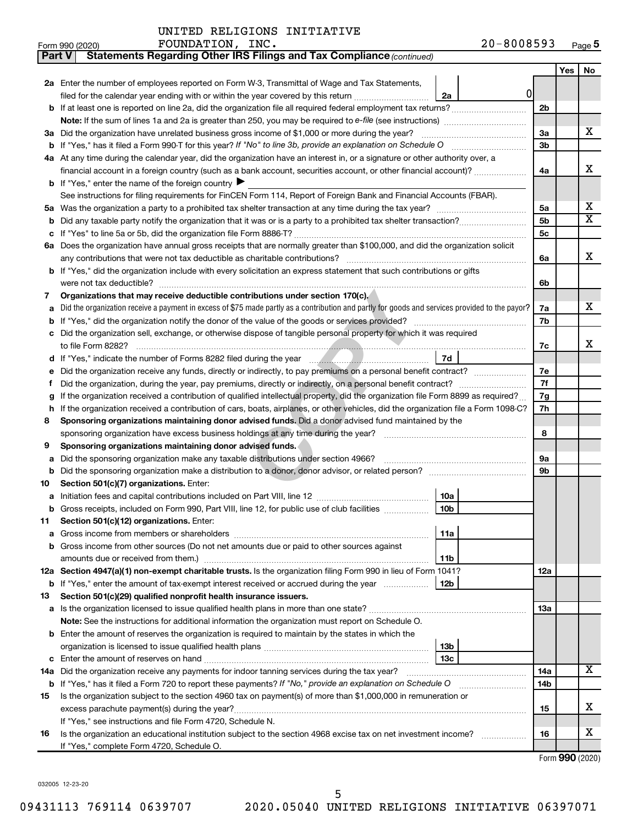| Part V | Statements Regarding Other IRS Filings and Tax Compliance (continued)                                                                           |     |     |                         |  |  |  |  |
|--------|-------------------------------------------------------------------------------------------------------------------------------------------------|-----|-----|-------------------------|--|--|--|--|
|        |                                                                                                                                                 |     | Yes | No                      |  |  |  |  |
|        | 2a Enter the number of employees reported on Form W-3, Transmittal of Wage and Tax Statements,                                                  |     |     |                         |  |  |  |  |
|        | 0 <br>filed for the calendar year ending with or within the year covered by this return<br>2a                                                   |     |     |                         |  |  |  |  |
|        | <b>b</b> If at least one is reported on line 2a, did the organization file all required federal employment tax returns?                         | 2b  |     |                         |  |  |  |  |
|        |                                                                                                                                                 |     |     |                         |  |  |  |  |
|        | 3a Did the organization have unrelated business gross income of \$1,000 or more during the year?                                                | За  |     | х                       |  |  |  |  |
| b      | If "Yes," has it filed a Form 990-T for this year? If "No" to line 3b, provide an explanation on Schedule O manumum                             | 3b  |     |                         |  |  |  |  |
|        | 4a At any time during the calendar year, did the organization have an interest in, or a signature or other authority over, a                    |     |     |                         |  |  |  |  |
|        | financial account in a foreign country (such as a bank account, securities account, or other financial account)?                                | 4a  |     | x                       |  |  |  |  |
|        | <b>b</b> If "Yes," enter the name of the foreign country ▶                                                                                      |     |     |                         |  |  |  |  |
|        | See instructions for filing requirements for FinCEN Form 114, Report of Foreign Bank and Financial Accounts (FBAR).                             |     |     |                         |  |  |  |  |
| 5a     |                                                                                                                                                 | 5a  |     | x                       |  |  |  |  |
| b      |                                                                                                                                                 | 5b  |     | $\overline{\textbf{X}}$ |  |  |  |  |
| с      |                                                                                                                                                 | 5c  |     |                         |  |  |  |  |
|        | 6a Does the organization have annual gross receipts that are normally greater than \$100,000, and did the organization solicit                  |     |     |                         |  |  |  |  |
|        |                                                                                                                                                 | 6a  |     | x                       |  |  |  |  |
|        | <b>b</b> If "Yes," did the organization include with every solicitation an express statement that such contributions or gifts                   |     |     |                         |  |  |  |  |
|        |                                                                                                                                                 | 6b  |     |                         |  |  |  |  |
| 7      | Organizations that may receive deductible contributions under section 170(c).                                                                   |     |     |                         |  |  |  |  |
| а      | Did the organization receive a payment in excess of \$75 made partly as a contribution and partly for goods and services provided to the payor? | 7a  |     | х                       |  |  |  |  |
| b      |                                                                                                                                                 | 7b  |     |                         |  |  |  |  |
|        | c Did the organization sell, exchange, or otherwise dispose of tangible personal property for which it was required                             |     |     |                         |  |  |  |  |
|        |                                                                                                                                                 | 7c  |     | x                       |  |  |  |  |
|        | 7d                                                                                                                                              |     |     |                         |  |  |  |  |
| е      | Did the organization receive any funds, directly or indirectly, to pay premiums on a personal benefit contract?<br>7е                           |     |     |                         |  |  |  |  |
| f.     |                                                                                                                                                 |     |     |                         |  |  |  |  |
| g      | If the organization received a contribution of qualified intellectual property, did the organization file Form 8899 as required?                |     |     |                         |  |  |  |  |
| h      | If the organization received a contribution of cars, boats, airplanes, or other vehicles, did the organization file a Form 1098-C?              |     |     |                         |  |  |  |  |
| 8      | Sponsoring organizations maintaining donor advised funds. Did a donor advised fund maintained by the                                            |     |     |                         |  |  |  |  |
|        |                                                                                                                                                 | 8   |     |                         |  |  |  |  |
| 9      | Sponsoring organizations maintaining donor advised funds.                                                                                       |     |     |                         |  |  |  |  |
| а      | Did the sponsoring organization make any taxable distributions under section 4966?                                                              | 9а  |     |                         |  |  |  |  |
| b      | Did the sponsoring organization make a distribution to a donor, donor advisor, or related person?                                               | 9b  |     |                         |  |  |  |  |
| 10     | Section 501(c)(7) organizations. Enter:                                                                                                         |     |     |                         |  |  |  |  |
| а      | 10a                                                                                                                                             |     |     |                         |  |  |  |  |
|        | 10 <sub>b</sub><br>b Gross receipts, included on Form 990, Part VIII, line 12, for public use of club facilities                                |     |     |                         |  |  |  |  |
| 11     | Section 501(c)(12) organizations. Enter:                                                                                                        |     |     |                         |  |  |  |  |
| а      | 11a                                                                                                                                             |     |     |                         |  |  |  |  |
|        | b Gross income from other sources (Do not net amounts due or paid to other sources against                                                      |     |     |                         |  |  |  |  |
|        | 11b                                                                                                                                             |     |     |                         |  |  |  |  |
|        | 12a Section 4947(a)(1) non-exempt charitable trusts. Is the organization filing Form 990 in lieu of Form 1041?                                  | 12a |     |                         |  |  |  |  |
|        | 12 <sub>b</sub><br><b>b</b> If "Yes," enter the amount of tax-exempt interest received or accrued during the year                               |     |     |                         |  |  |  |  |
| 13     | Section 501(c)(29) qualified nonprofit health insurance issuers.                                                                                |     |     |                         |  |  |  |  |
| а      | Is the organization licensed to issue qualified health plans in more than one state?                                                            | 1За |     |                         |  |  |  |  |
|        | <b>Note:</b> See the instructions for additional information the organization must report on Schedule O.                                        |     |     |                         |  |  |  |  |
|        | <b>b</b> Enter the amount of reserves the organization is required to maintain by the states in which the                                       |     |     |                         |  |  |  |  |
|        | 13 <sub>b</sub>                                                                                                                                 |     |     |                         |  |  |  |  |
| с      | 13с                                                                                                                                             |     |     |                         |  |  |  |  |
|        | 14a Did the organization receive any payments for indoor tanning services during the tax year?                                                  | 14a |     | x                       |  |  |  |  |
| b      | If "Yes," has it filed a Form 720 to report these payments? If "No," provide an explanation on Schedule O                                       | 14b |     |                         |  |  |  |  |
| 15     | Is the organization subject to the section 4960 tax on payment(s) of more than \$1,000,000 in remuneration or                                   |     |     |                         |  |  |  |  |
|        |                                                                                                                                                 | 15  |     | х                       |  |  |  |  |
|        | If "Yes," see instructions and file Form 4720, Schedule N.                                                                                      |     |     |                         |  |  |  |  |
| 16     | Is the organization an educational institution subject to the section 4968 excise tax on net investment income?                                 | 16  |     | х                       |  |  |  |  |
|        | If "Yes," complete Form 4720, Schedule O.                                                                                                       |     |     |                         |  |  |  |  |

Form (2020) **990**

032005 12-23-20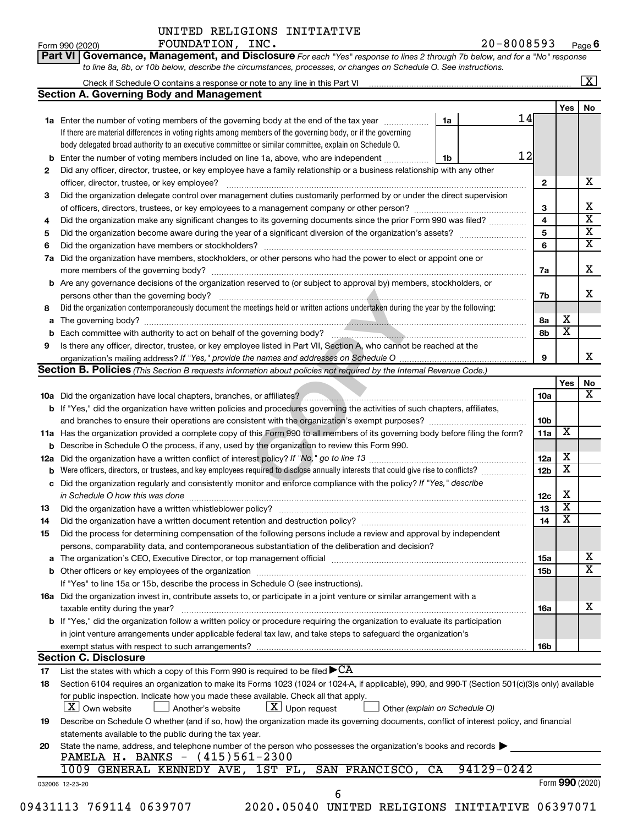| Part VI   Governance, Management, and Disclosure For each "Yes" response to lines 2 through 7b below, and for a "No" response |  |
|-------------------------------------------------------------------------------------------------------------------------------|--|
| to line 8a, 8b, or 10b below, describe the circumstances, processes, or changes on Schedule O. See instructions.              |  |

| b<br>2<br>3<br>4<br>5<br>6<br>7a<br>b<br>8<br>а<br>b | <b>Section A. Governing Body and Management</b><br>1a Enter the number of voting members of the governing body at the end of the tax year <i>manument</i><br>If there are material differences in voting rights among members of the governing body, or if the governing<br>body delegated broad authority to an executive committee or similar committee, explain on Schedule O.<br>Enter the number of voting members included on line 1a, above, who are independent<br>Did any officer, director, trustee, or key employee have a family relationship or a business relationship with any other<br>officer, director, trustee, or key employee?<br>Did the organization delegate control over management duties customarily performed by or under the direct supervision<br>Did the organization make any significant changes to its governing documents since the prior Form 990 was filed?<br>Did the organization have members, stockholders, or other persons who had the power to elect or appoint one or<br>Are any governance decisions of the organization reserved to (or subject to approval by) members, stockholders, or | 1a<br>1b | 14<br>12   | 2<br>3<br>4                                     | Yes                     | No |
|------------------------------------------------------|------------------------------------------------------------------------------------------------------------------------------------------------------------------------------------------------------------------------------------------------------------------------------------------------------------------------------------------------------------------------------------------------------------------------------------------------------------------------------------------------------------------------------------------------------------------------------------------------------------------------------------------------------------------------------------------------------------------------------------------------------------------------------------------------------------------------------------------------------------------------------------------------------------------------------------------------------------------------------------------------------------------------------------------------------------------------------------------------------------------------------------------|----------|------------|-------------------------------------------------|-------------------------|----|
|                                                      |                                                                                                                                                                                                                                                                                                                                                                                                                                                                                                                                                                                                                                                                                                                                                                                                                                                                                                                                                                                                                                                                                                                                          |          |            |                                                 |                         |    |
|                                                      |                                                                                                                                                                                                                                                                                                                                                                                                                                                                                                                                                                                                                                                                                                                                                                                                                                                                                                                                                                                                                                                                                                                                          |          |            |                                                 |                         |    |
|                                                      |                                                                                                                                                                                                                                                                                                                                                                                                                                                                                                                                                                                                                                                                                                                                                                                                                                                                                                                                                                                                                                                                                                                                          |          |            |                                                 |                         |    |
|                                                      |                                                                                                                                                                                                                                                                                                                                                                                                                                                                                                                                                                                                                                                                                                                                                                                                                                                                                                                                                                                                                                                                                                                                          |          |            |                                                 |                         |    |
|                                                      |                                                                                                                                                                                                                                                                                                                                                                                                                                                                                                                                                                                                                                                                                                                                                                                                                                                                                                                                                                                                                                                                                                                                          |          |            |                                                 |                         |    |
|                                                      |                                                                                                                                                                                                                                                                                                                                                                                                                                                                                                                                                                                                                                                                                                                                                                                                                                                                                                                                                                                                                                                                                                                                          |          |            |                                                 |                         |    |
|                                                      |                                                                                                                                                                                                                                                                                                                                                                                                                                                                                                                                                                                                                                                                                                                                                                                                                                                                                                                                                                                                                                                                                                                                          |          |            |                                                 |                         |    |
|                                                      |                                                                                                                                                                                                                                                                                                                                                                                                                                                                                                                                                                                                                                                                                                                                                                                                                                                                                                                                                                                                                                                                                                                                          |          |            |                                                 |                         |    |
|                                                      |                                                                                                                                                                                                                                                                                                                                                                                                                                                                                                                                                                                                                                                                                                                                                                                                                                                                                                                                                                                                                                                                                                                                          |          |            |                                                 |                         |    |
|                                                      |                                                                                                                                                                                                                                                                                                                                                                                                                                                                                                                                                                                                                                                                                                                                                                                                                                                                                                                                                                                                                                                                                                                                          |          |            |                                                 |                         |    |
|                                                      |                                                                                                                                                                                                                                                                                                                                                                                                                                                                                                                                                                                                                                                                                                                                                                                                                                                                                                                                                                                                                                                                                                                                          |          |            |                                                 |                         |    |
|                                                      |                                                                                                                                                                                                                                                                                                                                                                                                                                                                                                                                                                                                                                                                                                                                                                                                                                                                                                                                                                                                                                                                                                                                          |          |            | 5                                               |                         |    |
|                                                      |                                                                                                                                                                                                                                                                                                                                                                                                                                                                                                                                                                                                                                                                                                                                                                                                                                                                                                                                                                                                                                                                                                                                          |          |            | 6                                               |                         |    |
|                                                      |                                                                                                                                                                                                                                                                                                                                                                                                                                                                                                                                                                                                                                                                                                                                                                                                                                                                                                                                                                                                                                                                                                                                          |          |            |                                                 |                         |    |
|                                                      |                                                                                                                                                                                                                                                                                                                                                                                                                                                                                                                                                                                                                                                                                                                                                                                                                                                                                                                                                                                                                                                                                                                                          |          |            |                                                 |                         |    |
|                                                      |                                                                                                                                                                                                                                                                                                                                                                                                                                                                                                                                                                                                                                                                                                                                                                                                                                                                                                                                                                                                                                                                                                                                          |          |            | 7a                                              |                         |    |
|                                                      |                                                                                                                                                                                                                                                                                                                                                                                                                                                                                                                                                                                                                                                                                                                                                                                                                                                                                                                                                                                                                                                                                                                                          |          |            |                                                 |                         |    |
|                                                      | persons other than the governing body?                                                                                                                                                                                                                                                                                                                                                                                                                                                                                                                                                                                                                                                                                                                                                                                                                                                                                                                                                                                                                                                                                                   |          |            | 7b                                              |                         |    |
|                                                      | Did the organization contemporaneously document the meetings held or written actions undertaken during the year by the following:                                                                                                                                                                                                                                                                                                                                                                                                                                                                                                                                                                                                                                                                                                                                                                                                                                                                                                                                                                                                        |          |            |                                                 |                         |    |
|                                                      |                                                                                                                                                                                                                                                                                                                                                                                                                                                                                                                                                                                                                                                                                                                                                                                                                                                                                                                                                                                                                                                                                                                                          |          |            | 8а                                              | x                       |    |
|                                                      |                                                                                                                                                                                                                                                                                                                                                                                                                                                                                                                                                                                                                                                                                                                                                                                                                                                                                                                                                                                                                                                                                                                                          |          |            | 8b                                              | $\overline{\textbf{x}}$ |    |
| 9                                                    | Is there any officer, director, trustee, or key employee listed in Part VII, Section A, who cannot be reached at the                                                                                                                                                                                                                                                                                                                                                                                                                                                                                                                                                                                                                                                                                                                                                                                                                                                                                                                                                                                                                     |          |            |                                                 |                         |    |
|                                                      |                                                                                                                                                                                                                                                                                                                                                                                                                                                                                                                                                                                                                                                                                                                                                                                                                                                                                                                                                                                                                                                                                                                                          |          |            | 9                                               |                         |    |
|                                                      | <b>Section B. Policies</b> (This Section B requests information about policies not required by the Internal Revenue Code.)                                                                                                                                                                                                                                                                                                                                                                                                                                                                                                                                                                                                                                                                                                                                                                                                                                                                                                                                                                                                               |          |            |                                                 |                         |    |
|                                                      |                                                                                                                                                                                                                                                                                                                                                                                                                                                                                                                                                                                                                                                                                                                                                                                                                                                                                                                                                                                                                                                                                                                                          |          |            |                                                 | Yes                     |    |
|                                                      | 10a Did the organization have local chapters, branches, or affiliates?<br>2008. Communication continuum continuum contraction contract in the contract of the contract of the contract o                                                                                                                                                                                                                                                                                                                                                                                                                                                                                                                                                                                                                                                                                                                                                                                                                                                                                                                                                 |          |            | 10a                                             |                         |    |
|                                                      | b If "Yes," did the organization have written policies and procedures governing the activities of such chapters, affiliates,                                                                                                                                                                                                                                                                                                                                                                                                                                                                                                                                                                                                                                                                                                                                                                                                                                                                                                                                                                                                             |          |            |                                                 |                         |    |
|                                                      |                                                                                                                                                                                                                                                                                                                                                                                                                                                                                                                                                                                                                                                                                                                                                                                                                                                                                                                                                                                                                                                                                                                                          |          |            | 10 <sub>b</sub>                                 |                         |    |
|                                                      | 11a Has the organization provided a complete copy of this Form 990 to all members of its governing body before filing the form?                                                                                                                                                                                                                                                                                                                                                                                                                                                                                                                                                                                                                                                                                                                                                                                                                                                                                                                                                                                                          |          |            | 11a                                             | X                       |    |
| b                                                    | Describe in Schedule O the process, if any, used by the organization to review this Form 990.                                                                                                                                                                                                                                                                                                                                                                                                                                                                                                                                                                                                                                                                                                                                                                                                                                                                                                                                                                                                                                            |          |            |                                                 |                         |    |
| 12a                                                  |                                                                                                                                                                                                                                                                                                                                                                                                                                                                                                                                                                                                                                                                                                                                                                                                                                                                                                                                                                                                                                                                                                                                          |          |            | 12a                                             | х                       |    |
| b                                                    | Were officers, directors, or trustees, and key employees required to disclose annually interests that could give rise to conflicts?                                                                                                                                                                                                                                                                                                                                                                                                                                                                                                                                                                                                                                                                                                                                                                                                                                                                                                                                                                                                      |          |            | 12 <sub>b</sub>                                 | $\overline{\textbf{x}}$ |    |
| с                                                    | Did the organization regularly and consistently monitor and enforce compliance with the policy? If "Yes," describe                                                                                                                                                                                                                                                                                                                                                                                                                                                                                                                                                                                                                                                                                                                                                                                                                                                                                                                                                                                                                       |          |            |                                                 |                         |    |
|                                                      |                                                                                                                                                                                                                                                                                                                                                                                                                                                                                                                                                                                                                                                                                                                                                                                                                                                                                                                                                                                                                                                                                                                                          |          |            | 12c                                             | х                       |    |
| 13                                                   |                                                                                                                                                                                                                                                                                                                                                                                                                                                                                                                                                                                                                                                                                                                                                                                                                                                                                                                                                                                                                                                                                                                                          |          |            | 13                                              | $\overline{\textbf{x}}$ |    |
|                                                      | Did the organization have a written document retention and destruction policy? [11] manufaction materials and destruction policy? [11] manufaction have a written document retention and destruction policy?                                                                                                                                                                                                                                                                                                                                                                                                                                                                                                                                                                                                                                                                                                                                                                                                                                                                                                                             |          |            | 14                                              | $\overline{\textbf{x}}$ |    |
| 14                                                   |                                                                                                                                                                                                                                                                                                                                                                                                                                                                                                                                                                                                                                                                                                                                                                                                                                                                                                                                                                                                                                                                                                                                          |          |            |                                                 |                         |    |
| 15                                                   | Did the process for determining compensation of the following persons include a review and approval by independent                                                                                                                                                                                                                                                                                                                                                                                                                                                                                                                                                                                                                                                                                                                                                                                                                                                                                                                                                                                                                       |          |            |                                                 |                         |    |
|                                                      | persons, comparability data, and contemporaneous substantiation of the deliberation and decision?                                                                                                                                                                                                                                                                                                                                                                                                                                                                                                                                                                                                                                                                                                                                                                                                                                                                                                                                                                                                                                        |          |            |                                                 |                         |    |
| а                                                    | The organization's CEO, Executive Director, or top management official manufactured content of the organization's CEO, Executive Director, or top management official manufactured content of the organization's                                                                                                                                                                                                                                                                                                                                                                                                                                                                                                                                                                                                                                                                                                                                                                                                                                                                                                                         |          |            | 15a                                             |                         |    |
|                                                      |                                                                                                                                                                                                                                                                                                                                                                                                                                                                                                                                                                                                                                                                                                                                                                                                                                                                                                                                                                                                                                                                                                                                          |          |            | 15 <sub>b</sub>                                 |                         |    |
|                                                      | If "Yes" to line 15a or 15b, describe the process in Schedule O (see instructions).                                                                                                                                                                                                                                                                                                                                                                                                                                                                                                                                                                                                                                                                                                                                                                                                                                                                                                                                                                                                                                                      |          |            |                                                 |                         |    |
|                                                      | 16a Did the organization invest in, contribute assets to, or participate in a joint venture or similar arrangement with a                                                                                                                                                                                                                                                                                                                                                                                                                                                                                                                                                                                                                                                                                                                                                                                                                                                                                                                                                                                                                |          |            |                                                 |                         |    |
|                                                      | taxable entity during the year?                                                                                                                                                                                                                                                                                                                                                                                                                                                                                                                                                                                                                                                                                                                                                                                                                                                                                                                                                                                                                                                                                                          |          |            | 16a                                             |                         |    |
|                                                      | b If "Yes," did the organization follow a written policy or procedure requiring the organization to evaluate its participation                                                                                                                                                                                                                                                                                                                                                                                                                                                                                                                                                                                                                                                                                                                                                                                                                                                                                                                                                                                                           |          |            |                                                 |                         |    |
|                                                      | in joint venture arrangements under applicable federal tax law, and take steps to safequard the organization's                                                                                                                                                                                                                                                                                                                                                                                                                                                                                                                                                                                                                                                                                                                                                                                                                                                                                                                                                                                                                           |          |            |                                                 |                         |    |
|                                                      | exempt status with respect to such arrangements?                                                                                                                                                                                                                                                                                                                                                                                                                                                                                                                                                                                                                                                                                                                                                                                                                                                                                                                                                                                                                                                                                         |          |            | 16b                                             |                         |    |
|                                                      | <b>Section C. Disclosure</b>                                                                                                                                                                                                                                                                                                                                                                                                                                                                                                                                                                                                                                                                                                                                                                                                                                                                                                                                                                                                                                                                                                             |          |            |                                                 |                         |    |
| 17                                                   | List the states with which a copy of this Form 990 is required to be filed $\blacktriangleright$ CA                                                                                                                                                                                                                                                                                                                                                                                                                                                                                                                                                                                                                                                                                                                                                                                                                                                                                                                                                                                                                                      |          |            |                                                 |                         |    |
| 18                                                   | Section 6104 requires an organization to make its Forms 1023 (1024 or 1024-A, if applicable), 990, and 990-T (Section 501(c)(3)s only) available                                                                                                                                                                                                                                                                                                                                                                                                                                                                                                                                                                                                                                                                                                                                                                                                                                                                                                                                                                                         |          |            |                                                 |                         |    |
|                                                      | for public inspection. Indicate how you made these available. Check all that apply.                                                                                                                                                                                                                                                                                                                                                                                                                                                                                                                                                                                                                                                                                                                                                                                                                                                                                                                                                                                                                                                      |          |            |                                                 |                         |    |
|                                                      | $\lfloor x \rfloor$ Upon request<br><b>X</b> Own website<br>Another's website<br>Other (explain on Schedule O)                                                                                                                                                                                                                                                                                                                                                                                                                                                                                                                                                                                                                                                                                                                                                                                                                                                                                                                                                                                                                           |          |            |                                                 |                         |    |
|                                                      | Describe on Schedule O whether (and if so, how) the organization made its governing documents, conflict of interest policy, and financial                                                                                                                                                                                                                                                                                                                                                                                                                                                                                                                                                                                                                                                                                                                                                                                                                                                                                                                                                                                                |          |            |                                                 |                         |    |
| 19                                                   |                                                                                                                                                                                                                                                                                                                                                                                                                                                                                                                                                                                                                                                                                                                                                                                                                                                                                                                                                                                                                                                                                                                                          |          |            |                                                 |                         |    |
|                                                      | statements available to the public during the tax year.                                                                                                                                                                                                                                                                                                                                                                                                                                                                                                                                                                                                                                                                                                                                                                                                                                                                                                                                                                                                                                                                                  |          |            |                                                 |                         |    |
| 20                                                   | State the name, address, and telephone number of the person who possesses the organization's books and records                                                                                                                                                                                                                                                                                                                                                                                                                                                                                                                                                                                                                                                                                                                                                                                                                                                                                                                                                                                                                           |          |            |                                                 |                         |    |
|                                                      | PAMELA H. BANKS - (415)561-2300                                                                                                                                                                                                                                                                                                                                                                                                                                                                                                                                                                                                                                                                                                                                                                                                                                                                                                                                                                                                                                                                                                          |          |            |                                                 |                         |    |
|                                                      | 1009 GENERAL KENNEDY AVE, 1ST FL, SAN FRANCISCO, CA                                                                                                                                                                                                                                                                                                                                                                                                                                                                                                                                                                                                                                                                                                                                                                                                                                                                                                                                                                                                                                                                                      |          | 94129-0242 |                                                 |                         |    |
|                                                      | 032006 12-23-20                                                                                                                                                                                                                                                                                                                                                                                                                                                                                                                                                                                                                                                                                                                                                                                                                                                                                                                                                                                                                                                                                                                          |          |            |                                                 | Form 990 (2020)         |    |
|                                                      | 6                                                                                                                                                                                                                                                                                                                                                                                                                                                                                                                                                                                                                                                                                                                                                                                                                                                                                                                                                                                                                                                                                                                                        |          |            | 2020.05040 UNITED RELIGIONS INITIATIVE 06397071 |                         |    |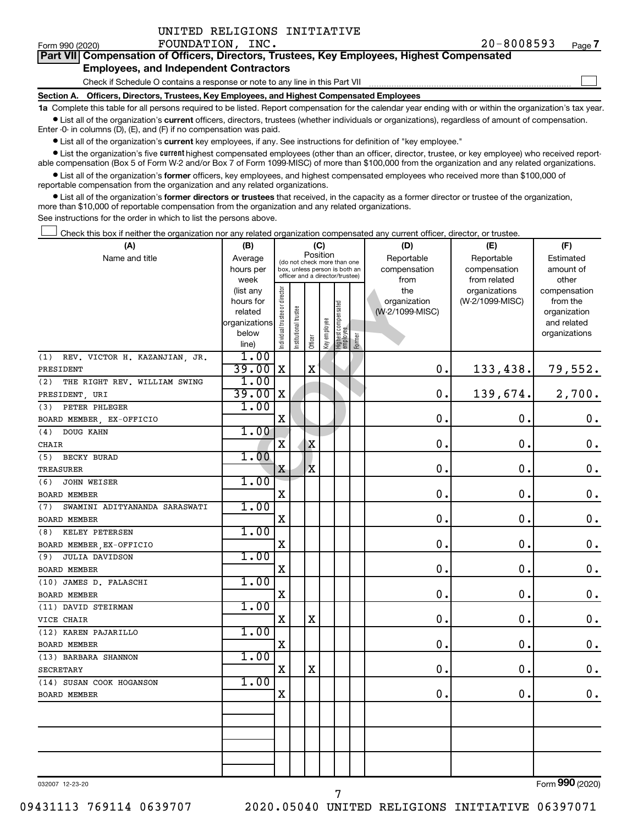|  | UNITED RELIGIONS INITIATIVE |
|--|-----------------------------|
|  |                             |

 $\Box$ 

| Part VII Compensation of Officers, Directors, Trustees, Key Employees, Highest Compensated |  |  |  |
|--------------------------------------------------------------------------------------------|--|--|--|
| <b>Employees, and Independent Contractors</b>                                              |  |  |  |

Check if Schedule O contains a response or note to any line in this Part VII

**Section A. Officers, Directors, Trustees, Key Employees, and Highest Compensated Employees**

**1a**  Complete this table for all persons required to be listed. Report compensation for the calendar year ending with or within the organization's tax year.  $\bullet$  List all of the organization's current officers, directors, trustees (whether individuals or organizations), regardless of amount of compensation.

Enter -0- in columns (D), (E), and (F) if no compensation was paid.

**•** List all of the organization's current key employees, if any. See instructions for definition of "key employee."

• List the organization's five *current* highest compensated employees (other than an officer, director, trustee, or key employee) who received reportable compensation (Box 5 of Form W-2 and/or Box 7 of Form 1099-MISC) of more than \$100,000 from the organization and any related organizations.

 $\bullet$  List all of the organization's former officers, key employees, and highest compensated employees who received more than \$100,000 of reportable compensation from the organization and any related organizations.

**•** List all of the organization's former directors or trustees that received, in the capacity as a former director or trustee of the organization, more than \$10,000 of reportable compensation from the organization and any related organizations.

See instructions for the order in which to list the persons above.

Check this box if neither the organization nor any related organization compensated any current officer, director, or trustee.  $\Box$ 

| (A)                                  | (B)                                                                                 |                                |                       |                                 | (C)          |                                 |        | (D)                             | (E)             | (F)                      |
|--------------------------------------|-------------------------------------------------------------------------------------|--------------------------------|-----------------------|---------------------------------|--------------|---------------------------------|--------|---------------------------------|-----------------|--------------------------|
| Name and title                       | Position<br>Average<br>(do not check more than one<br>box, unless person is both an |                                |                       |                                 |              |                                 |        | Reportable                      | Reportable      | Estimated                |
|                                      | hours per                                                                           |                                |                       | officer and a director/trustee) |              |                                 |        | compensation                    | compensation    | amount of                |
|                                      | week                                                                                |                                |                       |                                 |              |                                 |        | from                            | from related    | other                    |
|                                      | (list any                                                                           |                                |                       |                                 |              |                                 |        | the                             | organizations   | compensation             |
|                                      | hours for<br>related                                                                |                                |                       |                                 |              |                                 |        | organization<br>(W-2/1099-MISC) | (W-2/1099-MISC) | from the<br>organization |
|                                      | organizations                                                                       |                                |                       |                                 |              |                                 |        |                                 |                 | and related              |
|                                      | below                                                                               |                                |                       |                                 |              |                                 |        |                                 |                 | organizations            |
|                                      | line)                                                                               | Individual trustee or director | Institutional trustee | Officer                         | Key employee | Highest compensated<br>employee | Former |                                 |                 |                          |
| REV. VICTOR H. KAZANJIAN, JR.<br>(1) | 1.00                                                                                |                                |                       |                                 |              |                                 |        |                                 |                 |                          |
| PRESIDENT                            | 39.00                                                                               | X                              |                       | $\mathbf X$                     |              |                                 |        | 0.                              | 133,438.        | 79,552.                  |
| (2)<br>THE RIGHT REV. WILLIAM SWING  | 1.00                                                                                |                                |                       |                                 |              |                                 |        |                                 |                 |                          |
| PRESIDENT, URI                       | 39.00                                                                               | X                              |                       |                                 |              |                                 |        | 0.                              | 139,674.        | 2,700.                   |
| (3)<br>PETER PHLEGER                 | 1.00                                                                                |                                |                       |                                 |              |                                 |        |                                 |                 |                          |
| BOARD MEMBER, EX-OFFICIO             |                                                                                     | X                              |                       |                                 |              |                                 |        | $\mathbf 0$ .                   | $\mathbf 0$     | $\boldsymbol{0}$ .       |
| DOUG KAHN<br>(4)                     | 1.00                                                                                |                                |                       |                                 |              |                                 |        |                                 |                 |                          |
| CHAIR                                |                                                                                     | X                              |                       | $\mathbf X$                     |              |                                 |        | $\mathbf 0$ .                   | $\mathbf 0$     | $\mathbf 0$ .            |
| (5)<br>BECKY BURAD                   | 1.00                                                                                |                                |                       |                                 |              |                                 |        |                                 |                 |                          |
| TREASURER                            |                                                                                     | X                              |                       | X                               |              |                                 |        | $\mathbf 0$ .                   | $\mathbf 0$     | $\mathbf 0$ .            |
| JOHN WEISER<br>(6)                   | 1.00                                                                                |                                |                       |                                 |              |                                 |        |                                 |                 |                          |
| BOARD MEMBER                         |                                                                                     | $\mathbf X$                    |                       |                                 |              |                                 |        | $\mathbf 0$ .                   | $\mathbf 0$     | $\boldsymbol{0}$ .       |
| (7)<br>SWAMINI ADITYANANDA SARASWATI | 1.00                                                                                |                                |                       |                                 |              |                                 |        |                                 |                 |                          |
| <b>BOARD MEMBER</b>                  |                                                                                     | X                              |                       |                                 |              |                                 |        | $\mathbf 0$ .                   | $\mathbf 0$     | $\mathbf 0$ .            |
| (8) KELEY PETERSEN                   | 1.00                                                                                |                                |                       |                                 |              |                                 |        |                                 |                 |                          |
| BOARD MEMBER, EX-OFFICIO             |                                                                                     | $\mathbf X$                    |                       |                                 |              |                                 |        | 0.                              | $\mathbf 0$     | $\mathbf 0$ .            |
| <b>JULIA DAVIDSON</b><br>(9)         | 1.00                                                                                |                                |                       |                                 |              |                                 |        |                                 |                 |                          |
| BOARD MEMBER                         |                                                                                     | X                              |                       |                                 |              |                                 |        | $\mathbf 0$ .                   | $\mathbf 0$     | $\mathbf 0$ .            |
| (10) JAMES D. FALASCHI               | 1.00                                                                                |                                |                       |                                 |              |                                 |        |                                 |                 |                          |
| BOARD MEMBER                         |                                                                                     | $\mathbf X$                    |                       |                                 |              |                                 |        | $\mathbf 0$ .                   | $\mathbf 0$     | $\boldsymbol{0}$ .       |
| (11) DAVID STEIRMAN                  | 1.00                                                                                |                                |                       |                                 |              |                                 |        |                                 |                 |                          |
| VICE CHAIR                           |                                                                                     | X                              |                       | $\mathbf X$                     |              |                                 |        | $\mathbf 0$ .                   | $\mathbf 0$     | $\mathbf 0$ .            |
| (12) KAREN PAJARILLO                 | 1.00                                                                                |                                |                       |                                 |              |                                 |        |                                 |                 |                          |
| BOARD MEMBER                         |                                                                                     | X                              |                       |                                 |              |                                 |        | 0.                              | $\mathbf 0$     | $\mathbf 0$ .            |
| (13) BARBARA SHANNON                 | 1.00                                                                                |                                |                       |                                 |              |                                 |        |                                 |                 |                          |
| SECRETARY                            |                                                                                     | $\mathbf X$                    |                       | $\mathbf X$                     |              |                                 |        | $\mathbf 0$ .                   | $\mathbf 0$     | $\mathbf 0$ .            |
| (14) SUSAN COOK HOGANSON             | 1.00                                                                                |                                |                       |                                 |              |                                 |        |                                 |                 |                          |
| <b>BOARD MEMBER</b>                  |                                                                                     | X                              |                       |                                 |              |                                 |        | $\mathbf 0$ .                   | 0.              | $\mathbf 0$ .            |
|                                      |                                                                                     |                                |                       |                                 |              |                                 |        |                                 |                 |                          |
|                                      |                                                                                     |                                |                       |                                 |              |                                 |        |                                 |                 |                          |
|                                      |                                                                                     |                                |                       |                                 |              |                                 |        |                                 |                 |                          |
|                                      |                                                                                     |                                |                       |                                 |              |                                 |        |                                 |                 |                          |
|                                      |                                                                                     |                                |                       |                                 |              |                                 |        |                                 |                 |                          |
|                                      |                                                                                     |                                |                       |                                 |              |                                 |        |                                 |                 |                          |

032007 12-23-20

Form (2020) **990**

09431113 769114 0639707 2020.05040 UNITED RELIGIONS INITIATIVE 06397071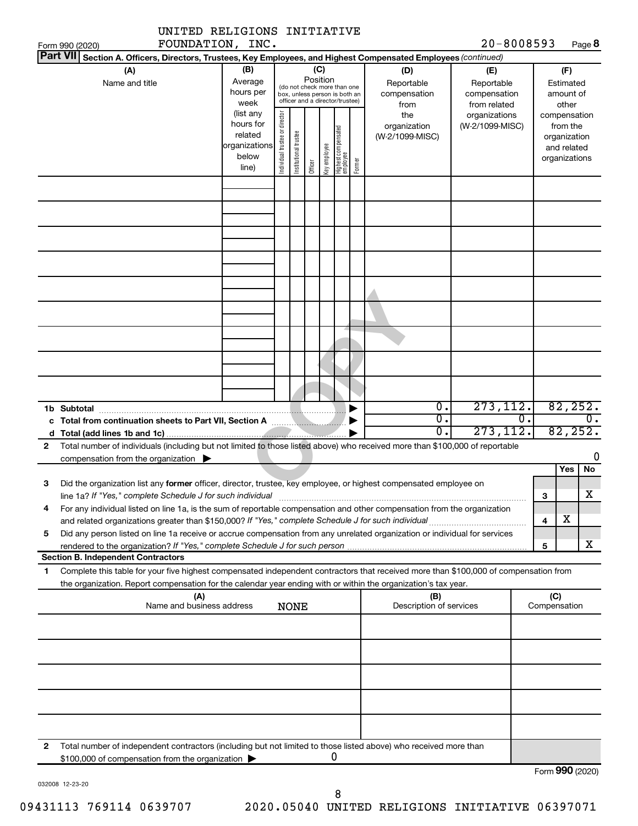|                 | UNITED RELIGIONS INITIATIVE                                                                                                                                                                                                                 |                                                                      |                                                                                                                    |                       |         |              |                                 |        |                                           |                                                   |    |              |                                                                          |                             |
|-----------------|---------------------------------------------------------------------------------------------------------------------------------------------------------------------------------------------------------------------------------------------|----------------------------------------------------------------------|--------------------------------------------------------------------------------------------------------------------|-----------------------|---------|--------------|---------------------------------|--------|-------------------------------------------|---------------------------------------------------|----|--------------|--------------------------------------------------------------------------|-----------------------------|
| <b>Part VII</b> | FOUNDATION, INC.<br>Form 990 (2020)<br>Section A. Officers, Directors, Trustees, Key Employees, and Highest Compensated Employees (continued)                                                                                               |                                                                      |                                                                                                                    |                       |         |              |                                 |        |                                           | $20 - 8008593$                                    |    |              |                                                                          | Page 8                      |
|                 | (A)<br>Name and title                                                                                                                                                                                                                       | (B)<br>Average<br>hours per<br>week                                  | (C)<br>Position<br>(do not check more than one<br>box, unless person is both an<br>officer and a director/trustee) |                       |         |              |                                 |        | (D)<br>Reportable<br>compensation<br>from | (E)<br>Reportable<br>compensation<br>from related |    |              | (F)<br>Estimated<br>amount of<br>other                                   |                             |
|                 |                                                                                                                                                                                                                                             | (list any<br>hours for<br>related<br>organizations<br>below<br>line) | Individual trustee or director                                                                                     | Institutional trustee | Officer | Key employee | Highest compensated<br>employee | Former | the<br>organization<br>(W-2/1099-MISC)    | organizations<br>(W-2/1099-MISC)                  |    |              | compensation<br>from the<br>organization<br>and related<br>organizations |                             |
|                 |                                                                                                                                                                                                                                             |                                                                      |                                                                                                                    |                       |         |              |                                 |        |                                           |                                                   |    |              |                                                                          |                             |
|                 |                                                                                                                                                                                                                                             |                                                                      |                                                                                                                    |                       |         |              |                                 |        |                                           |                                                   |    |              |                                                                          |                             |
|                 |                                                                                                                                                                                                                                             |                                                                      |                                                                                                                    |                       |         |              |                                 |        |                                           |                                                   |    |              |                                                                          |                             |
|                 |                                                                                                                                                                                                                                             |                                                                      |                                                                                                                    |                       |         |              |                                 |        |                                           |                                                   |    |              |                                                                          |                             |
|                 | 1b Subtotal                                                                                                                                                                                                                                 |                                                                      |                                                                                                                    |                       |         |              |                                 |        | $\overline{0}$ .<br>$\overline{0}$ .      | 273, 112.                                         | 0. |              |                                                                          | 82, 252.<br>$\mathbf 0$ .   |
|                 |                                                                                                                                                                                                                                             |                                                                      |                                                                                                                    |                       |         |              |                                 |        | σ.                                        | 273, 112.                                         |    |              |                                                                          | 82, 252.                    |
| 2               | Total number of individuals (including but not limited to those listed above) who received more than \$100,000 of reportable<br>compensation from the organization $\blacktriangleright$                                                    |                                                                      |                                                                                                                    |                       |         |              |                                 |        |                                           |                                                   |    |              |                                                                          | 0                           |
|                 |                                                                                                                                                                                                                                             |                                                                      |                                                                                                                    |                       |         |              |                                 |        |                                           |                                                   |    |              | Yes                                                                      | No                          |
| З               | Did the organization list any former officer, director, trustee, key employee, or highest compensated employee on<br>line 1a? If "Yes," complete Schedule J for such individual                                                             |                                                                      |                                                                                                                    |                       |         |              |                                 |        |                                           |                                                   |    | 3            |                                                                          | $\overline{\text{X}}$       |
| 4               | For any individual listed on line 1a, is the sum of reportable compensation and other compensation from the organization                                                                                                                    |                                                                      |                                                                                                                    |                       |         |              |                                 |        |                                           |                                                   |    |              | x                                                                        |                             |
| 5               | Did any person listed on line 1a receive or accrue compensation from any unrelated organization or individual for services                                                                                                                  |                                                                      |                                                                                                                    |                       |         |              |                                 |        |                                           |                                                   |    | 4            |                                                                          |                             |
|                 | rendered to the organization? If "Yes," complete Schedule J for such person manufactured to the organization? If "Yes," complete Schedule J for such person manufactured and the organization?<br><b>Section B. Independent Contractors</b> |                                                                      |                                                                                                                    |                       |         |              |                                 |        |                                           |                                                   |    | 5            |                                                                          | x                           |
| 1               | Complete this table for your five highest compensated independent contractors that received more than \$100,000 of compensation from                                                                                                        |                                                                      |                                                                                                                    |                       |         |              |                                 |        |                                           |                                                   |    |              |                                                                          |                             |
|                 | the organization. Report compensation for the calendar year ending with or within the organization's tax year.<br>(A)                                                                                                                       |                                                                      |                                                                                                                    |                       |         |              |                                 |        | (B)                                       |                                                   |    | (C)          |                                                                          |                             |
|                 | Name and business address                                                                                                                                                                                                                   |                                                                      |                                                                                                                    | <b>NONE</b>           |         |              |                                 |        | Description of services                   |                                                   |    | Compensation |                                                                          |                             |
|                 |                                                                                                                                                                                                                                             |                                                                      |                                                                                                                    |                       |         |              |                                 |        |                                           |                                                   |    |              |                                                                          |                             |
|                 |                                                                                                                                                                                                                                             |                                                                      |                                                                                                                    |                       |         |              |                                 |        |                                           |                                                   |    |              |                                                                          |                             |
|                 |                                                                                                                                                                                                                                             |                                                                      |                                                                                                                    |                       |         |              |                                 |        |                                           |                                                   |    |              |                                                                          |                             |
|                 |                                                                                                                                                                                                                                             |                                                                      |                                                                                                                    |                       |         |              |                                 |        |                                           |                                                   |    |              |                                                                          |                             |
|                 |                                                                                                                                                                                                                                             |                                                                      |                                                                                                                    |                       |         |              |                                 |        |                                           |                                                   |    |              |                                                                          |                             |
| 2               | Total number of independent contractors (including but not limited to those listed above) who received more than<br>\$100,000 of compensation from the organization                                                                         |                                                                      |                                                                                                                    |                       |         |              | 0                               |        |                                           |                                                   |    |              |                                                                          |                             |
|                 |                                                                                                                                                                                                                                             |                                                                      |                                                                                                                    |                       |         |              |                                 |        |                                           |                                                   |    |              |                                                                          | $F_{\text{arm}}$ 000 (2020) |

032008 12-23-20

8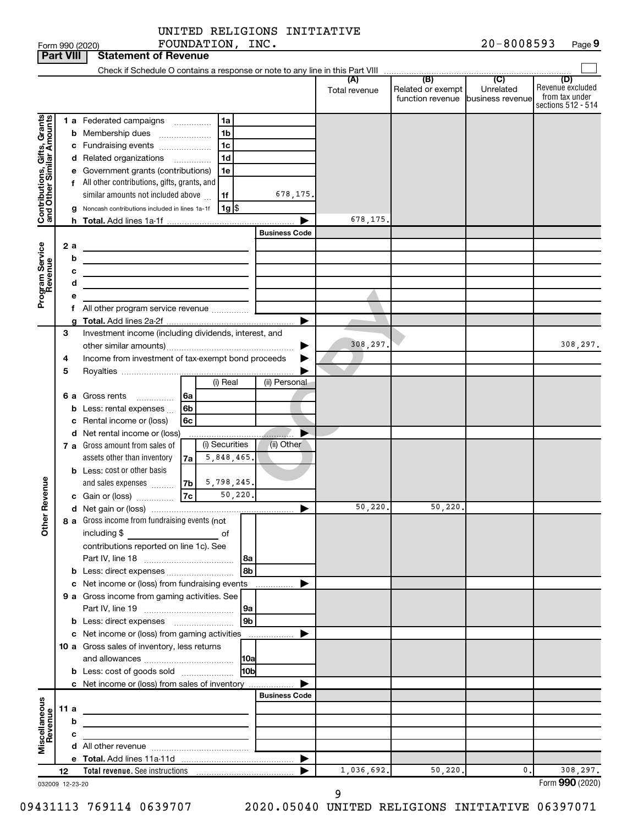Form 990 (2020)  $\qquad \qquad \text{FOUNDATION}$ ,  $\text{INC.}$   $\qquad \qquad \text{20-8008593}$  Page 20-8008593 Page 9

|                              | <b>Part VIII</b> |   | <b>Statement of Revenue</b>                                                  |                      |                      |                                                                 |                  |                                                                 |
|------------------------------|------------------|---|------------------------------------------------------------------------------|----------------------|----------------------|-----------------------------------------------------------------|------------------|-----------------------------------------------------------------|
|                              |                  |   |                                                                              |                      |                      |                                                                 |                  |                                                                 |
|                              |                  |   |                                                                              |                      | (A)<br>Total revenue | (B)<br>Related or exempt<br>function revenue   business revenue | (C)<br>Unrelated | (D)<br>Revenue excluded<br>from tax under<br>sections 512 - 514 |
|                              |                  |   | <b>1 a</b> Federated campaigns<br>1a<br>.                                    |                      |                      |                                                                 |                  |                                                                 |
| Contributions, Gifts, Grants |                  | b | 1 <sub>b</sub><br>Membership dues                                            |                      |                      |                                                                 |                  |                                                                 |
|                              |                  |   | 1 <sub>c</sub><br>c Fundraising events                                       |                      |                      |                                                                 |                  |                                                                 |
|                              |                  |   | 1 <sub>d</sub><br>d Related organizations<br>.                               |                      |                      |                                                                 |                  |                                                                 |
|                              |                  |   | e Government grants (contributions)<br>1e                                    |                      |                      |                                                                 |                  |                                                                 |
|                              |                  |   | f All other contributions, gifts, grants, and                                |                      |                      |                                                                 |                  |                                                                 |
|                              |                  |   | similar amounts not included above<br>1f                                     | 678,175.             |                      |                                                                 |                  |                                                                 |
|                              |                  | g | Noncash contributions included in lines 1a-1f<br>$1g$ $\frac{1}{3}$          |                      |                      |                                                                 |                  |                                                                 |
|                              |                  |   |                                                                              |                      | 678,175.             |                                                                 |                  |                                                                 |
|                              |                  |   |                                                                              | <b>Business Code</b> |                      |                                                                 |                  |                                                                 |
|                              | 2 a              |   |                                                                              |                      |                      |                                                                 |                  |                                                                 |
| Program Service<br>Revenue   | b                |   | the control of the control of the control of the control of                  |                      |                      |                                                                 |                  |                                                                 |
|                              |                  | с | the control of the control of the control of the control of the control of   |                      |                      |                                                                 |                  |                                                                 |
|                              |                  | d |                                                                              |                      |                      |                                                                 |                  |                                                                 |
|                              |                  |   | f All other program service revenue                                          |                      |                      |                                                                 |                  |                                                                 |
|                              |                  |   |                                                                              | ▶                    |                      |                                                                 |                  |                                                                 |
|                              | 3                |   | Investment income (including dividends, interest, and                        |                      |                      |                                                                 |                  |                                                                 |
|                              |                  |   |                                                                              |                      | 308,297              |                                                                 |                  | 308,297.                                                        |
|                              | 4                |   | Income from investment of tax-exempt bond proceeds                           |                      |                      |                                                                 |                  |                                                                 |
|                              | 5                |   |                                                                              |                      |                      |                                                                 |                  |                                                                 |
|                              |                  |   | (i) Real                                                                     | (ii) Personal        |                      |                                                                 |                  |                                                                 |
|                              |                  |   | <b>6 a</b> Gross rents<br>6a<br>.                                            |                      |                      |                                                                 |                  |                                                                 |
|                              |                  | b | Less: rental expenses<br>6b                                                  |                      |                      |                                                                 |                  |                                                                 |
|                              |                  | с | Rental income or (loss)<br>6c                                                |                      |                      |                                                                 |                  |                                                                 |
|                              |                  |   | d Net rental income or (loss)                                                |                      |                      |                                                                 |                  |                                                                 |
|                              |                  |   | (i) Securities<br>7 a Gross amount from sales of                             | (ii) Other           |                      |                                                                 |                  |                                                                 |
|                              |                  |   | 5,848,465.<br>assets other than inventory<br>7a                              |                      |                      |                                                                 |                  |                                                                 |
|                              |                  |   | <b>b</b> Less: cost or other basis<br>5,798,245.<br>and sales expenses<br>7b |                      |                      |                                                                 |                  |                                                                 |
| Revenue                      |                  |   | 7c <br>50, 220.<br>c Gain or (loss)                                          |                      |                      |                                                                 |                  |                                                                 |
|                              |                  |   |                                                                              |                      | 50, 220.             | 50, 220.                                                        |                  |                                                                 |
|                              |                  |   | 8 a Gross income from fundraising events (not                                |                      |                      |                                                                 |                  |                                                                 |
| Ĕ                            |                  |   | including \$<br>оf                                                           |                      |                      |                                                                 |                  |                                                                 |
|                              |                  |   | contributions reported on line 1c). See                                      |                      |                      |                                                                 |                  |                                                                 |
|                              |                  |   | l 8a                                                                         |                      |                      |                                                                 |                  |                                                                 |
|                              |                  |   | 8b<br><b>b</b> Less: direct expenses <i>manually contained</i>               |                      |                      |                                                                 |                  |                                                                 |
|                              |                  |   | c Net income or (loss) from fundraising events                               | .                    |                      |                                                                 |                  |                                                                 |
|                              |                  |   | 9 a Gross income from gaming activities. See                                 |                      |                      |                                                                 |                  |                                                                 |
|                              |                  |   | 9a                                                                           |                      |                      |                                                                 |                  |                                                                 |
|                              |                  |   | 9 <sub>b</sub><br><b>b</b> Less: direct expenses <b>manually</b>             |                      |                      |                                                                 |                  |                                                                 |
|                              |                  |   | c Net income or (loss) from gaming activities                                | .                    |                      |                                                                 |                  |                                                                 |
|                              |                  |   | 10 a Gross sales of inventory, less returns<br> 10al                         |                      |                      |                                                                 |                  |                                                                 |
|                              |                  |   | 10bl<br><b>b</b> Less: cost of goods sold                                    |                      |                      |                                                                 |                  |                                                                 |
|                              |                  |   | c Net income or (loss) from sales of inventory                               |                      |                      |                                                                 |                  |                                                                 |
|                              |                  |   |                                                                              | <b>Business Code</b> |                      |                                                                 |                  |                                                                 |
|                              | 11 a             |   |                                                                              |                      |                      |                                                                 |                  |                                                                 |
|                              | b                |   |                                                                              |                      |                      |                                                                 |                  |                                                                 |
|                              |                  | с | the control of the control of the control of                                 |                      |                      |                                                                 |                  |                                                                 |
| Miscellaneous<br>Revenue     |                  |   |                                                                              |                      |                      |                                                                 |                  |                                                                 |
|                              |                  |   |                                                                              | ▶                    |                      |                                                                 |                  |                                                                 |
|                              | 12               |   |                                                                              |                      | 1,036,692.           | 50, 220.                                                        | 0.               | 308,297.                                                        |
|                              | 032009 12-23-20  |   |                                                                              |                      |                      |                                                                 |                  | Form 990 (2020)                                                 |

9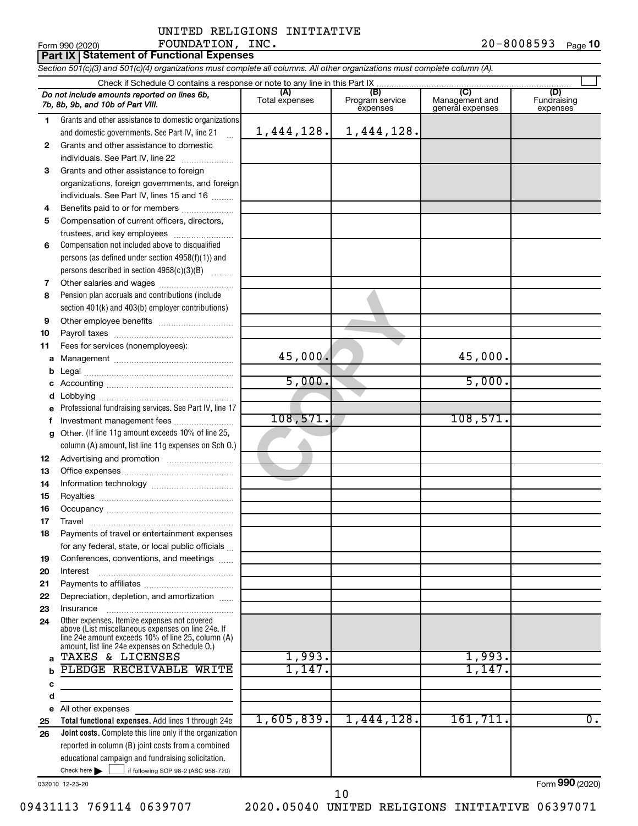**Part IX | Statement of Functional Expenses** 

*Section 501(c)(3) and 501(c)(4) organizations must complete all columns. All other organizations must complete column (A).*

|    |                                                                                   | (A)            | (B)             | (C)                                | (D)              |  |  |  |  |  |
|----|-----------------------------------------------------------------------------------|----------------|-----------------|------------------------------------|------------------|--|--|--|--|--|
|    | Do not include amounts reported on lines 6b,<br>7b, 8b, 9b, and 10b of Part VIII. | Total expenses | Program service | Management and<br>general expenses | Fundraising      |  |  |  |  |  |
|    |                                                                                   |                | expenses        |                                    | expenses         |  |  |  |  |  |
| 1. | Grants and other assistance to domestic organizations                             |                |                 |                                    |                  |  |  |  |  |  |
|    | and domestic governments. See Part IV, line 21                                    | 1,444,128.     | 1,444,128.      |                                    |                  |  |  |  |  |  |
| 2  | Grants and other assistance to domestic                                           |                |                 |                                    |                  |  |  |  |  |  |
|    | individuals. See Part IV, line 22                                                 |                |                 |                                    |                  |  |  |  |  |  |
| 3  | Grants and other assistance to foreign                                            |                |                 |                                    |                  |  |  |  |  |  |
|    | organizations, foreign governments, and foreign                                   |                |                 |                                    |                  |  |  |  |  |  |
|    | individuals. See Part IV, lines 15 and 16                                         |                |                 |                                    |                  |  |  |  |  |  |
| 4  | Benefits paid to or for members                                                   |                |                 |                                    |                  |  |  |  |  |  |
| 5  | Compensation of current officers, directors,                                      |                |                 |                                    |                  |  |  |  |  |  |
|    | trustees, and key employees                                                       |                |                 |                                    |                  |  |  |  |  |  |
| 6  | Compensation not included above to disqualified                                   |                |                 |                                    |                  |  |  |  |  |  |
|    | persons (as defined under section 4958(f)(1)) and                                 |                |                 |                                    |                  |  |  |  |  |  |
|    |                                                                                   |                |                 |                                    |                  |  |  |  |  |  |
|    | persons described in section 4958(c)(3)(B)                                        |                |                 |                                    |                  |  |  |  |  |  |
| 7  |                                                                                   |                |                 |                                    |                  |  |  |  |  |  |
| 8  | Pension plan accruals and contributions (include                                  |                |                 |                                    |                  |  |  |  |  |  |
|    | section 401(k) and 403(b) employer contributions)                                 |                |                 |                                    |                  |  |  |  |  |  |
| 9  |                                                                                   |                |                 |                                    |                  |  |  |  |  |  |
| 10 |                                                                                   |                |                 |                                    |                  |  |  |  |  |  |
| 11 | Fees for services (nonemployees):                                                 |                |                 |                                    |                  |  |  |  |  |  |
| a  |                                                                                   | 45,000.        |                 | 45,000.                            |                  |  |  |  |  |  |
| b  |                                                                                   |                |                 |                                    |                  |  |  |  |  |  |
| с  |                                                                                   | 5,000.         |                 | 5,000.                             |                  |  |  |  |  |  |
| d  |                                                                                   |                |                 |                                    |                  |  |  |  |  |  |
| e  | Professional fundraising services. See Part IV, line 17                           |                |                 |                                    |                  |  |  |  |  |  |
| f  | Investment management fees                                                        | 108,571.       |                 | 108,571.                           |                  |  |  |  |  |  |
| a  | Other. (If line 11g amount exceeds 10% of line 25,                                |                |                 |                                    |                  |  |  |  |  |  |
|    | column (A) amount, list line 11g expenses on Sch O.)                              |                |                 |                                    |                  |  |  |  |  |  |
| 12 |                                                                                   |                |                 |                                    |                  |  |  |  |  |  |
| 13 |                                                                                   |                |                 |                                    |                  |  |  |  |  |  |
| 14 |                                                                                   |                |                 |                                    |                  |  |  |  |  |  |
| 15 |                                                                                   |                |                 |                                    |                  |  |  |  |  |  |
| 16 |                                                                                   |                |                 |                                    |                  |  |  |  |  |  |
| 17 | Travel                                                                            |                |                 |                                    |                  |  |  |  |  |  |
| 18 | Payments of travel or entertainment expenses                                      |                |                 |                                    |                  |  |  |  |  |  |
|    | for any federal, state, or local public officials                                 |                |                 |                                    |                  |  |  |  |  |  |
| 19 | Conferences, conventions, and meetings                                            |                |                 |                                    |                  |  |  |  |  |  |
| 20 | Interest                                                                          |                |                 |                                    |                  |  |  |  |  |  |
| 21 |                                                                                   |                |                 |                                    |                  |  |  |  |  |  |
| 22 | Depreciation, depletion, and amortization                                         |                |                 |                                    |                  |  |  |  |  |  |
| 23 | Insurance                                                                         |                |                 |                                    |                  |  |  |  |  |  |
| 24 | Other expenses. Itemize expenses not covered                                      |                |                 |                                    |                  |  |  |  |  |  |
|    | above (List miscellaneous expenses on line 24e. If                                |                |                 |                                    |                  |  |  |  |  |  |
|    | line 24e amount exceeds 10% of line 25, column (A)                                |                |                 |                                    |                  |  |  |  |  |  |
|    | amount, list line 24e expenses on Schedule O.)<br>TAXES & LICENSES                | 1,993.         |                 | 1,993.                             |                  |  |  |  |  |  |
| a  | PLEDGE RECEIVABLE WRITE                                                           | 1,147.         |                 | 1,147.                             |                  |  |  |  |  |  |
|    |                                                                                   |                |                 |                                    |                  |  |  |  |  |  |
| c  |                                                                                   |                |                 |                                    |                  |  |  |  |  |  |
| d  |                                                                                   |                |                 |                                    |                  |  |  |  |  |  |
| е  | All other expenses                                                                | 1,605,839.     | 1,444,128.      | 161, 711.                          | $\overline{0}$ . |  |  |  |  |  |
| 25 | Total functional expenses. Add lines 1 through 24e                                |                |                 |                                    |                  |  |  |  |  |  |
| 26 | Joint costs. Complete this line only if the organization                          |                |                 |                                    |                  |  |  |  |  |  |
|    | reported in column (B) joint costs from a combined                                |                |                 |                                    |                  |  |  |  |  |  |
|    | educational campaign and fundraising solicitation.                                |                |                 |                                    |                  |  |  |  |  |  |
|    | Check here<br>if following SOP 98-2 (ASC 958-720)                                 |                |                 |                                    |                  |  |  |  |  |  |

032010 12-23-20

Form (2020) **990**

09431113 769114 0639707 2020.05040 UNITED RELIGIONS INITIATIVE 06397071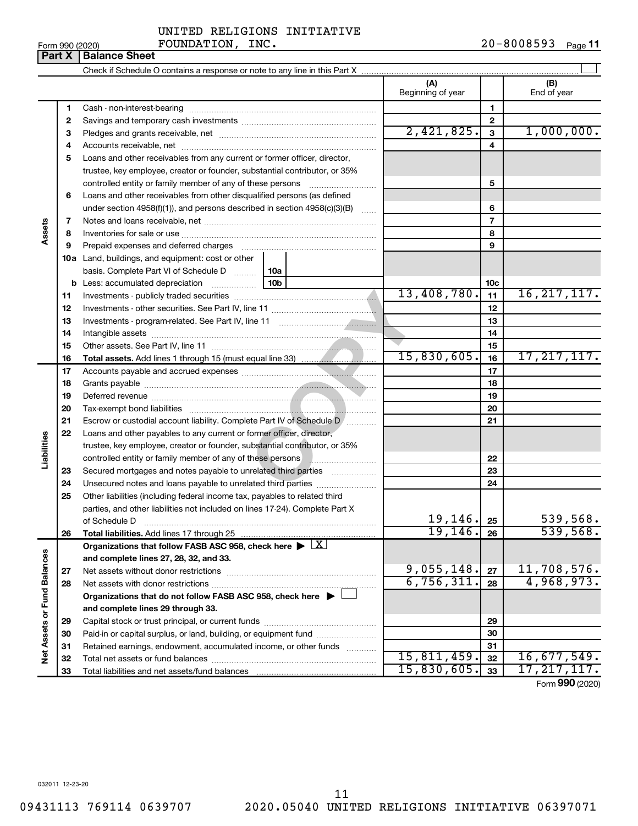| Form 990 (2020 |  |  |
|----------------|--|--|

|                             | Part X   | <b>Balance Sheet</b>                                                                                                                                                                                                           |                          |                |                    |  |  |  |  |  |
|-----------------------------|----------|--------------------------------------------------------------------------------------------------------------------------------------------------------------------------------------------------------------------------------|--------------------------|----------------|--------------------|--|--|--|--|--|
|                             |          |                                                                                                                                                                                                                                |                          |                |                    |  |  |  |  |  |
|                             |          |                                                                                                                                                                                                                                | (A)<br>Beginning of year |                | (B)<br>End of year |  |  |  |  |  |
|                             | 1        |                                                                                                                                                                                                                                |                          | 1              |                    |  |  |  |  |  |
|                             | 2        |                                                                                                                                                                                                                                |                          | 2              |                    |  |  |  |  |  |
|                             | з        |                                                                                                                                                                                                                                | 2,421,825.               | 3              | 1,000,000.         |  |  |  |  |  |
|                             | 4        |                                                                                                                                                                                                                                |                          | 4              |                    |  |  |  |  |  |
|                             | 5        | Loans and other receivables from any current or former officer, director,                                                                                                                                                      |                          |                |                    |  |  |  |  |  |
|                             |          | trustee, key employee, creator or founder, substantial contributor, or 35%                                                                                                                                                     |                          |                |                    |  |  |  |  |  |
|                             |          |                                                                                                                                                                                                                                |                          | 5              |                    |  |  |  |  |  |
|                             | 6        | Loans and other receivables from other disqualified persons (as defined                                                                                                                                                        |                          |                |                    |  |  |  |  |  |
|                             |          | under section $4958(f)(1)$ , and persons described in section $4958(c)(3)(B)$<br>$\sim$                                                                                                                                        |                          | 6              |                    |  |  |  |  |  |
|                             | 7        |                                                                                                                                                                                                                                |                          | $\overline{7}$ |                    |  |  |  |  |  |
| Assets                      | 8        |                                                                                                                                                                                                                                |                          | 8              |                    |  |  |  |  |  |
|                             | 9        | Prepaid expenses and deferred charges [11] [11] prepaid expenses and deferred charges [11] [11] presummation and the Prepaid expenses and deferred charges [11] and an amount of Prepaid experiment and the Prepaid experiment |                          | 9              |                    |  |  |  |  |  |
|                             |          | <b>10a</b> Land, buildings, and equipment: cost or other                                                                                                                                                                       |                          |                |                    |  |  |  |  |  |
|                             |          | basis. Complete Part VI of Schedule D<br>10a                                                                                                                                                                                   |                          |                |                    |  |  |  |  |  |
|                             |          | 10 <sub>b</sub>                                                                                                                                                                                                                |                          | 10c            |                    |  |  |  |  |  |
|                             | 11       |                                                                                                                                                                                                                                | 13,408,780.              | 11             | 16, 217, 117.      |  |  |  |  |  |
|                             | 12       |                                                                                                                                                                                                                                |                          | 12             |                    |  |  |  |  |  |
|                             | 13       |                                                                                                                                                                                                                                |                          | 13             |                    |  |  |  |  |  |
|                             | 14       |                                                                                                                                                                                                                                |                          | 14             |                    |  |  |  |  |  |
|                             | 15       |                                                                                                                                                                                                                                |                          | 15             |                    |  |  |  |  |  |
|                             | 16       |                                                                                                                                                                                                                                | 15,830,605.              | 16             | 17, 217, 117.      |  |  |  |  |  |
|                             | 17       |                                                                                                                                                                                                                                |                          | 17             |                    |  |  |  |  |  |
|                             | 18       |                                                                                                                                                                                                                                |                          | 18             |                    |  |  |  |  |  |
|                             | 19       |                                                                                                                                                                                                                                |                          | 19             |                    |  |  |  |  |  |
|                             | 20       |                                                                                                                                                                                                                                |                          | 20             |                    |  |  |  |  |  |
|                             | 21       | Escrow or custodial account liability. Complete Part IV of Schedule D /                                                                                                                                                        |                          | 21             |                    |  |  |  |  |  |
|                             | 22       | Loans and other payables to any current or former officer, director,                                                                                                                                                           |                          |                |                    |  |  |  |  |  |
|                             |          | trustee, key employee, creator or founder, substantial contributor, or 35%                                                                                                                                                     |                          |                |                    |  |  |  |  |  |
| Liabilities                 |          | controlled entity or family member of any of these persons <b>with all any controlled</b> entity or family member of any of these persons                                                                                      |                          | 22             |                    |  |  |  |  |  |
|                             | 23       | Secured mortgages and notes payable to unrelated third parties                                                                                                                                                                 |                          | 23             |                    |  |  |  |  |  |
|                             | 24       | Unsecured notes and loans payable to unrelated third parties                                                                                                                                                                   |                          | 24             |                    |  |  |  |  |  |
|                             | 25       | Other liabilities (including federal income tax, payables to related third                                                                                                                                                     |                          |                |                    |  |  |  |  |  |
|                             |          | parties, and other liabilities not included on lines 17-24). Complete Part X                                                                                                                                                   | 19,146.                  |                | 539,568.           |  |  |  |  |  |
|                             |          | of Schedule D                                                                                                                                                                                                                  | 19, 146.                 | 25             | 539,568.           |  |  |  |  |  |
|                             | 26       | Total liabilities. Add lines 17 through 25<br>Organizations that follow FASB ASC 958, check here $\blacktriangleright \lfloor \underline{X} \rfloor$                                                                           |                          | 26             |                    |  |  |  |  |  |
|                             |          | and complete lines 27, 28, 32, and 33.                                                                                                                                                                                         |                          |                |                    |  |  |  |  |  |
|                             |          |                                                                                                                                                                                                                                | 9,055,148.               | 27             | 11,708,576.        |  |  |  |  |  |
|                             | 27<br>28 |                                                                                                                                                                                                                                | 6,756,311.               | 28             | 4,968,973.         |  |  |  |  |  |
|                             |          | Organizations that do not follow FASB ASC 958, check here $\blacktriangleright$                                                                                                                                                |                          |                |                    |  |  |  |  |  |
| Net Assets or Fund Balances |          | and complete lines 29 through 33.                                                                                                                                                                                              |                          |                |                    |  |  |  |  |  |
|                             | 29       |                                                                                                                                                                                                                                |                          | 29             |                    |  |  |  |  |  |
|                             | 30       | Paid-in or capital surplus, or land, building, or equipment fund                                                                                                                                                               |                          | 30             |                    |  |  |  |  |  |
|                             | 31       | Retained earnings, endowment, accumulated income, or other funds                                                                                                                                                               |                          | 31             |                    |  |  |  |  |  |
|                             | 32       |                                                                                                                                                                                                                                | 15,811,459.              | 32             | 16,677,549.        |  |  |  |  |  |
|                             | 33       |                                                                                                                                                                                                                                | 15,830,605.              | 33             | 17, 217, 117.      |  |  |  |  |  |
|                             |          |                                                                                                                                                                                                                                |                          |                |                    |  |  |  |  |  |

Form (2020) **990**

032011 12-23-20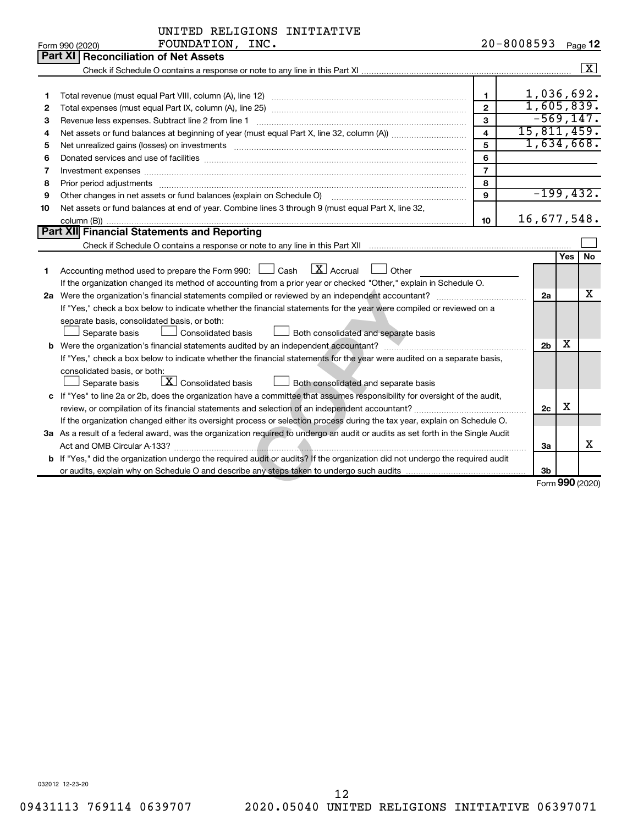|    | Part XI<br><b>Reconciliation of Net Assets</b>                                                                                                                                                                                 |                         |  |                |     |                    |
|----|--------------------------------------------------------------------------------------------------------------------------------------------------------------------------------------------------------------------------------|-------------------------|--|----------------|-----|--------------------|
|    |                                                                                                                                                                                                                                |                         |  |                |     | $\boxed{\text{X}}$ |
| 1  |                                                                                                                                                                                                                                | $\mathbf{1}$            |  | 1,036,692.     |     |                    |
|    |                                                                                                                                                                                                                                | $\mathbf{2}$            |  | 1,605,839.     |     |                    |
|    | 2<br>$\mathbf{3}$                                                                                                                                                                                                              |                         |  |                |     |                    |
| З  | Revenue less expenses. Subtract line 2 from line 1                                                                                                                                                                             | $\overline{\mathbf{4}}$ |  | $-569, 147.$   |     | 15,811,459.        |
|    | 4                                                                                                                                                                                                                              |                         |  |                |     |                    |
| 5  |                                                                                                                                                                                                                                | 5                       |  | 1,634,668.     |     |                    |
| 6  |                                                                                                                                                                                                                                | 6                       |  |                |     |                    |
| 7  | Investment expenses [[11] https://www.facebook.com/www.facebook.com/www.facebook.com/www.facebook.com/www.facebook.com/www.facebook.com/www.facebook.com/www.facebook.com/www.facebook.com/www.facebook.com/www.facebook.com/w | $\overline{7}$          |  |                |     |                    |
| 8  | Prior period adjustments                                                                                                                                                                                                       | 8                       |  |                |     |                    |
| 9  | Other changes in net assets or fund balances (explain on Schedule O)                                                                                                                                                           | 9                       |  |                |     | $-199,432.$        |
| 10 | Net assets or fund balances at end of year. Combine lines 3 through 9 (must equal Part X, line 32,                                                                                                                             |                         |  |                |     |                    |
|    |                                                                                                                                                                                                                                | 10                      |  | 16,677,548.    |     |                    |
|    | Part XII Financial Statements and Reporting                                                                                                                                                                                    |                         |  |                |     |                    |
|    |                                                                                                                                                                                                                                |                         |  |                |     |                    |
|    |                                                                                                                                                                                                                                |                         |  |                | Yes | <b>No</b>          |
| 1  | $\lfloor \mathbf{X} \rfloor$ Accrual<br>Accounting method used to prepare the Form 990: $\Box$ Cash<br>Other                                                                                                                   |                         |  |                |     |                    |
|    | If the organization changed its method of accounting from a prior year or checked "Other," explain in Schedule O.                                                                                                              |                         |  |                |     |                    |
|    |                                                                                                                                                                                                                                |                         |  |                |     | х                  |
|    | If "Yes," check a box below to indicate whether the financial statements for the year were compiled or reviewed on a                                                                                                           |                         |  |                |     |                    |
|    | separate basis, consolidated basis, or both:                                                                                                                                                                                   |                         |  |                |     |                    |
|    | Separate basis<br><b>Consolidated basis</b><br>Both consolidated and separate basis                                                                                                                                            |                         |  |                |     |                    |
|    |                                                                                                                                                                                                                                |                         |  | 2 <sub>b</sub> | х   |                    |
|    | If "Yes," check a box below to indicate whether the financial statements for the year were audited on a separate basis,                                                                                                        |                         |  |                |     |                    |
|    | consolidated basis, or both:                                                                                                                                                                                                   |                         |  |                |     |                    |
|    | $\lfloor x \rfloor$ Consolidated basis<br>Separate basis<br>Both consolidated and separate basis                                                                                                                               |                         |  |                |     |                    |
|    | c If "Yes" to line 2a or 2b, does the organization have a committee that assumes responsibility for oversight of the audit,                                                                                                    |                         |  |                |     |                    |
|    |                                                                                                                                                                                                                                |                         |  |                |     |                    |
|    | If the organization changed either its oversight process or selection process during the tax year, explain on Schedule O.                                                                                                      |                         |  |                |     |                    |
|    | 3a As a result of a federal award, was the organization required to undergo an audit or audits as set forth in the Single Audit                                                                                                |                         |  |                |     |                    |
|    |                                                                                                                                                                                                                                |                         |  | За             |     | x                  |
|    | b If "Yes," did the organization undergo the required audit or audits? If the organization did not undergo the required audit                                                                                                  |                         |  |                |     |                    |
|    |                                                                                                                                                                                                                                |                         |  | 3 <sub>b</sub> |     |                    |
|    |                                                                                                                                                                                                                                |                         |  |                |     | Form 990 (2020)    |

032012 12-23-20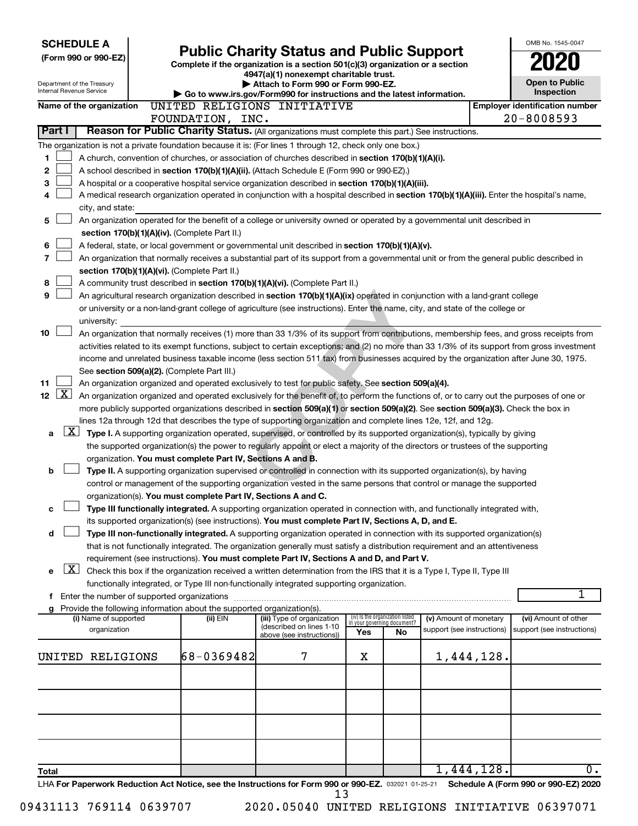| <b>SCHEDULE A</b>                                                                                         |                                                                              |                                                                                                                                                                                                                                                      |     |                                                                |                            |            | OMB No. 1545-0047                     |
|-----------------------------------------------------------------------------------------------------------|------------------------------------------------------------------------------|------------------------------------------------------------------------------------------------------------------------------------------------------------------------------------------------------------------------------------------------------|-----|----------------------------------------------------------------|----------------------------|------------|---------------------------------------|
| (Form 990 or 990-EZ)                                                                                      |                                                                              | <b>Public Charity Status and Public Support</b><br>Complete if the organization is a section 501(c)(3) organization or a section                                                                                                                     |     |                                                                |                            |            |                                       |
| Department of the Treasury                                                                                | 4947(a)(1) nonexempt charitable trust.<br>Attach to Form 990 or Form 990-EZ. |                                                                                                                                                                                                                                                      |     |                                                                |                            |            | <b>Open to Public</b>                 |
| Internal Revenue Service                                                                                  |                                                                              | Go to www.irs.gov/Form990 for instructions and the latest information.                                                                                                                                                                               |     |                                                                |                            |            | <b>Inspection</b>                     |
| Name of the organization                                                                                  |                                                                              | UNITED RELIGIONS INITIATIVE                                                                                                                                                                                                                          |     |                                                                |                            |            | <b>Employer identification number</b> |
| Part I                                                                                                    | FOUNDATION, INC.                                                             | Reason for Public Charity Status. (All organizations must complete this part.) See instructions.                                                                                                                                                     |     |                                                                |                            |            | $20 - 8008593$                        |
| The organization is not a private foundation because it is: (For lines 1 through 12, check only one box.) |                                                                              |                                                                                                                                                                                                                                                      |     |                                                                |                            |            |                                       |
| 1                                                                                                         |                                                                              | A church, convention of churches, or association of churches described in section 170(b)(1)(A)(i).                                                                                                                                                   |     |                                                                |                            |            |                                       |
| 2                                                                                                         |                                                                              | A school described in section 170(b)(1)(A)(ii). (Attach Schedule E (Form 990 or 990-EZ).)                                                                                                                                                            |     |                                                                |                            |            |                                       |
| 3                                                                                                         |                                                                              | A hospital or a cooperative hospital service organization described in section 170(b)(1)(A)(iii).                                                                                                                                                    |     |                                                                |                            |            |                                       |
| 4                                                                                                         |                                                                              | A medical research organization operated in conjunction with a hospital described in section 170(b)(1)(A)(iii). Enter the hospital's name,                                                                                                           |     |                                                                |                            |            |                                       |
| city, and state:                                                                                          |                                                                              |                                                                                                                                                                                                                                                      |     |                                                                |                            |            |                                       |
| 5                                                                                                         | section 170(b)(1)(A)(iv). (Complete Part II.)                                | An organization operated for the benefit of a college or university owned or operated by a governmental unit described in                                                                                                                            |     |                                                                |                            |            |                                       |
| 6                                                                                                         |                                                                              | A federal, state, or local government or governmental unit described in section 170(b)(1)(A)(v).                                                                                                                                                     |     |                                                                |                            |            |                                       |
| 7                                                                                                         |                                                                              | An organization that normally receives a substantial part of its support from a governmental unit or from the general public described in                                                                                                            |     |                                                                |                            |            |                                       |
|                                                                                                           | section 170(b)(1)(A)(vi). (Complete Part II.)                                |                                                                                                                                                                                                                                                      |     |                                                                |                            |            |                                       |
| 8                                                                                                         |                                                                              | A community trust described in section 170(b)(1)(A)(vi). (Complete Part II.)                                                                                                                                                                         |     |                                                                |                            |            |                                       |
| 9                                                                                                         |                                                                              | An agricultural research organization described in section 170(b)(1)(A)(ix) operated in conjunction with a land-grant college                                                                                                                        |     |                                                                |                            |            |                                       |
|                                                                                                           |                                                                              | or university or a non-land-grant college of agriculture (see instructions). Enter the name, city, and state of the college or                                                                                                                       |     |                                                                |                            |            |                                       |
| university:<br>10                                                                                         |                                                                              | An organization that normally receives (1) more than 33 1/3% of its support from contributions, membership fees, and gross receipts from                                                                                                             |     |                                                                |                            |            |                                       |
|                                                                                                           |                                                                              | activities related to its exempt functions, subject to certain exceptions; and (2) no more than 33 1/3% of its support from gross investment                                                                                                         |     |                                                                |                            |            |                                       |
|                                                                                                           |                                                                              | income and unrelated business taxable income (less section 511 tax) from businesses acquired by the organization after June 30, 1975.                                                                                                                |     |                                                                |                            |            |                                       |
|                                                                                                           | See section 509(a)(2). (Complete Part III.)                                  |                                                                                                                                                                                                                                                      |     |                                                                |                            |            |                                       |
| 11                                                                                                        |                                                                              | An organization organized and operated exclusively to test for public safety. See section 509(a)(4).                                                                                                                                                 |     |                                                                |                            |            |                                       |
| $\lfloor x \rfloor$<br>12 <sub>2</sub>                                                                    |                                                                              | An organization organized and operated exclusively for the benefit of, to perform the functions of, or to carry out the purposes of one or                                                                                                           |     |                                                                |                            |            |                                       |
|                                                                                                           |                                                                              | more publicly supported organizations described in section 509(a)(1) or section 509(a)(2). See section 509(a)(3). Check the box in<br>lines 12a through 12d that describes the type of supporting organization and complete lines 12e, 12f, and 12g. |     |                                                                |                            |            |                                       |
| a                                                                                                         |                                                                              | $X$ Type I. A supporting organization operated, supervised, or controlled by its supported organization(s), typically by giving                                                                                                                      |     |                                                                |                            |            |                                       |
|                                                                                                           |                                                                              | the supported organization(s) the power to regularly appoint or elect a majority of the directors or trustees of the supporting                                                                                                                      |     |                                                                |                            |            |                                       |
|                                                                                                           | organization. You must complete Part IV, Sections A and B.                   |                                                                                                                                                                                                                                                      |     |                                                                |                            |            |                                       |
| b                                                                                                         |                                                                              | Type II. A supporting organization supervised or controlled in connection with its supported organization(s), by having                                                                                                                              |     |                                                                |                            |            |                                       |
|                                                                                                           |                                                                              | control or management of the supporting organization vested in the same persons that control or manage the supported                                                                                                                                 |     |                                                                |                            |            |                                       |
| с                                                                                                         | organization(s). You must complete Part IV, Sections A and C.                | Type III functionally integrated. A supporting organization operated in connection with, and functionally integrated with,                                                                                                                           |     |                                                                |                            |            |                                       |
|                                                                                                           |                                                                              | its supported organization(s) (see instructions). You must complete Part IV, Sections A, D, and E.                                                                                                                                                   |     |                                                                |                            |            |                                       |
| d                                                                                                         |                                                                              | Type III non-functionally integrated. A supporting organization operated in connection with its supported organization(s)                                                                                                                            |     |                                                                |                            |            |                                       |
|                                                                                                           |                                                                              | that is not functionally integrated. The organization generally must satisfy a distribution requirement and an attentiveness                                                                                                                         |     |                                                                |                            |            |                                       |
|                                                                                                           |                                                                              | requirement (see instructions). You must complete Part IV, Sections A and D, and Part V.                                                                                                                                                             |     |                                                                |                            |            |                                       |
| $\lfloor x \rfloor$<br>е                                                                                  |                                                                              | Check this box if the organization received a written determination from the IRS that it is a Type I, Type II, Type III                                                                                                                              |     |                                                                |                            |            |                                       |
| Enter the number of supported organizations<br>f.                                                         |                                                                              | functionally integrated, or Type III non-functionally integrated supporting organization.                                                                                                                                                            |     |                                                                |                            |            | 1                                     |
| g                                                                                                         | Provide the following information about the supported organization(s).       |                                                                                                                                                                                                                                                      |     |                                                                |                            |            |                                       |
| (i) Name of supported                                                                                     | (ii) EIN                                                                     | (iii) Type of organization<br>(described on lines 1-10                                                                                                                                                                                               |     | (iv) Is the organization listed<br>in your governing document? | (v) Amount of monetary     |            | (vi) Amount of other                  |
| organization                                                                                              |                                                                              | above (see instructions))                                                                                                                                                                                                                            | Yes | No                                                             | support (see instructions) |            | support (see instructions)            |
| UNITED RELIGIONS                                                                                          | 68-0369482                                                                   | 7                                                                                                                                                                                                                                                    | х   |                                                                |                            | 1,444,128. |                                       |
|                                                                                                           |                                                                              |                                                                                                                                                                                                                                                      |     |                                                                |                            |            |                                       |
|                                                                                                           |                                                                              |                                                                                                                                                                                                                                                      |     |                                                                |                            |            |                                       |
|                                                                                                           |                                                                              |                                                                                                                                                                                                                                                      |     |                                                                |                            |            |                                       |
|                                                                                                           |                                                                              |                                                                                                                                                                                                                                                      |     |                                                                |                            |            |                                       |
|                                                                                                           |                                                                              |                                                                                                                                                                                                                                                      |     |                                                                |                            |            |                                       |
|                                                                                                           |                                                                              |                                                                                                                                                                                                                                                      |     |                                                                |                            |            |                                       |
|                                                                                                           |                                                                              |                                                                                                                                                                                                                                                      |     |                                                                |                            |            |                                       |
| Total                                                                                                     |                                                                              |                                                                                                                                                                                                                                                      |     |                                                                |                            | 1,444,128. | 0.                                    |
| LHA For Paperwork Reduction Act Notice, see the Instructions for Form 990 or 990-EZ. 032021 01-25-21      |                                                                              |                                                                                                                                                                                                                                                      |     |                                                                |                            |            | Schedule A (Form 990 or 990-EZ) 2020  |
|                                                                                                           |                                                                              | 13                                                                                                                                                                                                                                                   |     |                                                                |                            |            |                                       |

09431113 769114 0639707 2020.05040 UNITED RELIGIONS INITIATIVE 06397071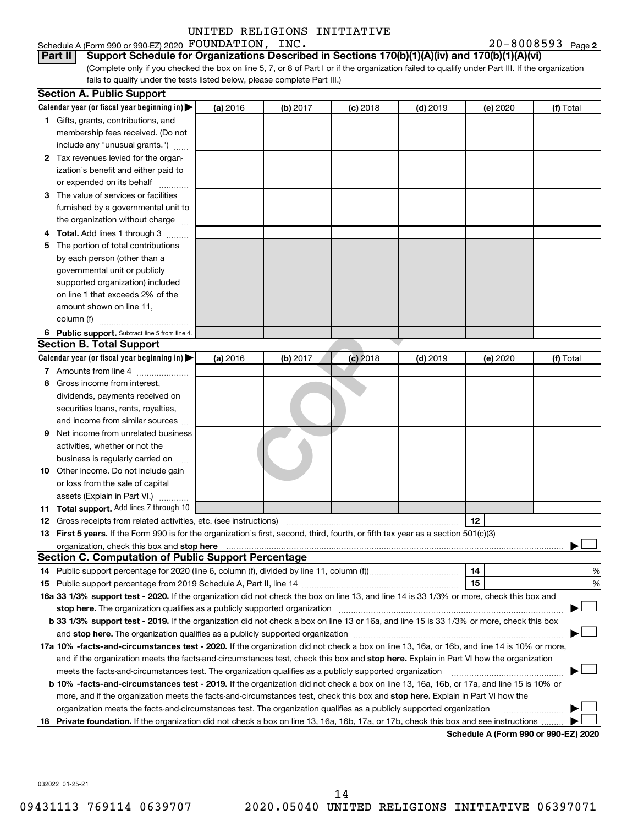20-8008593 Page 2

Schedule A (Form 990 or 990-EZ) 2020  ${\tt FOUNDATION}$ ,  ${\tt INC.}$   $20-8008593$   ${\tt Page}$ **Part II Support Schedule for Organizations Described in Sections 170(b)(1)(A)(iv) and 170(b)(1)(A)(vi)**

(Complete only if you checked the box on line 5, 7, or 8 of Part I or if the organization failed to qualify under Part III. If the organization fails to qualify under the tests listed below, please complete Part III.)

|   | <b>Section A. Public Support</b>                                                                                                                                                                                                   |          |          |            |            |          |           |
|---|------------------------------------------------------------------------------------------------------------------------------------------------------------------------------------------------------------------------------------|----------|----------|------------|------------|----------|-----------|
|   | Calendar year (or fiscal year beginning in)                                                                                                                                                                                        | (a) 2016 | (b) 2017 | $(c)$ 2018 | $(d)$ 2019 | (e) 2020 | (f) Total |
|   | 1 Gifts, grants, contributions, and                                                                                                                                                                                                |          |          |            |            |          |           |
|   | membership fees received. (Do not                                                                                                                                                                                                  |          |          |            |            |          |           |
|   | include any "unusual grants.")                                                                                                                                                                                                     |          |          |            |            |          |           |
|   | 2 Tax revenues levied for the organ-                                                                                                                                                                                               |          |          |            |            |          |           |
|   | ization's benefit and either paid to                                                                                                                                                                                               |          |          |            |            |          |           |
|   | or expended on its behalf                                                                                                                                                                                                          |          |          |            |            |          |           |
|   | 3 The value of services or facilities                                                                                                                                                                                              |          |          |            |            |          |           |
|   | furnished by a governmental unit to                                                                                                                                                                                                |          |          |            |            |          |           |
|   | the organization without charge                                                                                                                                                                                                    |          |          |            |            |          |           |
|   | 4 Total. Add lines 1 through 3                                                                                                                                                                                                     |          |          |            |            |          |           |
|   | 5 The portion of total contributions                                                                                                                                                                                               |          |          |            |            |          |           |
|   | by each person (other than a                                                                                                                                                                                                       |          |          |            |            |          |           |
|   | governmental unit or publicly                                                                                                                                                                                                      |          |          |            |            |          |           |
|   | supported organization) included                                                                                                                                                                                                   |          |          |            |            |          |           |
|   | on line 1 that exceeds 2% of the                                                                                                                                                                                                   |          |          |            |            |          |           |
|   | amount shown on line 11,                                                                                                                                                                                                           |          |          |            |            |          |           |
|   | column (f)                                                                                                                                                                                                                         |          |          |            |            |          |           |
|   | 6 Public support. Subtract line 5 from line 4.                                                                                                                                                                                     |          |          |            |            |          |           |
|   | <b>Section B. Total Support</b>                                                                                                                                                                                                    |          |          |            |            |          |           |
|   | Calendar year (or fiscal year beginning in)                                                                                                                                                                                        | (a) 2016 | (b) 2017 | $(c)$ 2018 | $(d)$ 2019 | (e) 2020 | (f) Total |
|   | 7 Amounts from line 4                                                                                                                                                                                                              |          |          |            |            |          |           |
|   | 8 Gross income from interest,                                                                                                                                                                                                      |          |          |            |            |          |           |
|   | dividends, payments received on                                                                                                                                                                                                    |          |          |            |            |          |           |
|   | securities loans, rents, royalties,                                                                                                                                                                                                |          |          |            |            |          |           |
|   | and income from similar sources                                                                                                                                                                                                    |          |          |            |            |          |           |
| 9 | Net income from unrelated business                                                                                                                                                                                                 |          |          |            |            |          |           |
|   | activities, whether or not the                                                                                                                                                                                                     |          |          |            |            |          |           |
|   | business is regularly carried on                                                                                                                                                                                                   |          |          |            |            |          |           |
|   | 10 Other income. Do not include gain                                                                                                                                                                                               |          |          |            |            |          |           |
|   | or loss from the sale of capital                                                                                                                                                                                                   |          |          |            |            |          |           |
|   | assets (Explain in Part VI.)                                                                                                                                                                                                       |          |          |            |            |          |           |
|   | 11 Total support. Add lines 7 through 10                                                                                                                                                                                           |          |          |            |            |          |           |
|   | <b>12</b> Gross receipts from related activities, etc. (see instructions)                                                                                                                                                          |          |          |            |            | 12       |           |
|   | 13 First 5 years. If the Form 990 is for the organization's first, second, third, fourth, or fifth tax year as a section 501(c)(3)                                                                                                 |          |          |            |            |          |           |
|   | organization, check this box and stop here <b>construction and the construction</b> of the construction of the construction of the construction of the construction of the construction of the construction of the construction of |          |          |            |            |          |           |
|   | <b>Section C. Computation of Public Support Percentage</b>                                                                                                                                                                         |          |          |            |            |          |           |
|   |                                                                                                                                                                                                                                    |          |          |            |            | 14       | %         |
|   |                                                                                                                                                                                                                                    |          |          |            |            | 15       | %         |
|   | 16a 33 1/3% support test - 2020. If the organization did not check the box on line 13, and line 14 is 33 1/3% or more, check this box and                                                                                          |          |          |            |            |          |           |
|   | stop here. The organization qualifies as a publicly supported organization manufactured content and the support of the state of the state of the state of the state of the state of the state of the state of the state of the     |          |          |            |            |          |           |
|   | b 33 1/3% support test - 2019. If the organization did not check a box on line 13 or 16a, and line 15 is 33 1/3% or more, check this box                                                                                           |          |          |            |            |          |           |
|   |                                                                                                                                                                                                                                    |          |          |            |            |          |           |
|   | 17a 10% -facts-and-circumstances test - 2020. If the organization did not check a box on line 13, 16a, or 16b, and line 14 is 10% or more,                                                                                         |          |          |            |            |          |           |
|   | and if the organization meets the facts-and-circumstances test, check this box and stop here. Explain in Part VI how the organization                                                                                              |          |          |            |            |          |           |
|   | meets the facts-and-circumstances test. The organization qualifies as a publicly supported organization                                                                                                                            |          |          |            |            |          |           |
|   |                                                                                                                                                                                                                                    |          |          |            |            |          |           |
|   | <b>b 10%</b> -facts-and-circumstances test - 2019. If the organization did not check a box on line 13, 16a, 16b, or 17a, and line 15 is 10% or                                                                                     |          |          |            |            |          |           |
|   | more, and if the organization meets the facts-and-circumstances test, check this box and stop here. Explain in Part VI how the                                                                                                     |          |          |            |            |          |           |
|   | organization meets the facts-and-circumstances test. The organization qualifies as a publicly supported organization                                                                                                               |          |          |            |            |          |           |

**Schedule A (Form 990 or 990-EZ) 2020**

032022 01-25-21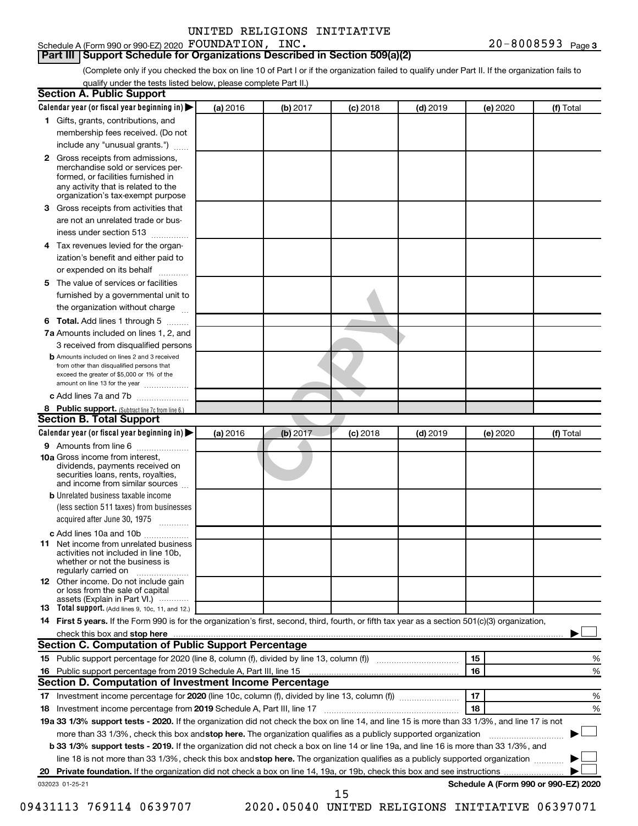#### **Part III Support Schedule for Organizations Described in Section 509(a)(2)**

(Complete only if you checked the box on line 10 of Part I or if the organization failed to qualify under Part II. If the organization fails to qualify under the tests listed below, please complete Part II.)

|    | <b>Section A. Public Support</b>                                                                                                                                                         |          |          |            |            |          |                                      |
|----|------------------------------------------------------------------------------------------------------------------------------------------------------------------------------------------|----------|----------|------------|------------|----------|--------------------------------------|
|    | Calendar year (or fiscal year beginning in)                                                                                                                                              | (a) 2016 | (b) 2017 | (c) 2018   | $(d)$ 2019 | (e) 2020 | (f) Total                            |
|    | 1 Gifts, grants, contributions, and                                                                                                                                                      |          |          |            |            |          |                                      |
|    | membership fees received. (Do not                                                                                                                                                        |          |          |            |            |          |                                      |
|    | include any "unusual grants.")                                                                                                                                                           |          |          |            |            |          |                                      |
|    | 2 Gross receipts from admissions,<br>merchandise sold or services per-<br>formed, or facilities furnished in<br>any activity that is related to the<br>organization's tax-exempt purpose |          |          |            |            |          |                                      |
| З  | Gross receipts from activities that<br>are not an unrelated trade or bus-                                                                                                                |          |          |            |            |          |                                      |
|    | iness under section 513                                                                                                                                                                  |          |          |            |            |          |                                      |
|    | 4 Tax revenues levied for the organ-<br>ization's benefit and either paid to                                                                                                             |          |          |            |            |          |                                      |
|    | or expended on its behalf                                                                                                                                                                |          |          |            |            |          |                                      |
| 5. | The value of services or facilities<br>furnished by a governmental unit to<br>the organization without charge                                                                            |          |          |            |            |          |                                      |
|    | 6 Total. Add lines 1 through 5                                                                                                                                                           |          |          |            |            |          |                                      |
|    | 7a Amounts included on lines 1, 2, and                                                                                                                                                   |          |          |            |            |          |                                      |
|    | 3 received from disqualified persons                                                                                                                                                     |          |          |            |            |          |                                      |
|    | <b>b</b> Amounts included on lines 2 and 3 received<br>from other than disqualified persons that<br>exceed the greater of \$5,000 or 1% of the<br>amount on line 13 for the year         |          |          |            |            |          |                                      |
|    | c Add lines 7a and 7b                                                                                                                                                                    |          |          |            |            |          |                                      |
|    | 8 Public support. (Subtract line 7c from line 6.)                                                                                                                                        |          |          |            |            |          |                                      |
|    | <b>Section B. Total Support</b>                                                                                                                                                          |          |          |            |            |          |                                      |
|    | Calendar year (or fiscal year beginning in)                                                                                                                                              | (a) 2016 | (b) 2017 | $(c)$ 2018 | $(d)$ 2019 | (e) 2020 | (f) Total                            |
|    | 9 Amounts from line 6                                                                                                                                                                    |          |          |            |            |          |                                      |
|    | <b>10a</b> Gross income from interest,<br>dividends, payments received on<br>securities loans, rents, royalties,<br>and income from similar sources                                      |          |          |            |            |          |                                      |
|    | <b>b</b> Unrelated business taxable income<br>(less section 511 taxes) from businesses<br>acquired after June 30, 1975<br>.                                                              |          |          |            |            |          |                                      |
|    | c Add lines 10a and 10b                                                                                                                                                                  |          |          |            |            |          |                                      |
|    | <b>11</b> Net income from unrelated business<br>activities not included in line 10b.<br>whether or not the business is<br>regularly carried on                                           |          |          |            |            |          |                                      |
|    | <b>12</b> Other income. Do not include gain<br>or loss from the sale of capital<br>assets (Explain in Part VI.)                                                                          |          |          |            |            |          |                                      |
|    | 13 Total support. (Add lines 9, 10c, 11, and 12.)                                                                                                                                        |          |          |            |            |          |                                      |
|    | 14 First 5 years. If the Form 990 is for the organization's first, second, third, fourth, or fifth tax year as a section 501(c)(3) organization,                                         |          |          |            |            |          |                                      |
|    | check this box and stop here                                                                                                                                                             |          |          |            |            |          |                                      |
|    | Section C. Computation of Public Support Percentage                                                                                                                                      |          |          |            |            |          |                                      |
|    | 15 Public support percentage for 2020 (line 8, column (f), divided by line 13, column (f) <i></i>                                                                                        |          |          |            |            | 15       | %                                    |
|    | 16 Public support percentage from 2019 Schedule A, Part III, line 15                                                                                                                     |          |          |            |            | 16       | %                                    |
|    | <b>Section D. Computation of Investment Income Percentage</b>                                                                                                                            |          |          |            |            |          |                                      |
|    |                                                                                                                                                                                          |          |          |            |            | 17       | %                                    |
|    | 18 Investment income percentage from 2019 Schedule A, Part III, line 17                                                                                                                  |          |          |            |            | 18       | %                                    |
|    | 19a 33 1/3% support tests - 2020. If the organization did not check the box on line 14, and line 15 is more than 33 1/3%, and line 17 is not                                             |          |          |            |            |          |                                      |
|    | more than 33 1/3%, check this box and stop here. The organization qualifies as a publicly supported organization                                                                         |          |          |            |            |          |                                      |
|    | b 33 1/3% support tests - 2019. If the organization did not check a box on line 14 or line 19a, and line 16 is more than 33 1/3%, and                                                    |          |          |            |            |          |                                      |
|    | line 18 is not more than 33 1/3%, check this box and stop here. The organization qualifies as a publicly supported organization                                                          |          |          |            |            |          |                                      |
|    |                                                                                                                                                                                          |          |          |            |            |          |                                      |
|    | 032023 01-25-21                                                                                                                                                                          |          |          | 15         |            |          | Schedule A (Form 990 or 990-EZ) 2020 |

09431113 769114 0639707 2020.05040 UNITED RELIGIONS INITIATIVE 06397071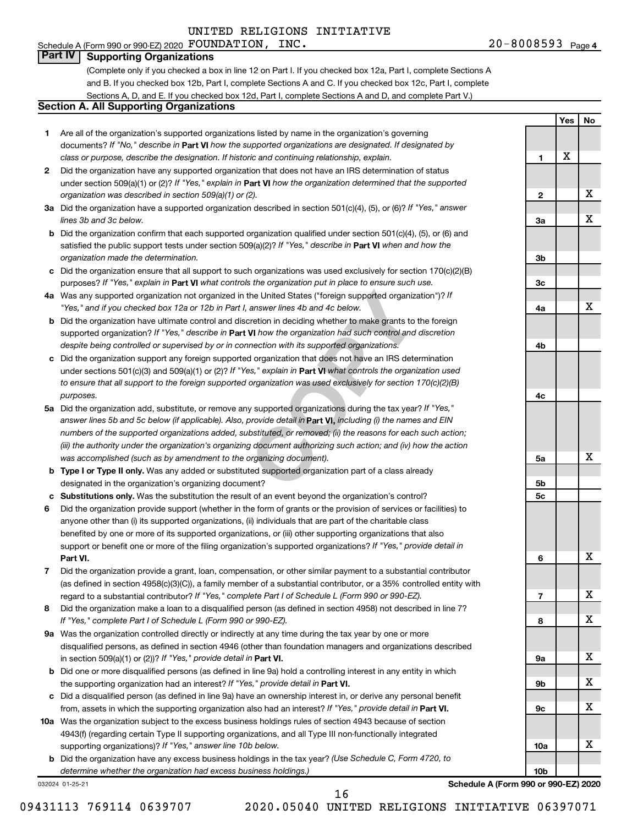20-8008593 Page 4 Schedule A (Form 990 or 990-EZ) 2020  ${\tt FOUNDATION}$ ,  ${\tt INC.}$   $20-8008593$   ${\tt Page}$ 

**1**

**2**

**3a**

**3b**

**3c**

**4a**

**4b**

**4c**

**5a**

**5b 5c**

**6**

**7**

**8**

**9a**

**9b**

**9c**

**10a**

**10b**

**Yes No**

X

X

X

X

X

X

X

X

X

X

X

X

#### **Part IV Supporting Organizations**

(Complete only if you checked a box in line 12 on Part I. If you checked box 12a, Part I, complete Sections A and B. If you checked box 12b, Part I, complete Sections A and C. If you checked box 12c, Part I, complete Sections A, D, and E. If you checked box 12d, Part I, complete Sections A and D, and complete Part V.)

#### **Section A. All Supporting Organizations**

- **1** Are all of the organization's supported organizations listed by name in the organization's governing documents? If "No," describe in Part VI how the supported organizations are designated. If designated by *class or purpose, describe the designation. If historic and continuing relationship, explain.*
- **2** Did the organization have any supported organization that does not have an IRS determination of status under section 509(a)(1) or (2)? If "Yes," explain in Part **VI** how the organization determined that the supported *organization was described in section 509(a)(1) or (2).*
- **3a** Did the organization have a supported organization described in section 501(c)(4), (5), or (6)? If "Yes," answer *lines 3b and 3c below.*
- **b** Did the organization confirm that each supported organization qualified under section 501(c)(4), (5), or (6) and satisfied the public support tests under section 509(a)(2)? If "Yes," describe in Part VI when and how the *organization made the determination.*
- **c** Did the organization ensure that all support to such organizations was used exclusively for section 170(c)(2)(B) purposes? If "Yes," explain in Part VI what controls the organization put in place to ensure such use.
- **4 a** *If* Was any supported organization not organized in the United States ("foreign supported organization")? *"Yes," and if you checked box 12a or 12b in Part I, answer lines 4b and 4c below.*
- **b** Did the organization have ultimate control and discretion in deciding whether to make grants to the foreign supported organization? If "Yes," describe in Part VI how the organization had such control and discretion *despite being controlled or supervised by or in connection with its supported organizations.*
- **c** Did the organization support any foreign supported organization that does not have an IRS determination under sections 501(c)(3) and 509(a)(1) or (2)? If "Yes," explain in Part VI what controls the organization used *to ensure that all support to the foreign supported organization was used exclusively for section 170(c)(2)(B) purposes.*
- the United States ("foreign supported organization")? *l*<br>answer lines 4b and 4c below.<br>Consider the foreign supported organization")? *l*<br>answer lines 4b and 4c below.<br>**VI** how the organization had such control and discre **5a** Did the organization add, substitute, or remove any supported organizations during the tax year? If "Yes," answer lines 5b and 5c below (if applicable). Also, provide detail in **Part VI,** including (i) the names and EIN *numbers of the supported organizations added, substituted, or removed; (ii) the reasons for each such action; (iii) the authority under the organization's organizing document authorizing such action; and (iv) how the action was accomplished (such as by amendment to the organizing document).*
- **b** Type I or Type II only. Was any added or substituted supported organization part of a class already designated in the organization's organizing document?
- **c Substitutions only.**  Was the substitution the result of an event beyond the organization's control?
- **6** Did the organization provide support (whether in the form of grants or the provision of services or facilities) to **Part VI.** support or benefit one or more of the filing organization's supported organizations? If "Yes," provide detail in anyone other than (i) its supported organizations, (ii) individuals that are part of the charitable class benefited by one or more of its supported organizations, or (iii) other supporting organizations that also
- **7** Did the organization provide a grant, loan, compensation, or other similar payment to a substantial contributor regard to a substantial contributor? If "Yes," complete Part I of Schedule L (Form 990 or 990-EZ). (as defined in section 4958(c)(3)(C)), a family member of a substantial contributor, or a 35% controlled entity with
- **8** Did the organization make a loan to a disqualified person (as defined in section 4958) not described in line 7? *If "Yes," complete Part I of Schedule L (Form 990 or 990-EZ).*
- **9 a** Was the organization controlled directly or indirectly at any time during the tax year by one or more in section 509(a)(1) or (2))? If "Yes," provide detail in **Part VI.** disqualified persons, as defined in section 4946 (other than foundation managers and organizations described
- **b** Did one or more disqualified persons (as defined in line 9a) hold a controlling interest in any entity in which the supporting organization had an interest? If "Yes," provide detail in Part VI.
- **c** Did a disqualified person (as defined in line 9a) have an ownership interest in, or derive any personal benefit from, assets in which the supporting organization also had an interest? If "Yes," provide detail in Part VI.
- **10 a** Was the organization subject to the excess business holdings rules of section 4943 because of section supporting organizations)? If "Yes," answer line 10b below. 4943(f) (regarding certain Type II supporting organizations, and all Type III non-functionally integrated
	- **b** Did the organization have any excess business holdings in the tax year? (Use Schedule C, Form 4720, to *determine whether the organization had excess business holdings.)*

032024 01-25-21

**Schedule A (Form 990 or 990-EZ) 2020**

16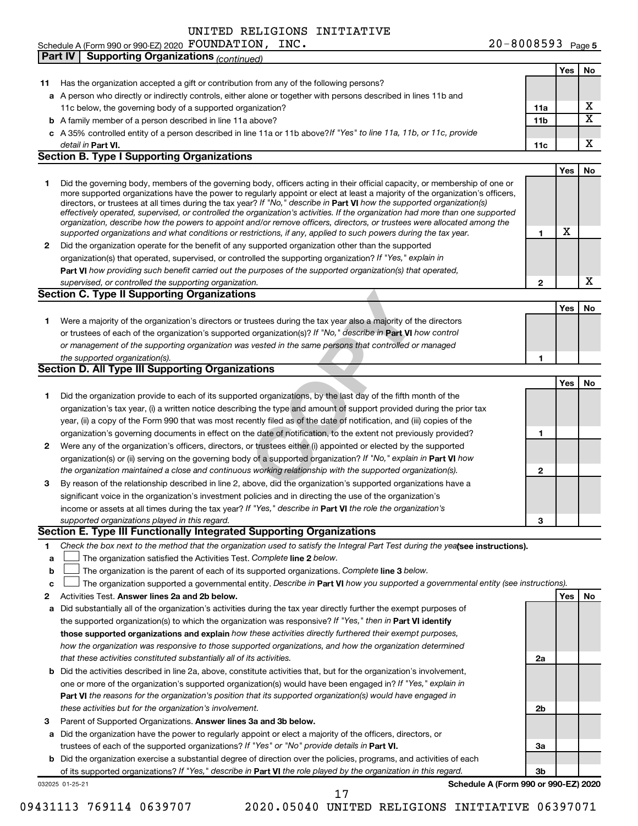20-8008593 Page 5 Schedule A (Form 990 or 990-EZ) 2020 Page FOUNDATION, INC. 20-8008593

|    | <b>Supporting Organizations (continued)</b><br>Part IV                                                                                                                                                                                                     |                 |     |                         |
|----|------------------------------------------------------------------------------------------------------------------------------------------------------------------------------------------------------------------------------------------------------------|-----------------|-----|-------------------------|
|    |                                                                                                                                                                                                                                                            |                 | Yes | No                      |
| 11 | Has the organization accepted a gift or contribution from any of the following persons?                                                                                                                                                                    |                 |     |                         |
|    | a A person who directly or indirectly controls, either alone or together with persons described in lines 11b and                                                                                                                                           |                 |     |                         |
|    | 11c below, the governing body of a supported organization?                                                                                                                                                                                                 | 11a             |     | X                       |
|    | <b>b</b> A family member of a person described in line 11a above?                                                                                                                                                                                          | 11 <sub>b</sub> |     | $\overline{\mathtt{x}}$ |
|    | c A 35% controlled entity of a person described in line 11a or 11b above?If "Yes" to line 11a, 11b, or 11c, provide                                                                                                                                        |                 |     |                         |
|    | detail in Part VI.                                                                                                                                                                                                                                         | 11c             |     | X                       |
|    | <b>Section B. Type I Supporting Organizations</b>                                                                                                                                                                                                          |                 |     |                         |
|    |                                                                                                                                                                                                                                                            |                 | Yes | No                      |
| 1  | Did the governing body, members of the governing body, officers acting in their official capacity, or membership of one or                                                                                                                                 |                 |     |                         |
|    | more supported organizations have the power to regularly appoint or elect at least a majority of the organization's officers,                                                                                                                              |                 |     |                         |
|    | directors, or trustees at all times during the tax year? If "No," describe in Part VI how the supported organization(s)                                                                                                                                    |                 |     |                         |
|    | effectively operated, supervised, or controlled the organization's activities. If the organization had more than one supported<br>organization, describe how the powers to appoint and/or remove officers, directors, or trustees were allocated among the |                 |     |                         |
|    | supported organizations and what conditions or restrictions, if any, applied to such powers during the tax year.                                                                                                                                           | 1               | x   |                         |
| 2  | Did the organization operate for the benefit of any supported organization other than the supported                                                                                                                                                        |                 |     |                         |
|    | organization(s) that operated, supervised, or controlled the supporting organization? If "Yes," explain in                                                                                                                                                 |                 |     |                         |
|    | Part VI how providing such benefit carried out the purposes of the supported organization(s) that operated,                                                                                                                                                |                 |     |                         |
|    | supervised, or controlled the supporting organization.                                                                                                                                                                                                     | $\mathbf{2}$    |     | X                       |
|    | <b>Section C. Type II Supporting Organizations</b>                                                                                                                                                                                                         |                 |     |                         |
|    |                                                                                                                                                                                                                                                            |                 | Yes | No                      |
| 1  | Were a majority of the organization's directors or trustees during the tax year also a majority of the directors                                                                                                                                           |                 |     |                         |
|    | or trustees of each of the organization's supported organization(s)? If "No," describe in Part VI how control                                                                                                                                              |                 |     |                         |
|    | or management of the supporting organization was vested in the same persons that controlled or managed                                                                                                                                                     |                 |     |                         |
|    | the supported organization(s).                                                                                                                                                                                                                             | 1               |     |                         |
|    | Section D. All Type III Supporting Organizations                                                                                                                                                                                                           |                 |     |                         |
|    |                                                                                                                                                                                                                                                            |                 | Yes | No                      |
| 1  | Did the organization provide to each of its supported organizations, by the last day of the fifth month of the                                                                                                                                             |                 |     |                         |
|    | organization's tax year, (i) a written notice describing the type and amount of support provided during the prior tax                                                                                                                                      |                 |     |                         |
|    | year, (ii) a copy of the Form 990 that was most recently filed as of the date of notification, and (iii) copies of the                                                                                                                                     |                 |     |                         |
|    | organization's governing documents in effect on the date of notification, to the extent not previously provided?                                                                                                                                           | 1               |     |                         |
| 2  | Were any of the organization's officers, directors, or trustees either (i) appointed or elected by the supported                                                                                                                                           |                 |     |                         |
|    | organization(s) or (ii) serving on the governing body of a supported organization? If "No," explain in Part VI how                                                                                                                                         |                 |     |                         |
|    | the organization maintained a close and continuous working relationship with the supported organization(s).                                                                                                                                                | 2               |     |                         |
| 3  | By reason of the relationship described in line 2, above, did the organization's supported organizations have a                                                                                                                                            |                 |     |                         |
|    | significant voice in the organization's investment policies and in directing the use of the organization's                                                                                                                                                 |                 |     |                         |
|    | income or assets at all times during the tax year? If "Yes," describe in Part VI the role the organization's                                                                                                                                               |                 |     |                         |
|    | supported organizations played in this regard.                                                                                                                                                                                                             | 3               |     |                         |
|    | Section E. Type III Functionally Integrated Supporting Organizations                                                                                                                                                                                       |                 |     |                         |
| 1  | Check the box next to the method that the organization used to satisfy the Integral Part Test during the yealsee instructions).                                                                                                                            |                 |     |                         |
| а  | The organization satisfied the Activities Test. Complete line 2 below.                                                                                                                                                                                     |                 |     |                         |
| b  | The organization is the parent of each of its supported organizations. Complete line 3 below.                                                                                                                                                              |                 |     |                         |
| c  | The organization supported a governmental entity. Describe in Part VI how you supported a governmental entity (see instructions).                                                                                                                          |                 |     |                         |
| 2  | Activities Test. Answer lines 2a and 2b below.                                                                                                                                                                                                             |                 | Yes | No                      |
| а  | Did substantially all of the organization's activities during the tax year directly further the exempt purposes of                                                                                                                                         |                 |     |                         |
|    | the supported organization(s) to which the organization was responsive? If "Yes," then in Part VI identify                                                                                                                                                 |                 |     |                         |
|    | those supported organizations and explain how these activities directly furthered their exempt purposes,                                                                                                                                                   |                 |     |                         |
|    | how the organization was responsive to those supported organizations, and how the organization determined                                                                                                                                                  |                 |     |                         |
|    | that these activities constituted substantially all of its activities.                                                                                                                                                                                     | 2a              |     |                         |
| b  | Did the activities described in line 2a, above, constitute activities that, but for the organization's involvement,                                                                                                                                        |                 |     |                         |
|    | one or more of the organization's supported organization(s) would have been engaged in? If "Yes," explain in                                                                                                                                               |                 |     |                         |
|    | Part VI the reasons for the organization's position that its supported organization(s) would have engaged in                                                                                                                                               |                 |     |                         |
|    | these activities but for the organization's involvement.                                                                                                                                                                                                   | 2b              |     |                         |
| З  | Parent of Supported Organizations. Answer lines 3a and 3b below.                                                                                                                                                                                           |                 |     |                         |
|    | Did the organization have the power to regularly appoint or elect a majority of the officers, directors, or                                                                                                                                                |                 |     |                         |
| а  |                                                                                                                                                                                                                                                            |                 |     |                         |
|    | trustees of each of the supported organizations? If "Yes" or "No" provide details in Part VI.                                                                                                                                                              | За              |     |                         |
|    | <b>b</b> Did the organization exercise a substantial degree of direction over the policies, programs, and activities of each                                                                                                                               | Зb              |     |                         |
|    | of its supported organizations? If "Yes," describe in Part VI the role played by the organization in this regard.<br>Schedule A (Form 990 or 990-EZ) 2020<br>032025 01-25-21                                                                               |                 |     |                         |
|    | 17                                                                                                                                                                                                                                                         |                 |     |                         |

<sup>09431113 769114 0639707 2020.05040</sup> UNITED RELIGIONS INITIATIVE 06397071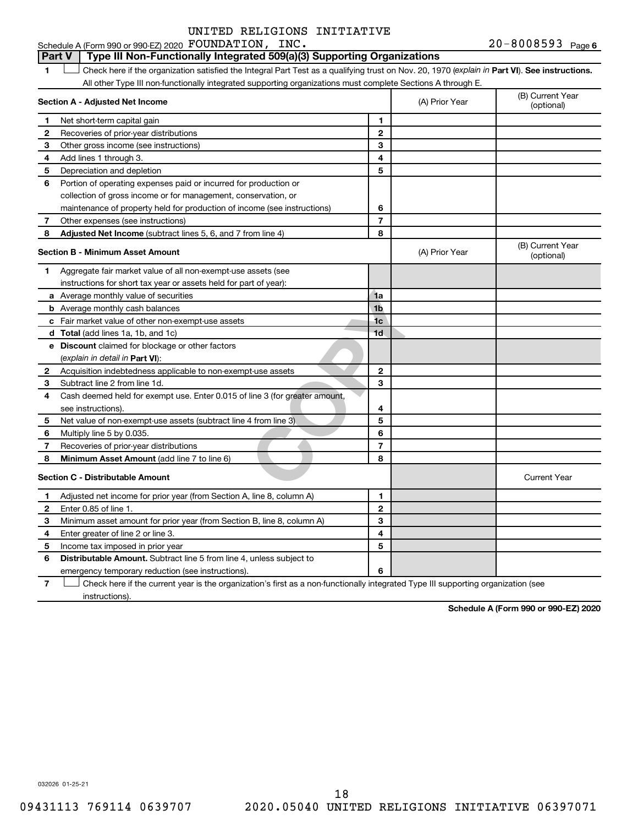#### **Part V Type III Non-Functionally Integrated 509(a)(3) Supporting Organizations**

1 **Letter See instructions.** Check here if the organization satisfied the Integral Part Test as a qualifying trust on Nov. 20, 1970 (*explain in* Part **VI**). See instructions. All other Type III non-functionally integrated supporting organizations must complete Sections A through E.

|    | Section A - Adjusted Net Income                                             | (A) Prior Year | (B) Current Year<br>(optional) |                                |
|----|-----------------------------------------------------------------------------|----------------|--------------------------------|--------------------------------|
| 1  | Net short-term capital gain                                                 | 1              |                                |                                |
| 2  | Recoveries of prior-year distributions                                      | $\overline{2}$ |                                |                                |
| 3  | Other gross income (see instructions)                                       | 3              |                                |                                |
| 4  | Add lines 1 through 3.                                                      | 4              |                                |                                |
| 5  | Depreciation and depletion                                                  | 5              |                                |                                |
| 6  | Portion of operating expenses paid or incurred for production or            |                |                                |                                |
|    | collection of gross income or for management, conservation, or              |                |                                |                                |
|    | maintenance of property held for production of income (see instructions)    | 6              |                                |                                |
| 7  | Other expenses (see instructions)                                           | $\overline{7}$ |                                |                                |
| 8  | Adjusted Net Income (subtract lines 5, 6, and 7 from line 4)                | 8              |                                |                                |
|    | <b>Section B - Minimum Asset Amount</b>                                     |                | (A) Prior Year                 | (B) Current Year<br>(optional) |
| 1. | Aggregate fair market value of all non-exempt-use assets (see               |                |                                |                                |
|    | instructions for short tax year or assets held for part of year):           |                |                                |                                |
|    | a Average monthly value of securities                                       | 1a             |                                |                                |
|    | <b>b</b> Average monthly cash balances                                      | 1 <sub>b</sub> |                                |                                |
|    | c Fair market value of other non-exempt-use assets                          | 1c             |                                |                                |
|    | d Total (add lines 1a, 1b, and 1c)                                          | 1 <sub>d</sub> |                                |                                |
|    | <b>e</b> Discount claimed for blockage or other factors                     |                |                                |                                |
|    | (explain in detail in Part VI):                                             |                |                                |                                |
| 2  | Acquisition indebtedness applicable to non-exempt-use assets                | $\mathbf{2}$   |                                |                                |
| 3  | Subtract line 2 from line 1d.                                               | 3              |                                |                                |
| 4  | Cash deemed held for exempt use. Enter 0.015 of line 3 (for greater amount, |                |                                |                                |
|    | see instructions).                                                          | 4              |                                |                                |
| 5  | Net value of non-exempt-use assets (subtract line 4 from line 3)            | 5              |                                |                                |
| 6  | Multiply line 5 by 0.035.                                                   | 6              |                                |                                |
| 7  | Recoveries of prior-year distributions                                      | $\overline{7}$ |                                |                                |
| 8  | Minimum Asset Amount (add line 7 to line 6)                                 | 8              |                                |                                |
|    | <b>Section C - Distributable Amount</b>                                     |                |                                | <b>Current Year</b>            |
| 1  | Adjusted net income for prior year (from Section A, line 8, column A)       | 1              |                                |                                |
| 2  | Enter 0.85 of line 1.                                                       | $\mathbf{2}$   |                                |                                |
| З  | Minimum asset amount for prior year (from Section B, line 8, column A)      | 3              |                                |                                |
| 4  | Enter greater of line 2 or line 3.                                          | 4              |                                |                                |
| 5  | Income tax imposed in prior year                                            | 5              |                                |                                |
| 6  | Distributable Amount. Subtract line 5 from line 4, unless subject to        |                |                                |                                |
|    | emergency temporary reduction (see instructions).                           | 6              |                                |                                |
|    |                                                                             |                |                                |                                |

**7** Check here if the current year is the organization's first as a non-functionally integrated Type III supporting organization (see † instructions).

**Schedule A (Form 990 or 990-EZ) 2020**

032026 01-25-21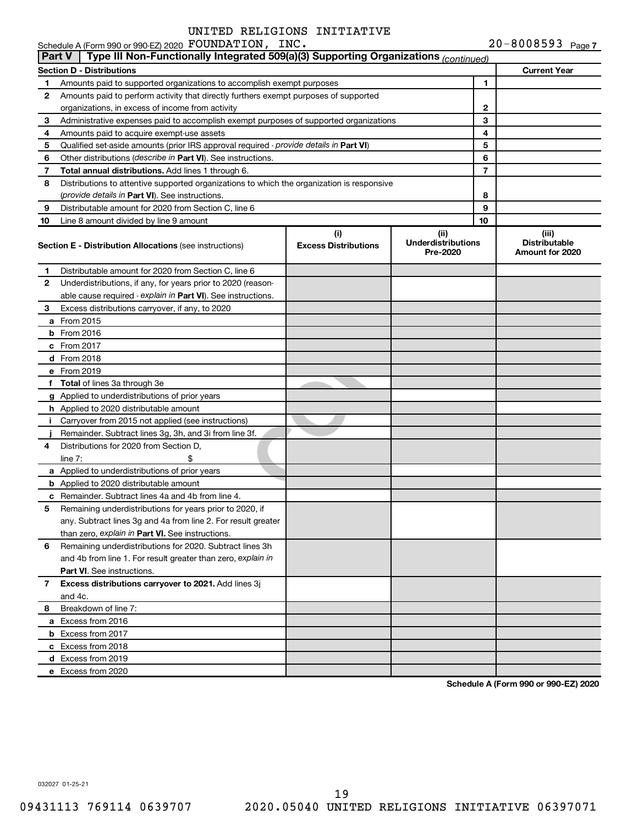|               | Schedule A (Form 990 or 990-EZ) 2020 FOUNDATION, INC.                                      |                                    |                                               |    | $20 - 8008593$ Page 7                            |
|---------------|--------------------------------------------------------------------------------------------|------------------------------------|-----------------------------------------------|----|--------------------------------------------------|
| <b>Part V</b> | Type III Non-Functionally Integrated 509(a)(3) Supporting Organizations (continued)        |                                    |                                               |    |                                                  |
|               | <b>Section D - Distributions</b>                                                           |                                    |                                               |    | <b>Current Year</b>                              |
| 1             | Amounts paid to supported organizations to accomplish exempt purposes                      |                                    | 1                                             |    |                                                  |
| 2             | Amounts paid to perform activity that directly furthers exempt purposes of supported       |                                    |                                               |    |                                                  |
|               | organizations, in excess of income from activity                                           |                                    |                                               | 2  |                                                  |
| 3             | Administrative expenses paid to accomplish exempt purposes of supported organizations      |                                    |                                               | 3  |                                                  |
| 4             | Amounts paid to acquire exempt-use assets                                                  |                                    |                                               | 4  |                                                  |
| 5             | Qualified set-aside amounts (prior IRS approval required - provide details in Part VI)     |                                    |                                               | 5  |                                                  |
| 6             | Other distributions (describe in Part VI). See instructions.                               |                                    |                                               | 6  |                                                  |
| 7             | Total annual distributions. Add lines 1 through 6.                                         |                                    |                                               | 7  |                                                  |
| 8             | Distributions to attentive supported organizations to which the organization is responsive |                                    |                                               |    |                                                  |
|               | (provide details in Part VI). See instructions.                                            |                                    |                                               | 8  |                                                  |
| 9             | Distributable amount for 2020 from Section C, line 6                                       |                                    |                                               | 9  |                                                  |
| 10            | Line 8 amount divided by line 9 amount                                                     |                                    |                                               | 10 |                                                  |
|               | <b>Section E - Distribution Allocations (see instructions)</b>                             | (i)<br><b>Excess Distributions</b> | (ii)<br><b>Underdistributions</b><br>Pre-2020 |    | (iii)<br><b>Distributable</b><br>Amount for 2020 |
| 1             | Distributable amount for 2020 from Section C, line 6                                       |                                    |                                               |    |                                                  |
| 2             | Underdistributions, if any, for years prior to 2020 (reason-                               |                                    |                                               |    |                                                  |
|               | able cause required - explain in Part VI). See instructions.                               |                                    |                                               |    |                                                  |
| 3             | Excess distributions carryover, if any, to 2020                                            |                                    |                                               |    |                                                  |
|               | a From 2015                                                                                |                                    |                                               |    |                                                  |
|               | <b>b</b> From 2016                                                                         |                                    |                                               |    |                                                  |
|               | c From 2017                                                                                |                                    |                                               |    |                                                  |
|               | <b>d</b> From 2018                                                                         |                                    |                                               |    |                                                  |
|               | e From 2019                                                                                |                                    |                                               |    |                                                  |
|               | f Total of lines 3a through 3e                                                             |                                    |                                               |    |                                                  |
|               | g Applied to underdistributions of prior years                                             |                                    |                                               |    |                                                  |
|               | h Applied to 2020 distributable amount                                                     |                                    |                                               |    |                                                  |
| Ť.            | Carryover from 2015 not applied (see instructions)                                         |                                    |                                               |    |                                                  |
|               | Remainder. Subtract lines 3g, 3h, and 3i from line 3f.                                     |                                    |                                               |    |                                                  |
| 4             | Distributions for 2020 from Section D,                                                     |                                    |                                               |    |                                                  |
|               | line $7:$                                                                                  |                                    |                                               |    |                                                  |
|               | a Applied to underdistributions of prior years                                             |                                    |                                               |    |                                                  |
|               | <b>b</b> Applied to 2020 distributable amount                                              |                                    |                                               |    |                                                  |
|               | c Remainder. Subtract lines 4a and 4b from line 4.                                         |                                    |                                               |    |                                                  |
|               | 5 Remaining underdistributions for years prior to 2020, if                                 |                                    |                                               |    |                                                  |
|               | any. Subtract lines 3g and 4a from line 2. For result greater                              |                                    |                                               |    |                                                  |
|               | than zero, explain in Part VI. See instructions.                                           |                                    |                                               |    |                                                  |
| 6             | Remaining underdistributions for 2020. Subtract lines 3h                                   |                                    |                                               |    |                                                  |
|               | and 4b from line 1. For result greater than zero, explain in                               |                                    |                                               |    |                                                  |
|               | <b>Part VI.</b> See instructions.                                                          |                                    |                                               |    |                                                  |
| 7             | Excess distributions carryover to 2021. Add lines 3j                                       |                                    |                                               |    |                                                  |
|               | and 4c.                                                                                    |                                    |                                               |    |                                                  |
| 8             | Breakdown of line 7:                                                                       |                                    |                                               |    |                                                  |
|               | a Excess from 2016                                                                         |                                    |                                               |    |                                                  |
|               | <b>b</b> Excess from 2017                                                                  |                                    |                                               |    |                                                  |
|               | c Excess from 2018                                                                         |                                    |                                               |    |                                                  |
|               | d Excess from 2019                                                                         |                                    |                                               |    |                                                  |
|               | e Excess from 2020                                                                         |                                    |                                               |    |                                                  |

**Schedule A (Form 990 or 990-EZ) 2020**

032027 01-25-21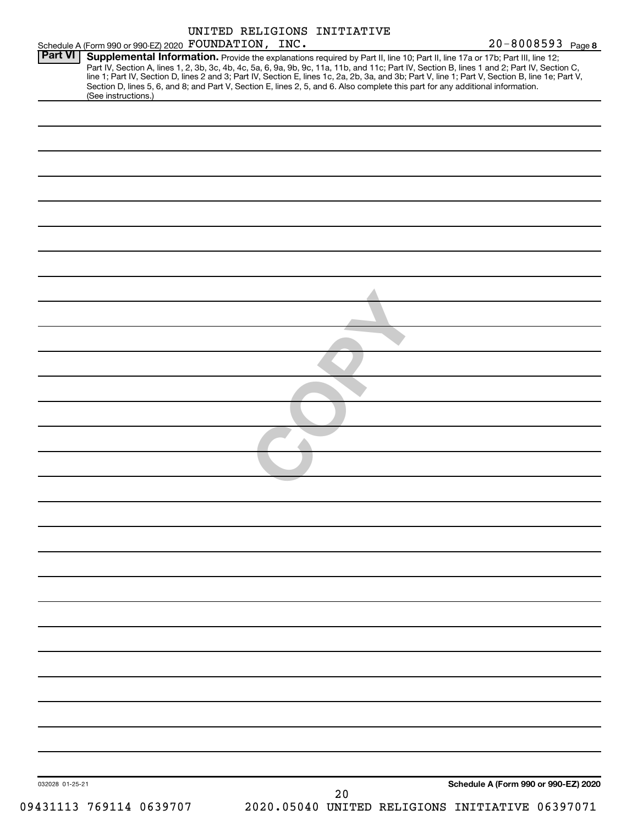| Schedule A (Form 990 or 990-EZ) 2020 FOUNDATION, INC. | UNITED RELIGIONS INITIATIVE                                                                                                                                                                                                                                                                                                                                                                                                                                                                                                                                          | 20-8008593 Page 8                               |
|-------------------------------------------------------|----------------------------------------------------------------------------------------------------------------------------------------------------------------------------------------------------------------------------------------------------------------------------------------------------------------------------------------------------------------------------------------------------------------------------------------------------------------------------------------------------------------------------------------------------------------------|-------------------------------------------------|
| Part VI<br>(See instructions.)                        | Supplemental Information. Provide the explanations required by Part II, line 10; Part II, line 17a or 17b; Part III, line 12;<br>Part IV, Section A, lines 1, 2, 3b, 3c, 4b, 4c, 5a, 6, 9a, 9b, 9c, 11a, 11b, and 11c; Part IV, Section B, lines 1 and 2; Part IV, Section C,<br>line 1; Part IV, Section D, lines 2 and 3; Part IV, Section E, lines 1c, 2a, 2b, 3a, and 3b; Part V, line 1; Part V, Section B, line 1e; Part V,<br>Section D, lines 5, 6, and 8; and Part V, Section E, lines 2, 5, and 6. Also complete this part for any additional information. |                                                 |
|                                                       |                                                                                                                                                                                                                                                                                                                                                                                                                                                                                                                                                                      |                                                 |
|                                                       |                                                                                                                                                                                                                                                                                                                                                                                                                                                                                                                                                                      |                                                 |
|                                                       |                                                                                                                                                                                                                                                                                                                                                                                                                                                                                                                                                                      |                                                 |
|                                                       |                                                                                                                                                                                                                                                                                                                                                                                                                                                                                                                                                                      |                                                 |
|                                                       |                                                                                                                                                                                                                                                                                                                                                                                                                                                                                                                                                                      |                                                 |
|                                                       |                                                                                                                                                                                                                                                                                                                                                                                                                                                                                                                                                                      |                                                 |
|                                                       |                                                                                                                                                                                                                                                                                                                                                                                                                                                                                                                                                                      |                                                 |
|                                                       |                                                                                                                                                                                                                                                                                                                                                                                                                                                                                                                                                                      |                                                 |
|                                                       |                                                                                                                                                                                                                                                                                                                                                                                                                                                                                                                                                                      |                                                 |
|                                                       |                                                                                                                                                                                                                                                                                                                                                                                                                                                                                                                                                                      |                                                 |
|                                                       |                                                                                                                                                                                                                                                                                                                                                                                                                                                                                                                                                                      |                                                 |
|                                                       |                                                                                                                                                                                                                                                                                                                                                                                                                                                                                                                                                                      |                                                 |
|                                                       |                                                                                                                                                                                                                                                                                                                                                                                                                                                                                                                                                                      |                                                 |
|                                                       |                                                                                                                                                                                                                                                                                                                                                                                                                                                                                                                                                                      |                                                 |
|                                                       |                                                                                                                                                                                                                                                                                                                                                                                                                                                                                                                                                                      |                                                 |
|                                                       |                                                                                                                                                                                                                                                                                                                                                                                                                                                                                                                                                                      |                                                 |
|                                                       |                                                                                                                                                                                                                                                                                                                                                                                                                                                                                                                                                                      |                                                 |
|                                                       |                                                                                                                                                                                                                                                                                                                                                                                                                                                                                                                                                                      |                                                 |
|                                                       |                                                                                                                                                                                                                                                                                                                                                                                                                                                                                                                                                                      |                                                 |
|                                                       |                                                                                                                                                                                                                                                                                                                                                                                                                                                                                                                                                                      |                                                 |
|                                                       |                                                                                                                                                                                                                                                                                                                                                                                                                                                                                                                                                                      |                                                 |
|                                                       |                                                                                                                                                                                                                                                                                                                                                                                                                                                                                                                                                                      |                                                 |
|                                                       |                                                                                                                                                                                                                                                                                                                                                                                                                                                                                                                                                                      |                                                 |
|                                                       |                                                                                                                                                                                                                                                                                                                                                                                                                                                                                                                                                                      |                                                 |
|                                                       |                                                                                                                                                                                                                                                                                                                                                                                                                                                                                                                                                                      |                                                 |
|                                                       |                                                                                                                                                                                                                                                                                                                                                                                                                                                                                                                                                                      |                                                 |
|                                                       |                                                                                                                                                                                                                                                                                                                                                                                                                                                                                                                                                                      |                                                 |
|                                                       |                                                                                                                                                                                                                                                                                                                                                                                                                                                                                                                                                                      |                                                 |
|                                                       |                                                                                                                                                                                                                                                                                                                                                                                                                                                                                                                                                                      |                                                 |
| 032028 01-25-21                                       |                                                                                                                                                                                                                                                                                                                                                                                                                                                                                                                                                                      | Schedule A (Form 990 or 990-EZ) 2020            |
| 09431113 769114 0639707                               | 20                                                                                                                                                                                                                                                                                                                                                                                                                                                                                                                                                                   | 2020.05040 UNITED RELIGIONS INITIATIVE 06397071 |
|                                                       |                                                                                                                                                                                                                                                                                                                                                                                                                                                                                                                                                                      |                                                 |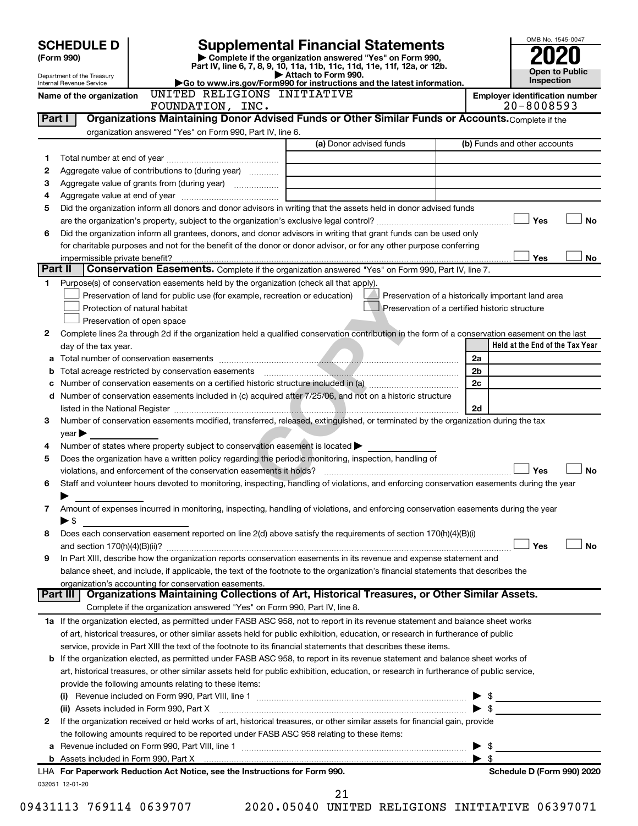|         | <b>SCHEDULE D</b>                                                                                                                                             |                                                                                                                                                | <b>Supplemental Financial Statements</b> |                                                    |                              | OMB No. 1545-0047               |                       |  |  |  |
|---------|---------------------------------------------------------------------------------------------------------------------------------------------------------------|------------------------------------------------------------------------------------------------------------------------------------------------|------------------------------------------|----------------------------------------------------|------------------------------|---------------------------------|-----------------------|--|--|--|
|         | Complete if the organization answered "Yes" on Form 990,<br>(Form 990)<br>Part IV, line 6, 7, 8, 9, 10, 11a, 11b, 11c, 11d, 11e, 11f, 12a, or 12b.            |                                                                                                                                                |                                          |                                                    |                              |                                 |                       |  |  |  |
|         | Department of the Treasury                                                                                                                                    |                                                                                                                                                | Attach to Form 990.                      |                                                    |                              | Inspection                      | <b>Open to Public</b> |  |  |  |
|         | Go to www.irs.gov/Form990 for instructions and the latest information.<br>Internal Revenue Service<br>UNITED RELIGIONS INITIATIVE<br>Name of the organization |                                                                                                                                                |                                          |                                                    |                              |                                 |                       |  |  |  |
|         | <b>Employer identification number</b><br>$20 - 8008593$<br>FOUNDATION, INC.                                                                                   |                                                                                                                                                |                                          |                                                    |                              |                                 |                       |  |  |  |
| Part I  |                                                                                                                                                               | Organizations Maintaining Donor Advised Funds or Other Similar Funds or Accounts. Complete if the                                              |                                          |                                                    |                              |                                 |                       |  |  |  |
|         |                                                                                                                                                               | organization answered "Yes" on Form 990, Part IV, line 6.                                                                                      |                                          |                                                    |                              |                                 |                       |  |  |  |
|         |                                                                                                                                                               |                                                                                                                                                | (a) Donor advised funds                  |                                                    | (b) Funds and other accounts |                                 |                       |  |  |  |
| 1       |                                                                                                                                                               |                                                                                                                                                |                                          |                                                    |                              |                                 |                       |  |  |  |
| 2       |                                                                                                                                                               | Aggregate value of contributions to (during year)                                                                                              |                                          |                                                    |                              |                                 |                       |  |  |  |
| З       |                                                                                                                                                               | Aggregate value of grants from (during year)                                                                                                   |                                          |                                                    |                              |                                 |                       |  |  |  |
| 4       |                                                                                                                                                               |                                                                                                                                                |                                          |                                                    |                              |                                 |                       |  |  |  |
| 5       |                                                                                                                                                               | Did the organization inform all donors and donor advisors in writing that the assets held in donor advised funds                               |                                          |                                                    |                              |                                 |                       |  |  |  |
|         |                                                                                                                                                               | Did the organization inform all grantees, donors, and donor advisors in writing that grant funds can be used only                              |                                          |                                                    |                              | Yes                             | No                    |  |  |  |
| 6       |                                                                                                                                                               | for charitable purposes and not for the benefit of the donor or donor advisor, or for any other purpose conferring                             |                                          |                                                    |                              |                                 |                       |  |  |  |
|         | impermissible private benefit?                                                                                                                                |                                                                                                                                                |                                          |                                                    |                              | Yes                             | No                    |  |  |  |
| Part II |                                                                                                                                                               | Conservation Easements. Complete if the organization answered "Yes" on Form 990, Part IV, line 7.                                              |                                          |                                                    |                              |                                 |                       |  |  |  |
| 1.      |                                                                                                                                                               | Purpose(s) of conservation easements held by the organization (check all that apply).                                                          |                                          |                                                    |                              |                                 |                       |  |  |  |
|         |                                                                                                                                                               | Preservation of land for public use (for example, recreation or education)                                                                     |                                          | Preservation of a historically important land area |                              |                                 |                       |  |  |  |
|         |                                                                                                                                                               | Protection of natural habitat                                                                                                                  |                                          | Preservation of a certified historic structure     |                              |                                 |                       |  |  |  |
|         |                                                                                                                                                               | Preservation of open space                                                                                                                     |                                          |                                                    |                              |                                 |                       |  |  |  |
| 2       |                                                                                                                                                               | Complete lines 2a through 2d if the organization held a qualified conservation contribution in the form of a conservation easement on the last |                                          |                                                    |                              |                                 |                       |  |  |  |
|         | day of the tax year.                                                                                                                                          |                                                                                                                                                |                                          |                                                    |                              | Held at the End of the Tax Year |                       |  |  |  |
| а       |                                                                                                                                                               |                                                                                                                                                |                                          |                                                    | 2a                           |                                 |                       |  |  |  |
| b       |                                                                                                                                                               |                                                                                                                                                |                                          |                                                    | 2b                           |                                 |                       |  |  |  |
| с       |                                                                                                                                                               |                                                                                                                                                |                                          |                                                    | 2c                           |                                 |                       |  |  |  |
| d       |                                                                                                                                                               | Number of conservation easements included in (c) acquired after 7/25/06, and not on a historic structure                                       |                                          |                                                    |                              |                                 |                       |  |  |  |
| 3       |                                                                                                                                                               | Number of conservation easements modified, transferred, released, extinguished, or terminated by the organization during the tax               |                                          |                                                    | 2d                           |                                 |                       |  |  |  |
|         | year                                                                                                                                                          |                                                                                                                                                |                                          |                                                    |                              |                                 |                       |  |  |  |
| 4       |                                                                                                                                                               | Number of states where property subject to conservation easement is located $\blacktriangleright$                                              |                                          |                                                    |                              |                                 |                       |  |  |  |
| 5       |                                                                                                                                                               | Does the organization have a written policy regarding the periodic monitoring, inspection, handling of                                         |                                          |                                                    |                              |                                 |                       |  |  |  |
|         |                                                                                                                                                               |                                                                                                                                                |                                          |                                                    |                              | Yes                             | No                    |  |  |  |
| 6       |                                                                                                                                                               | Staff and volunteer hours devoted to monitoring, inspecting, handling of violations, and enforcing conservation easements during the year      |                                          |                                                    |                              |                                 |                       |  |  |  |
|         |                                                                                                                                                               |                                                                                                                                                |                                          |                                                    |                              |                                 |                       |  |  |  |
| 7       |                                                                                                                                                               | Amount of expenses incurred in monitoring, inspecting, handling of violations, and enforcing conservation easements during the year            |                                          |                                                    |                              |                                 |                       |  |  |  |
|         | $\blacktriangleright$ \$                                                                                                                                      |                                                                                                                                                |                                          |                                                    |                              |                                 |                       |  |  |  |
| 8       |                                                                                                                                                               | Does each conservation easement reported on line 2(d) above satisfy the requirements of section 170(h)(4)(B)(i)                                |                                          |                                                    |                              |                                 |                       |  |  |  |
| 9       |                                                                                                                                                               | In Part XIII, describe how the organization reports conservation easements in its revenue and expense statement and                            |                                          |                                                    |                              | Yes                             | No                    |  |  |  |
|         |                                                                                                                                                               | balance sheet, and include, if applicable, the text of the footnote to the organization's financial statements that describes the              |                                          |                                                    |                              |                                 |                       |  |  |  |
|         |                                                                                                                                                               | organization's accounting for conservation easements.                                                                                          |                                          |                                                    |                              |                                 |                       |  |  |  |
|         | Part III l                                                                                                                                                    | Organizations Maintaining Collections of Art, Historical Treasures, or Other Similar Assets.                                                   |                                          |                                                    |                              |                                 |                       |  |  |  |
|         |                                                                                                                                                               | Complete if the organization answered "Yes" on Form 990, Part IV, line 8.                                                                      |                                          |                                                    |                              |                                 |                       |  |  |  |
|         |                                                                                                                                                               | 1a If the organization elected, as permitted under FASB ASC 958, not to report in its revenue statement and balance sheet works                |                                          |                                                    |                              |                                 |                       |  |  |  |
|         |                                                                                                                                                               | of art, historical treasures, or other similar assets held for public exhibition, education, or research in furtherance of public              |                                          |                                                    |                              |                                 |                       |  |  |  |
|         |                                                                                                                                                               | service, provide in Part XIII the text of the footnote to its financial statements that describes these items.                                 |                                          |                                                    |                              |                                 |                       |  |  |  |
| b       |                                                                                                                                                               | If the organization elected, as permitted under FASB ASC 958, to report in its revenue statement and balance sheet works of                    |                                          |                                                    |                              |                                 |                       |  |  |  |
|         |                                                                                                                                                               | art, historical treasures, or other similar assets held for public exhibition, education, or research in furtherance of public service,        |                                          |                                                    |                              |                                 |                       |  |  |  |
|         |                                                                                                                                                               | provide the following amounts relating to these items:                                                                                         |                                          |                                                    |                              |                                 |                       |  |  |  |
|         |                                                                                                                                                               |                                                                                                                                                |                                          |                                                    | - \$                         |                                 |                       |  |  |  |
|         |                                                                                                                                                               | (ii) Assets included in Form 990, Part X                                                                                                       |                                          |                                                    | - \$                         |                                 |                       |  |  |  |
| 2       |                                                                                                                                                               | If the organization received or held works of art, historical treasures, or other similar assets for financial gain, provide                   |                                          |                                                    |                              |                                 |                       |  |  |  |
| a       |                                                                                                                                                               | the following amounts required to be reported under FASB ASC 958 relating to these items:                                                      |                                          |                                                    | - \$<br>▶                    |                                 |                       |  |  |  |
|         |                                                                                                                                                               |                                                                                                                                                |                                          |                                                    | $\blacktriangleright$ s      |                                 |                       |  |  |  |
|         |                                                                                                                                                               | LHA For Paperwork Reduction Act Notice, see the Instructions for Form 990.                                                                     |                                          |                                                    |                              | Schedule D (Form 990) 2020      |                       |  |  |  |
|         | 032051 12-01-20                                                                                                                                               |                                                                                                                                                |                                          |                                                    |                              |                                 |                       |  |  |  |
|         |                                                                                                                                                               |                                                                                                                                                | 21                                       |                                                    |                              |                                 |                       |  |  |  |

09431113 769114 0639707 2020.05040 UNITED RELIGIONS INITIATIVE 06397071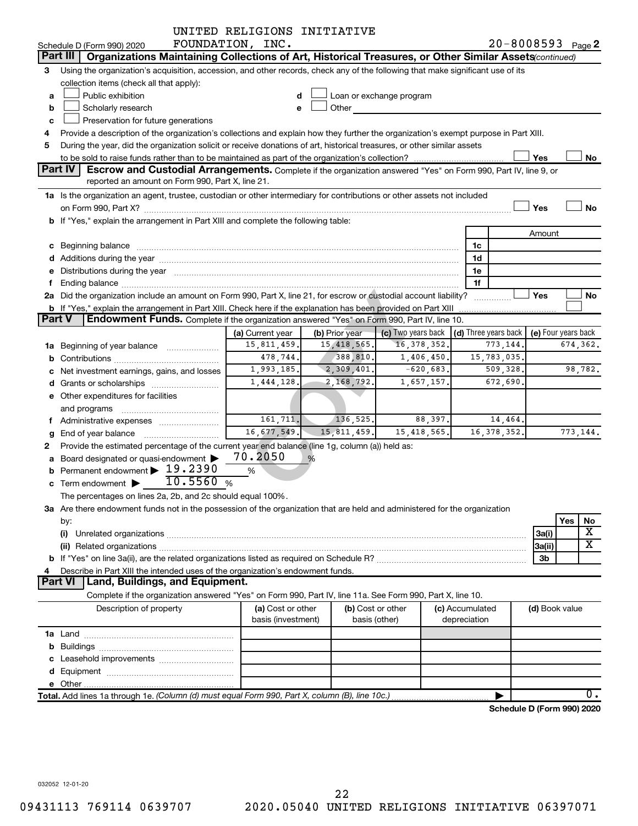|               |                                                                                                                                                                                                                                       | UNITED RELIGIONS INITIATIVE     |                |                                                                                                                                                                                                                                |                      |                |                                 |
|---------------|---------------------------------------------------------------------------------------------------------------------------------------------------------------------------------------------------------------------------------------|---------------------------------|----------------|--------------------------------------------------------------------------------------------------------------------------------------------------------------------------------------------------------------------------------|----------------------|----------------|---------------------------------|
|               | Schedule D (Form 990) 2020                                                                                                                                                                                                            | FOUNDATION, INC.                |                |                                                                                                                                                                                                                                |                      |                | $20 - 8008593$ Page 2           |
|               | Part III<br>Organizations Maintaining Collections of Art, Historical Treasures, or Other Similar Assets (continued)                                                                                                                   |                                 |                |                                                                                                                                                                                                                                |                      |                |                                 |
| 3             | Using the organization's acquisition, accession, and other records, check any of the following that make significant use of its                                                                                                       |                                 |                |                                                                                                                                                                                                                                |                      |                |                                 |
|               | collection items (check all that apply):                                                                                                                                                                                              |                                 |                |                                                                                                                                                                                                                                |                      |                |                                 |
| a             | Public exhibition                                                                                                                                                                                                                     | d                               |                | Loan or exchange program                                                                                                                                                                                                       |                      |                |                                 |
| b             | Scholarly research                                                                                                                                                                                                                    | e                               |                | Other and the control of the control of the control of the control of the control of the control of the control of the control of the control of the control of the control of the control of the control of the control of th |                      |                |                                 |
| c             | Preservation for future generations                                                                                                                                                                                                   |                                 |                |                                                                                                                                                                                                                                |                      |                |                                 |
| 4             | Provide a description of the organization's collections and explain how they further the organization's exempt purpose in Part XIII.                                                                                                  |                                 |                |                                                                                                                                                                                                                                |                      |                |                                 |
| 5             | During the year, did the organization solicit or receive donations of art, historical treasures, or other similar assets                                                                                                              |                                 |                |                                                                                                                                                                                                                                |                      |                |                                 |
|               |                                                                                                                                                                                                                                       |                                 |                |                                                                                                                                                                                                                                |                      | Yes            | No                              |
|               | Part IV<br>Escrow and Custodial Arrangements. Complete if the organization answered "Yes" on Form 990, Part IV, line 9, or                                                                                                            |                                 |                |                                                                                                                                                                                                                                |                      |                |                                 |
|               | reported an amount on Form 990, Part X, line 21.                                                                                                                                                                                      |                                 |                |                                                                                                                                                                                                                                |                      |                |                                 |
|               | 1a Is the organization an agent, trustee, custodian or other intermediary for contributions or other assets not included                                                                                                              |                                 |                |                                                                                                                                                                                                                                |                      |                |                                 |
|               |                                                                                                                                                                                                                                       |                                 |                |                                                                                                                                                                                                                                |                      | Yes            | <b>No</b>                       |
|               | b If "Yes," explain the arrangement in Part XIII and complete the following table:                                                                                                                                                    |                                 |                |                                                                                                                                                                                                                                |                      |                |                                 |
|               |                                                                                                                                                                                                                                       |                                 |                |                                                                                                                                                                                                                                |                      | Amount         |                                 |
|               | c Beginning balance                                                                                                                                                                                                                   |                                 |                |                                                                                                                                                                                                                                | 1c                   |                |                                 |
|               |                                                                                                                                                                                                                                       |                                 |                |                                                                                                                                                                                                                                | 1d                   |                |                                 |
|               | d Additions during the year manufactured and an account of the year manufactured and account of the year manufactured and account of the year manufactured and account of the year manufactured and account of the year manufa        |                                 |                |                                                                                                                                                                                                                                | 1e                   |                |                                 |
| f             | e Distributions during the year manufactured and an account of the year manufactured and account of the year manufactured and account of the state of the state of the state of the state of the state of the state of the sta        |                                 |                |                                                                                                                                                                                                                                | 1f                   |                |                                 |
|               | Ending balance <b>construction and construction of the construction of the construction of the construction</b><br>2a Did the organization include an amount on Form 990, Part X, line 21, for escrow or custodial account liability? |                                 |                |                                                                                                                                                                                                                                |                      | Yes            | No                              |
|               |                                                                                                                                                                                                                                       |                                 |                |                                                                                                                                                                                                                                |                      |                |                                 |
| <b>Part V</b> | b If "Yes," explain the arrangement in Part XIII. Check here if the explanation has been provided on Part XIII<br><b>Endowment Funds.</b> Complete if the organization answered "Yes" on Form 990, Part IV, line 10.                  |                                 |                |                                                                                                                                                                                                                                |                      |                |                                 |
|               |                                                                                                                                                                                                                                       |                                 |                |                                                                                                                                                                                                                                |                      |                |                                 |
|               |                                                                                                                                                                                                                                       | (a) Current year<br>15,811,459. | (b) Prior year | (c) Two years back                                                                                                                                                                                                             | (d) Three years back |                | (e) Four years back<br>674,362. |
|               | 1a Beginning of year balance                                                                                                                                                                                                          |                                 | 15, 418, 565.  | 16, 378, 352.                                                                                                                                                                                                                  | 773,144.             |                |                                 |
| b             |                                                                                                                                                                                                                                       | 478,744.                        | 388,810.       | 1,406,450.                                                                                                                                                                                                                     | 15,783,035.          |                |                                 |
|               | Net investment earnings, gains, and losses                                                                                                                                                                                            | 1,993,185.                      | 2,309,401.     | $-620,683.$                                                                                                                                                                                                                    | 509,328.             |                | 98,782.                         |
|               |                                                                                                                                                                                                                                       | 1,444,128.                      | 2, 168, 792.   | 1,657,157.                                                                                                                                                                                                                     | 672,690              |                |                                 |
|               | e Other expenditures for facilities                                                                                                                                                                                                   |                                 |                |                                                                                                                                                                                                                                |                      |                |                                 |
|               | and programs                                                                                                                                                                                                                          |                                 |                |                                                                                                                                                                                                                                |                      |                |                                 |
| f             | Administrative expenses                                                                                                                                                                                                               | 161,711.                        | 136,525.       | 88, 397.                                                                                                                                                                                                                       | 14,464.              |                |                                 |
| g             | End of year balance                                                                                                                                                                                                                   | 16,677,549.                     | 15,811,459.    | 15,418,565.                                                                                                                                                                                                                    | 16, 378, 352.        |                | 773, 144.                       |
| 2             | Provide the estimated percentage of the current year end balance (line 1g, column (a)) held as:                                                                                                                                       |                                 |                |                                                                                                                                                                                                                                |                      |                |                                 |
| a             | Board designated or quasi-endowment                                                                                                                                                                                                   | 70.2050                         | %              |                                                                                                                                                                                                                                |                      |                |                                 |
| b             | Permanent endowment > 19.2390                                                                                                                                                                                                         | $\%$                            |                |                                                                                                                                                                                                                                |                      |                |                                 |
|               |                                                                                                                                                                                                                                       |                                 |                |                                                                                                                                                                                                                                |                      |                |                                 |
|               | The percentages on lines 2a, 2b, and 2c should equal 100%.                                                                                                                                                                            |                                 |                |                                                                                                                                                                                                                                |                      |                |                                 |
|               | 3a Are there endowment funds not in the possession of the organization that are held and administered for the organization                                                                                                            |                                 |                |                                                                                                                                                                                                                                |                      |                |                                 |
|               | by:                                                                                                                                                                                                                                   |                                 |                |                                                                                                                                                                                                                                |                      |                | Yes<br>No                       |
|               |                                                                                                                                                                                                                                       |                                 |                |                                                                                                                                                                                                                                |                      | 3a(i)          | X                               |
|               |                                                                                                                                                                                                                                       |                                 |                |                                                                                                                                                                                                                                |                      | 3a(ii)         | X                               |
|               |                                                                                                                                                                                                                                       |                                 |                |                                                                                                                                                                                                                                |                      | 3 <sub>b</sub> |                                 |
|               | Describe in Part XIII the intended uses of the organization's endowment funds.                                                                                                                                                        |                                 |                |                                                                                                                                                                                                                                |                      |                |                                 |
|               | <b>Part VI</b><br>Land, Buildings, and Equipment.                                                                                                                                                                                     |                                 |                |                                                                                                                                                                                                                                |                      |                |                                 |
|               | Complete if the organization answered "Yes" on Form 990, Part IV, line 11a. See Form 990, Part X, line 10.                                                                                                                            |                                 |                |                                                                                                                                                                                                                                |                      |                |                                 |
|               | Description of property                                                                                                                                                                                                               | (a) Cost or other               |                | (b) Cost or other                                                                                                                                                                                                              | (c) Accumulated      | (d) Book value |                                 |
|               |                                                                                                                                                                                                                                       | basis (investment)              |                | basis (other)                                                                                                                                                                                                                  | depreciation         |                |                                 |
|               |                                                                                                                                                                                                                                       |                                 |                |                                                                                                                                                                                                                                |                      |                |                                 |
|               |                                                                                                                                                                                                                                       |                                 |                |                                                                                                                                                                                                                                |                      |                |                                 |
|               |                                                                                                                                                                                                                                       |                                 |                |                                                                                                                                                                                                                                |                      |                |                                 |
|               |                                                                                                                                                                                                                                       |                                 |                |                                                                                                                                                                                                                                |                      |                |                                 |
|               |                                                                                                                                                                                                                                       |                                 |                |                                                                                                                                                                                                                                |                      |                |                                 |
|               |                                                                                                                                                                                                                                       |                                 |                |                                                                                                                                                                                                                                |                      |                | ο.                              |
|               | Total. Add lines 1a through 1e. (Column (d) must equal Form 990, Part X, column (B), line 10c.)                                                                                                                                       |                                 |                |                                                                                                                                                                                                                                |                      |                |                                 |
|               |                                                                                                                                                                                                                                       |                                 |                |                                                                                                                                                                                                                                |                      |                | Schedule D (Form 990) 2020      |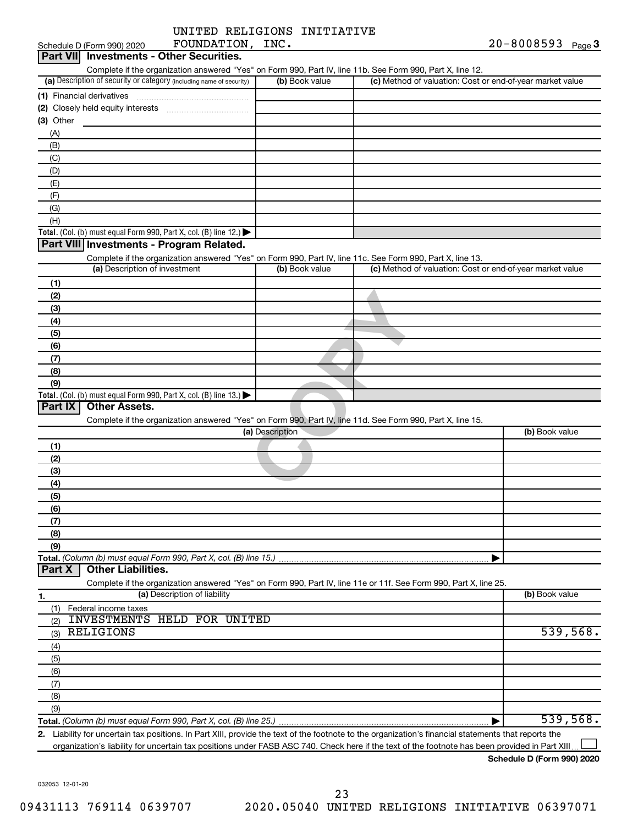|  | UNITED RELIGIONS INITIATIVE |
|--|-----------------------------|
|  |                             |

|             | Schedule D (Form 990) 2020    | FOUNDATION, INC.                                                     |                 |                                                                                                                                                                         | $20 - 8008593$ Page 3 |
|-------------|-------------------------------|----------------------------------------------------------------------|-----------------|-------------------------------------------------------------------------------------------------------------------------------------------------------------------------|-----------------------|
|             |                               | <b>Part VII</b> Investments - Other Securities.                      |                 |                                                                                                                                                                         |                       |
|             |                               |                                                                      |                 | Complete if the organization answered "Yes" on Form 990, Part IV, line 11b. See Form 990, Part X, line 12.                                                              |                       |
|             |                               | (a) Description of security or category (including name of security) | (b) Book value  | (c) Method of valuation: Cost or end-of-year market value                                                                                                               |                       |
|             |                               |                                                                      |                 |                                                                                                                                                                         |                       |
|             |                               |                                                                      |                 |                                                                                                                                                                         |                       |
| $(3)$ Other |                               |                                                                      |                 |                                                                                                                                                                         |                       |
| (A)         |                               |                                                                      |                 |                                                                                                                                                                         |                       |
| (B)         |                               |                                                                      |                 |                                                                                                                                                                         |                       |
| (C)         |                               |                                                                      |                 |                                                                                                                                                                         |                       |
| (D)         |                               |                                                                      |                 |                                                                                                                                                                         |                       |
| (E)         |                               |                                                                      |                 |                                                                                                                                                                         |                       |
| (F)         |                               |                                                                      |                 |                                                                                                                                                                         |                       |
| (G)         |                               |                                                                      |                 |                                                                                                                                                                         |                       |
| (H)         |                               |                                                                      |                 |                                                                                                                                                                         |                       |
|             |                               | Total. (Col. (b) must equal Form 990, Part X, col. (B) line 12.)     |                 |                                                                                                                                                                         |                       |
|             |                               | Part VIII Investments - Program Related.                             |                 |                                                                                                                                                                         |                       |
|             |                               |                                                                      |                 |                                                                                                                                                                         |                       |
|             | (a) Description of investment |                                                                      | (b) Book value  | Complete if the organization answered "Yes" on Form 990, Part IV, line 11c. See Form 990, Part X, line 13.<br>(c) Method of valuation: Cost or end-of-year market value |                       |
|             |                               |                                                                      |                 |                                                                                                                                                                         |                       |
| (1)         |                               |                                                                      |                 |                                                                                                                                                                         |                       |
| (2)         |                               |                                                                      |                 |                                                                                                                                                                         |                       |
| (3)         |                               |                                                                      |                 |                                                                                                                                                                         |                       |
| (4)         |                               |                                                                      |                 |                                                                                                                                                                         |                       |
| (5)         |                               |                                                                      |                 |                                                                                                                                                                         |                       |
| (6)         |                               |                                                                      |                 |                                                                                                                                                                         |                       |
| (7)         |                               |                                                                      |                 |                                                                                                                                                                         |                       |
| (8)         |                               |                                                                      |                 |                                                                                                                                                                         |                       |
| (9)         |                               |                                                                      |                 |                                                                                                                                                                         |                       |
|             |                               | Total. (Col. (b) must equal Form 990, Part X, col. (B) line 13.)     |                 |                                                                                                                                                                         |                       |
| Part IX     | <b>Other Assets.</b>          |                                                                      |                 |                                                                                                                                                                         |                       |
|             |                               |                                                                      |                 | Complete if the organization answered "Yes" on Form 990, Part IV, line 11d. See Form 990, Part X, line 15.                                                              |                       |
|             |                               |                                                                      | (a) Description |                                                                                                                                                                         | (b) Book value        |
| (1)         |                               |                                                                      |                 |                                                                                                                                                                         |                       |
| (2)         |                               |                                                                      |                 |                                                                                                                                                                         |                       |
| (3)         |                               |                                                                      |                 |                                                                                                                                                                         |                       |
| (4)         |                               |                                                                      |                 |                                                                                                                                                                         |                       |
| (5)         |                               |                                                                      |                 |                                                                                                                                                                         |                       |
| (6)         |                               |                                                                      |                 |                                                                                                                                                                         |                       |
| (7)         |                               |                                                                      |                 |                                                                                                                                                                         |                       |
| (8)         |                               |                                                                      |                 |                                                                                                                                                                         |                       |
| (9)         |                               |                                                                      |                 |                                                                                                                                                                         |                       |
|             |                               | Total. (Column (b) must equal Form 990, Part X, col. (B) line 15.)   |                 |                                                                                                                                                                         |                       |
| Part X      | <b>Other Liabilities.</b>     |                                                                      |                 |                                                                                                                                                                         |                       |
|             |                               |                                                                      |                 | Complete if the organization answered "Yes" on Form 990, Part IV, line 11e or 11f. See Form 990, Part X, line 25.                                                       |                       |
| 1.          |                               | (a) Description of liability                                         |                 |                                                                                                                                                                         | (b) Book value        |
| (1)         | Federal income taxes          |                                                                      |                 |                                                                                                                                                                         |                       |
| (2)         |                               | INVESTMENTS HELD FOR UNITED                                          |                 |                                                                                                                                                                         |                       |
| (3)         | <b>RELIGIONS</b>              |                                                                      |                 |                                                                                                                                                                         | 539,568.              |
| (4)         |                               |                                                                      |                 |                                                                                                                                                                         |                       |
|             |                               |                                                                      |                 |                                                                                                                                                                         |                       |
| (5)         |                               |                                                                      |                 |                                                                                                                                                                         |                       |
| (6)         |                               |                                                                      |                 |                                                                                                                                                                         |                       |
| (7)         |                               |                                                                      |                 |                                                                                                                                                                         |                       |
| (8)         |                               |                                                                      |                 |                                                                                                                                                                         |                       |
| (9)         |                               |                                                                      |                 |                                                                                                                                                                         |                       |
|             |                               |                                                                      |                 |                                                                                                                                                                         | 539,568.              |
|             |                               |                                                                      |                 | 2. Liability for uncertain tax positions. In Part XIII, provide the text of the footnote to the organization's financial statements that reports the                    |                       |

organization's liability for uncertain tax positions under FASB ASC 740. Check here if the text of the footnote has been provided in Part XIII...

**Schedule D (Form 990) 2020**

032053 12-01-20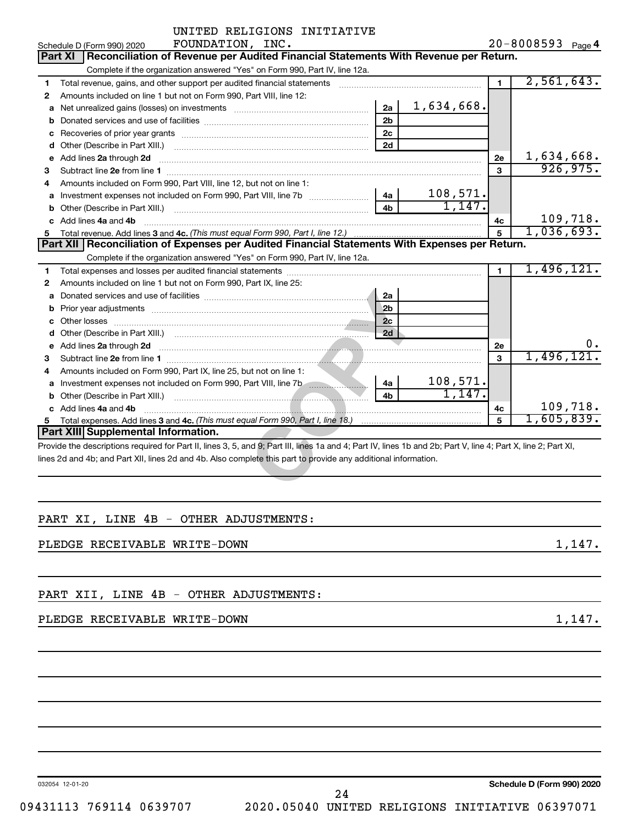|    | UNITED RELIGIONS INITIATIVE                                                                                                                                                                                                         |                |                   |                |            |
|----|-------------------------------------------------------------------------------------------------------------------------------------------------------------------------------------------------------------------------------------|----------------|-------------------|----------------|------------|
|    | FOUNDATION, INC.<br>Schedule D (Form 990) 2020                                                                                                                                                                                      |                | 20-8008593 Page 4 |                |            |
|    | Reconciliation of Revenue per Audited Financial Statements With Revenue per Return.<br><b>Part XI</b>                                                                                                                               |                |                   |                |            |
|    | Complete if the organization answered "Yes" on Form 990, Part IV, line 12a.                                                                                                                                                         |                |                   |                |            |
| 1  | Total revenue, gains, and other support per audited financial statements [[[[[[[[[[[[[[[[[[[[[[[[]]]]]]]]]]]]                                                                                                                       |                |                   | $\blacksquare$ | 2,561,643. |
| 2  | Amounts included on line 1 but not on Form 990, Part VIII, line 12:                                                                                                                                                                 |                |                   |                |            |
| а  |                                                                                                                                                                                                                                     | 2a             | 1,634,668.        |                |            |
| b  |                                                                                                                                                                                                                                     | 2 <sub>b</sub> |                   |                |            |
| с  |                                                                                                                                                                                                                                     | 2c             |                   |                |            |
| d  |                                                                                                                                                                                                                                     | 2d             |                   |                |            |
| е  | Add lines 2a through 2d                                                                                                                                                                                                             |                |                   | 2e             | 1,634,668. |
| 3  |                                                                                                                                                                                                                                     |                |                   | $\mathbf{a}$   | 926,975.   |
| 4  | Amounts included on Form 990, Part VIII, line 12, but not on line 1:                                                                                                                                                                |                |                   |                |            |
| а  |                                                                                                                                                                                                                                     | 4a             | 108,571.          |                |            |
| b  |                                                                                                                                                                                                                                     | 4 <sub>b</sub> | 1,147.            |                |            |
| c  | Add lines 4a and 4b                                                                                                                                                                                                                 |                |                   | 4c             | 109,718.   |
| 5  |                                                                                                                                                                                                                                     | 5              | 1,036,693.        |                |            |
|    | Part XII   Reconciliation of Expenses per Audited Financial Statements With Expenses per Return.                                                                                                                                    |                |                   |                |            |
|    | Complete if the organization answered "Yes" on Form 990, Part IV, line 12a.                                                                                                                                                         |                |                   |                |            |
| 1  |                                                                                                                                                                                                                                     |                |                   | $\blacksquare$ | 1,496,121. |
| 2  | Amounts included on line 1 but not on Form 990, Part IX, line 25:                                                                                                                                                                   |                |                   |                |            |
| а  |                                                                                                                                                                                                                                     | 2a             |                   |                |            |
| b  |                                                                                                                                                                                                                                     | 2 <sub>b</sub> |                   |                |            |
| c  |                                                                                                                                                                                                                                     | 2c             |                   |                |            |
|    |                                                                                                                                                                                                                                     | 2d             |                   |                |            |
|    | e Add lines 2a through 2d <b>must be a control to the control of the Control of Add</b> lines 2a through 2d must be a control of the control of the control of the control of the control of the control of the control of the cont |                |                   | 2e             |            |
| 3  |                                                                                                                                                                                                                                     |                |                   | 3              | 1,496,121. |
| 4  | Amounts included on Form 990, Part IX, line 25, but not on line 1:                                                                                                                                                                  |                |                   |                |            |
|    |                                                                                                                                                                                                                                     | 4a             | 108,571.          |                |            |
|    |                                                                                                                                                                                                                                     | 4b             | 1,147.            |                |            |
|    | c Add lines 4a and 4b                                                                                                                                                                                                               |                |                   | 4c             | 109,718.   |
| 5. |                                                                                                                                                                                                                                     |                |                   | 5              | 1,605,839. |
|    | Part XIII Supplemental Information.                                                                                                                                                                                                 |                |                   |                |            |
|    | Provide the descriptions required for Part II, lines 3, 5, and 9; Part III, lines 1a and 4; Part IV, lines 1b and 2b; Part V, line 4; Part X, line 2; Part XI,                                                                      |                |                   |                |            |
|    | lines 2d and 4b; and Part XII, lines 2d and 4b. Also complete this part to provide any additional information.                                                                                                                      |                |                   |                |            |
|    |                                                                                                                                                                                                                                     |                |                   |                |            |
|    |                                                                                                                                                                                                                                     |                |                   |                |            |

### PART XI, LINE 4B - OTHER ADJUSTMENTS:

#### PLEDGE RECEIVABLE WRITE-DOWN 1,147.

#### PART XII, LINE 4B - OTHER ADJUSTMENTS:

#### PLEDGE RECEIVABLE WRITE-DOWN 1,147.

032054 12-01-20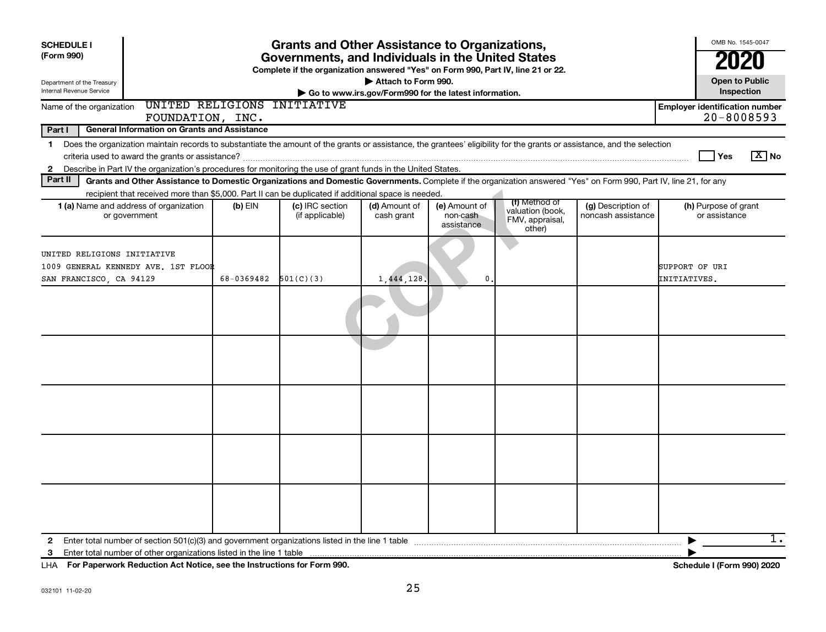| <b>Grants and Other Assistance to Organizations,</b><br><b>SCHEDULE I</b><br>(Form 990)<br>Governments, and Individuals in the United States<br>Complete if the organization answered "Yes" on Form 990, Part IV, line 21 or 22.<br>Attach to Form 990.<br>Department of the Treasury<br>Internal Revenue Service<br>Go to www.irs.gov/Form990 for the latest information. |            |                                    |                             |                                         |                                               |                                          |                                                     |  |  |  |  |
|----------------------------------------------------------------------------------------------------------------------------------------------------------------------------------------------------------------------------------------------------------------------------------------------------------------------------------------------------------------------------|------------|------------------------------------|-----------------------------|-----------------------------------------|-----------------------------------------------|------------------------------------------|-----------------------------------------------------|--|--|--|--|
| Name of the organization                                                                                                                                                                                                                                                                                                                                                   |            | UNITED RELIGIONS INITIATIVE        |                             |                                         |                                               |                                          | Inspection<br><b>Employer identification number</b> |  |  |  |  |
| FOUNDATION, INC.                                                                                                                                                                                                                                                                                                                                                           |            |                                    |                             |                                         |                                               |                                          | $20 - 8008593$                                      |  |  |  |  |
| Part I<br><b>General Information on Grants and Assistance</b>                                                                                                                                                                                                                                                                                                              |            |                                    |                             |                                         |                                               |                                          |                                                     |  |  |  |  |
| Does the organization maintain records to substantiate the amount of the grants or assistance, the grantees' eligibility for the grants or assistance, and the selection<br>$\mathbf 1$<br>Describe in Part IV the organization's procedures for monitoring the use of grant funds in the United States.<br>$\mathbf{2}$                                                   |            |                                    |                             |                                         |                                               |                                          | $\boxed{\text{X}}$ No<br>Yes                        |  |  |  |  |
| Part II<br>Grants and Other Assistance to Domestic Organizations and Domestic Governments. Complete if the organization answered "Yes" on Form 990, Part IV, line 21, for any                                                                                                                                                                                              |            |                                    |                             |                                         |                                               |                                          |                                                     |  |  |  |  |
| recipient that received more than \$5,000. Part II can be duplicated if additional space is needed.                                                                                                                                                                                                                                                                        |            |                                    |                             |                                         | (f) Method of                                 |                                          |                                                     |  |  |  |  |
| 1 (a) Name and address of organization<br>or government                                                                                                                                                                                                                                                                                                                    | $(b)$ EIN  | (c) IRC section<br>(if applicable) | (d) Amount of<br>cash grant | (e) Amount of<br>non-cash<br>assistance | valuation (book,<br>FMV, appraisal,<br>other) | (g) Description of<br>noncash assistance | (h) Purpose of grant<br>or assistance               |  |  |  |  |
| UNITED RELIGIONS INITIATIVE<br>1009 GENERAL KENNEDY AVE. 1ST FLOOR                                                                                                                                                                                                                                                                                                         |            |                                    |                             |                                         |                                               |                                          | SUPPORT OF URI                                      |  |  |  |  |
| SAN FRANCISCO, CA 94129                                                                                                                                                                                                                                                                                                                                                    | 68-0369482 | 501(C)(3)                          | 1,444,128.                  | 0                                       |                                               |                                          | INITIATIVES.                                        |  |  |  |  |
|                                                                                                                                                                                                                                                                                                                                                                            |            |                                    |                             |                                         |                                               |                                          |                                                     |  |  |  |  |
|                                                                                                                                                                                                                                                                                                                                                                            |            |                                    |                             |                                         |                                               |                                          |                                                     |  |  |  |  |
|                                                                                                                                                                                                                                                                                                                                                                            |            |                                    |                             |                                         |                                               |                                          |                                                     |  |  |  |  |
|                                                                                                                                                                                                                                                                                                                                                                            |            |                                    |                             |                                         |                                               |                                          |                                                     |  |  |  |  |
|                                                                                                                                                                                                                                                                                                                                                                            |            |                                    |                             |                                         |                                               |                                          |                                                     |  |  |  |  |
| $\mathbf{2}$<br>Enter total number of other organizations listed in the line 1 table<br>3                                                                                                                                                                                                                                                                                  |            |                                    |                             |                                         |                                               |                                          | 1.                                                  |  |  |  |  |

**For Paperwork Reduction Act Notice, see the Instructions for Form 990. Schedule I (Form 990) 2020** LHA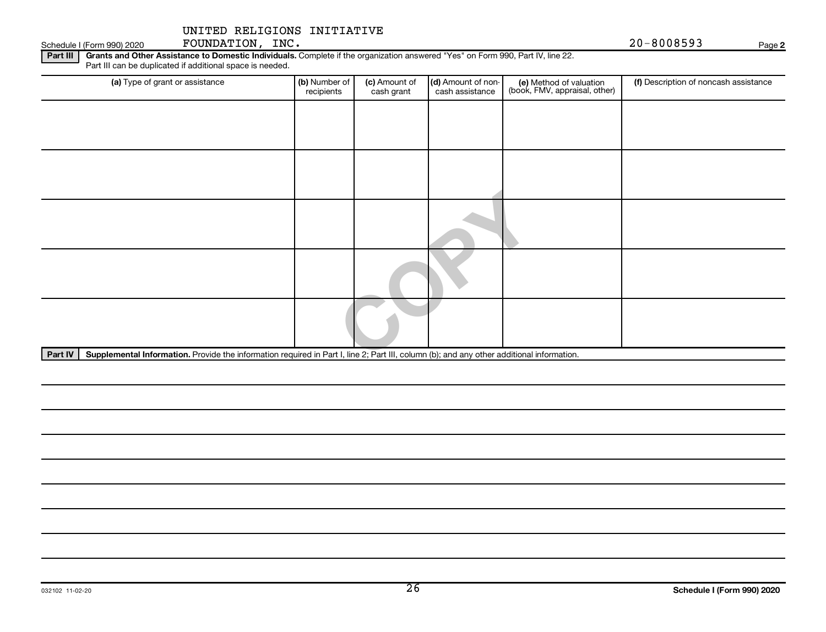Schedule I (Form 990) 2020 Page FOUNDATION, INC. 20-8008593

**2**

Part III | Grants and Other Assistance to Domestic Individuals. Complete if the organization answered "Yes" on Form 990, Part IV, line 22. Part III can be duplicated if additional space is needed.

| (a) Type of grant or assistance                                                                                                                      | (b) Number of<br>recipients | (c) Amount of<br>cash grant | (d) Amount of non-<br>cash assistance | (e) Method of valuation<br>(book, FMV, appraisal, other) | (f) Description of noncash assistance |
|------------------------------------------------------------------------------------------------------------------------------------------------------|-----------------------------|-----------------------------|---------------------------------------|----------------------------------------------------------|---------------------------------------|
|                                                                                                                                                      |                             |                             |                                       |                                                          |                                       |
|                                                                                                                                                      |                             |                             |                                       |                                                          |                                       |
|                                                                                                                                                      |                             |                             |                                       |                                                          |                                       |
|                                                                                                                                                      |                             |                             |                                       |                                                          |                                       |
|                                                                                                                                                      |                             |                             |                                       |                                                          |                                       |
|                                                                                                                                                      |                             |                             |                                       |                                                          |                                       |
|                                                                                                                                                      |                             |                             |                                       |                                                          |                                       |
|                                                                                                                                                      |                             |                             |                                       |                                                          |                                       |
|                                                                                                                                                      |                             |                             |                                       |                                                          |                                       |
|                                                                                                                                                      |                             |                             |                                       |                                                          |                                       |
| Part IV<br>Supplemental Information. Provide the information required in Part I, line 2; Part III, column (b); and any other additional information. |                             |                             |                                       |                                                          |                                       |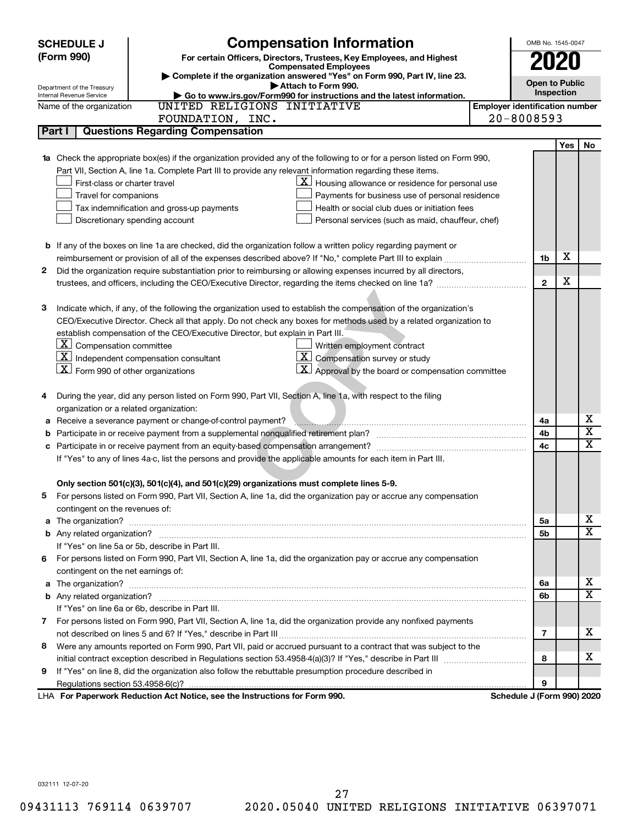|   | <b>SCHEDULE J</b>                                                                                          | <b>Compensation Information</b>                                                                                        |                                       | OMB No. 1545-0047          |     |                         |
|---|------------------------------------------------------------------------------------------------------------|------------------------------------------------------------------------------------------------------------------------|---------------------------------------|----------------------------|-----|-------------------------|
|   | (Form 990)<br>For certain Officers, Directors, Trustees, Key Employees, and Highest                        |                                                                                                                        |                                       | 2020                       |     |                         |
|   | <b>Compensated Employees</b><br>Complete if the organization answered "Yes" on Form 990, Part IV, line 23. |                                                                                                                        |                                       |                            |     |                         |
|   | Department of the Treasury                                                                                 |                                                                                                                        | <b>Open to Public</b>                 |                            |     |                         |
|   | Internal Revenue Service                                                                                   | Attach to Form 990.<br>Go to www.irs.gov/Form990 for instructions and the latest information.                          |                                       | Inspection                 |     |                         |
|   | Name of the organization                                                                                   | UNITED RELIGIONS INITIATIVE                                                                                            | <b>Employer identification number</b> |                            |     |                         |
|   |                                                                                                            | FOUNDATION, INC.                                                                                                       |                                       | 20-8008593                 |     |                         |
|   | Part I                                                                                                     | <b>Questions Regarding Compensation</b>                                                                                |                                       |                            |     |                         |
|   |                                                                                                            |                                                                                                                        |                                       |                            | Yes | No                      |
|   |                                                                                                            | Check the appropriate box(es) if the organization provided any of the following to or for a person listed on Form 990, |                                       |                            |     |                         |
|   |                                                                                                            | Part VII, Section A, line 1a. Complete Part III to provide any relevant information regarding these items.             |                                       |                            |     |                         |
|   | First-class or charter travel                                                                              | $\mathbf{X}$ Housing allowance or residence for personal use                                                           |                                       |                            |     |                         |
|   | Travel for companions                                                                                      | Payments for business use of personal residence                                                                        |                                       |                            |     |                         |
|   |                                                                                                            | Health or social club dues or initiation fees<br>Tax indemnification and gross-up payments                             |                                       |                            |     |                         |
|   |                                                                                                            | Discretionary spending account<br>Personal services (such as maid, chauffeur, chef)                                    |                                       |                            |     |                         |
|   |                                                                                                            |                                                                                                                        |                                       |                            |     |                         |
|   |                                                                                                            | <b>b</b> If any of the boxes on line 1a are checked, did the organization follow a written policy regarding payment or |                                       |                            |     |                         |
|   |                                                                                                            |                                                                                                                        |                                       | 1b                         | X   |                         |
| 2 |                                                                                                            | Did the organization require substantiation prior to reimbursing or allowing expenses incurred by all directors,       |                                       |                            |     |                         |
|   |                                                                                                            |                                                                                                                        |                                       | $\mathbf{2}$               | X   |                         |
|   |                                                                                                            |                                                                                                                        |                                       |                            |     |                         |
| з |                                                                                                            | Indicate which, if any, of the following the organization used to establish the compensation of the organization's     |                                       |                            |     |                         |
|   |                                                                                                            | CEO/Executive Director. Check all that apply. Do not check any boxes for methods used by a related organization to     |                                       |                            |     |                         |
|   |                                                                                                            | establish compensation of the CEO/Executive Director, but explain in Part III.                                         |                                       |                            |     |                         |
|   | $\boxed{\textbf{X}}$ Compensation committee                                                                | Written employment contract                                                                                            |                                       |                            |     |                         |
|   |                                                                                                            | $ \underline{\mathbf{X}} $ Independent compensation consultant<br>$\mathbf{X}$ Compensation survey or study            |                                       |                            |     |                         |
|   | $ \mathbf{X} $ Form 990 of other organizations                                                             | $\mathbf{X}$ Approval by the board or compensation committee                                                           |                                       |                            |     |                         |
|   |                                                                                                            |                                                                                                                        |                                       |                            |     |                         |
|   |                                                                                                            | During the year, did any person listed on Form 990, Part VII, Section A, line 1a, with respect to the filing           |                                       |                            |     |                         |
|   | organization or a related organization:                                                                    |                                                                                                                        |                                       |                            |     | х                       |
| а |                                                                                                            | Receive a severance payment or change-of-control payment?                                                              |                                       | 4a                         |     | $\overline{\textbf{x}}$ |
| b |                                                                                                            |                                                                                                                        |                                       | 4b<br>4c                   |     | $\mathbf x$             |
|   |                                                                                                            |                                                                                                                        |                                       |                            |     |                         |
|   |                                                                                                            | If "Yes" to any of lines 4a-c, list the persons and provide the applicable amounts for each item in Part III.          |                                       |                            |     |                         |
|   |                                                                                                            | Only section 501(c)(3), 501(c)(4), and 501(c)(29) organizations must complete lines 5-9.                               |                                       |                            |     |                         |
|   |                                                                                                            | For persons listed on Form 990, Part VII, Section A, line 1a, did the organization pay or accrue any compensation      |                                       |                            |     |                         |
|   | contingent on the revenues of:                                                                             |                                                                                                                        |                                       |                            |     |                         |
| a |                                                                                                            |                                                                                                                        |                                       | 5a                         |     | x                       |
|   |                                                                                                            |                                                                                                                        |                                       | 5b                         |     | X                       |
|   |                                                                                                            | If "Yes" on line 5a or 5b, describe in Part III.                                                                       |                                       |                            |     |                         |
|   |                                                                                                            | 6 For persons listed on Form 990, Part VII, Section A, line 1a, did the organization pay or accrue any compensation    |                                       |                            |     |                         |
|   | contingent on the net earnings of:                                                                         |                                                                                                                        |                                       |                            |     |                         |
| a |                                                                                                            |                                                                                                                        |                                       | 6a                         |     | x                       |
|   |                                                                                                            |                                                                                                                        |                                       | 6b                         |     | $\overline{\mathbf{X}}$ |
|   |                                                                                                            | If "Yes" on line 6a or 6b, describe in Part III.                                                                       |                                       |                            |     |                         |
|   |                                                                                                            | 7 For persons listed on Form 990, Part VII, Section A, line 1a, did the organization provide any nonfixed payments     |                                       |                            |     |                         |
|   |                                                                                                            |                                                                                                                        |                                       | 7                          |     | x                       |
| 8 |                                                                                                            | Were any amounts reported on Form 990, Part VII, paid or accrued pursuant to a contract that was subject to the        |                                       |                            |     |                         |
|   |                                                                                                            |                                                                                                                        |                                       | 8                          |     | x                       |
| 9 |                                                                                                            | If "Yes" on line 8, did the organization also follow the rebuttable presumption procedure described in                 |                                       |                            |     |                         |
|   |                                                                                                            |                                                                                                                        |                                       | 9                          |     |                         |
|   |                                                                                                            | LHA For Paperwork Reduction Act Notice, see the Instructions for Form 990.                                             |                                       | Schedule J (Form 990) 2020 |     |                         |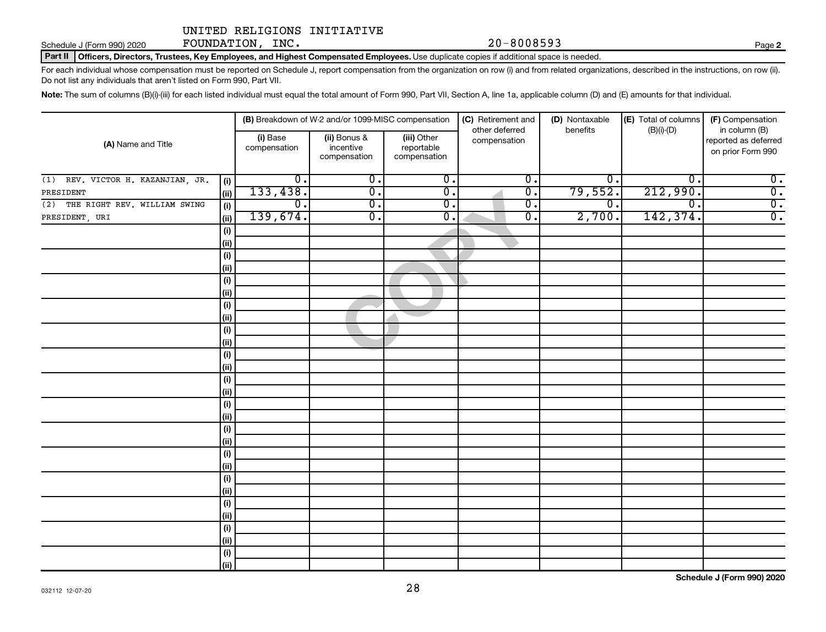Schedule J (Form 990) 2020 Page FOUNDATION, INC. 20-8008593

Part II | Officers, Directors, Trustees, Key Employees, and Highest Compensated Employees. Use duplicate copies if additional space is needed.

For each individual whose compensation must be reported on Schedule J, report compensation from the organization on row (i) and from related organizations, described in the instructions, on row (ii). Do not list any individuals that aren't listed on Form 990, Part VII.

Note: The sum of columns (B)(i)-(iii) for each listed individual must equal the total amount of Form 990, Part VII, Section A, line 1a, applicable column (D) and (E) amounts for that individual.

|                                      | (B) Breakdown of W-2 and/or 1099-MISC compensation |                          |                                           | (C) Retirement and<br>other deferred      | (D) Nontaxable<br>benefits  | (E) Total of columns<br>$(B)(i)$ - $(D)$ | (F) Compensation<br>in column (B) |                                           |
|--------------------------------------|----------------------------------------------------|--------------------------|-------------------------------------------|-------------------------------------------|-----------------------------|------------------------------------------|-----------------------------------|-------------------------------------------|
| (A) Name and Title                   |                                                    | (i) Base<br>compensation | (ii) Bonus &<br>incentive<br>compensation | (iii) Other<br>reportable<br>compensation | compensation                |                                          |                                   | reported as deferred<br>on prior Form 990 |
| REV. VICTOR H. KAZANJIAN, JR.<br>(1) | (i)                                                | $\overline{0}$ .         | $\overline{\mathbf{0}}$ .                 | $\overline{0}$ .                          | $\overline{0}$ .            | $\overline{0}$                           | $\mathbf 0$ .                     | $\overline{\mathbf{0}}$ .                 |
| PRESIDENT                            | $\vert$ (ii)                                       | 133,438.                 | $\overline{0}$                            | $\overline{0}$ .                          | $\overline{0}$ .            | 79,552.                                  | 212,990.                          | $\overline{0}$ .                          |
| THE RIGHT REV. WILLIAM SWING<br>(2)  | $(\mathsf{i})$                                     | $\overline{0}$ .         | $\overline{0}$ .                          | $\overline{0}$ .                          | $\overline{\mathfrak{o}}$ . | $\overline{\mathbf{0}}$ .                | $\overline{0}$ .                  | $\overline{0}$ .                          |
| PRESIDENT, URI                       | $\vert$ (ii)                                       | 139,674.                 | $\overline{0}$ .                          | $\overline{0}$ .                          | $\overline{0}$ .            | 2,700.                                   | 142, 374.                         | $\overline{0}$ .                          |
|                                      | (i)                                                |                          |                                           |                                           |                             |                                          |                                   |                                           |
|                                      | $\vert$ (ii)                                       |                          |                                           |                                           |                             |                                          |                                   |                                           |
|                                      | $(\sf{i})$                                         |                          |                                           |                                           |                             |                                          |                                   |                                           |
|                                      | $\vert$ (ii)                                       |                          |                                           |                                           |                             |                                          |                                   |                                           |
|                                      | (i)                                                |                          |                                           |                                           |                             |                                          |                                   |                                           |
|                                      | $\vert$ (ii)                                       |                          |                                           |                                           |                             |                                          |                                   |                                           |
|                                      | (i)                                                |                          |                                           |                                           |                             |                                          |                                   |                                           |
|                                      | $\vert$ (ii)                                       |                          |                                           |                                           |                             |                                          |                                   |                                           |
|                                      | (i)                                                |                          |                                           |                                           |                             |                                          |                                   |                                           |
|                                      | $\vert$ (ii)                                       |                          |                                           |                                           |                             |                                          |                                   |                                           |
|                                      | (i)                                                |                          |                                           |                                           |                             |                                          |                                   |                                           |
|                                      | $\vert$ (ii)                                       |                          |                                           |                                           |                             |                                          |                                   |                                           |
|                                      | (i)                                                |                          |                                           |                                           |                             |                                          |                                   |                                           |
|                                      | $\vert$ (ii)<br>$(\sf{i})$                         |                          |                                           |                                           |                             |                                          |                                   |                                           |
|                                      | $\vert$ (ii)                                       |                          |                                           |                                           |                             |                                          |                                   |                                           |
|                                      | (i)                                                |                          |                                           |                                           |                             |                                          |                                   |                                           |
|                                      | $\vert$ (ii)                                       |                          |                                           |                                           |                             |                                          |                                   |                                           |
|                                      | (i)                                                |                          |                                           |                                           |                             |                                          |                                   |                                           |
|                                      | $\vert$ (ii)                                       |                          |                                           |                                           |                             |                                          |                                   |                                           |
|                                      | (i)                                                |                          |                                           |                                           |                             |                                          |                                   |                                           |
|                                      | $\vert$ (ii)                                       |                          |                                           |                                           |                             |                                          |                                   |                                           |
|                                      | (i)                                                |                          |                                           |                                           |                             |                                          |                                   |                                           |
|                                      | $\vert$ (ii)                                       |                          |                                           |                                           |                             |                                          |                                   |                                           |
|                                      | (i)                                                |                          |                                           |                                           |                             |                                          |                                   |                                           |
|                                      | $\vert$ (ii)                                       |                          |                                           |                                           |                             |                                          |                                   |                                           |
|                                      | $(\sf{i})$                                         |                          |                                           |                                           |                             |                                          |                                   |                                           |
|                                      | (ii)                                               |                          |                                           |                                           |                             |                                          |                                   |                                           |

**2**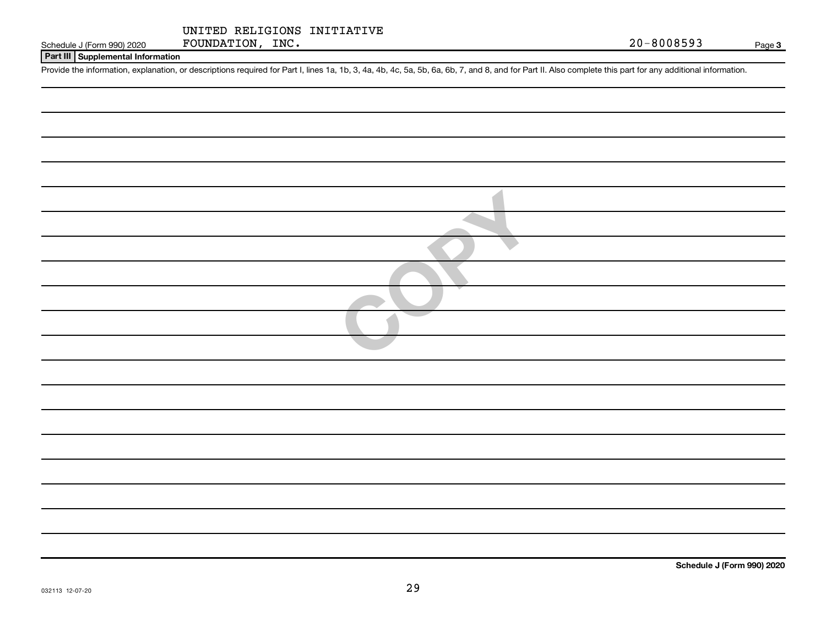|  | UNITED RELIGIONS INITIATIVE |
|--|-----------------------------|
|  |                             |

#### **Part III Supplemental Information**

Provide the information, explanation, or descriptions required for Part I, lines 1a, 1b, 3, 4a, 4b, 4c, 5a, 5b, 6a, 6b, 7, and 8, and for Part II. Also complete this part for any additional information.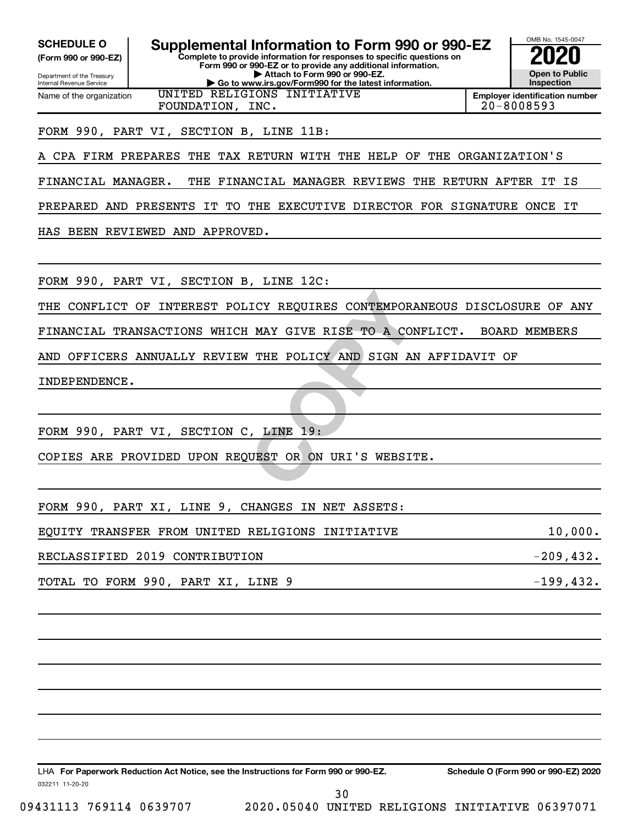ICY REQUIRES CONTEMPORANEOU<br>
MAY GIVE RISE TO A CONFLIC<br>
THE POLICY AND SIGN AN AFF OMB No. 1545-0047 Department of the Treasury Internal Revenue Service **Complete to provide information for responses to specific questions on Form 990 or 990-EZ or to provide any additional information. | Attach to Form 990 or 990-EZ. | Go to www.irs.gov/Form990 for the latest information. (Form 990 or 990-EZ) Open to Public Inspection Employer identification number** Name of the organization **SCHEDULE O Supplemental Information to Form 990 or 990-EZ 2020** UNITED RELIGIONS INITIATIVE FOUNDATION, INC. 20-8008593 FORM 990, PART VI, SECTION B, LINE 11B: A CPA FIRM PREPARES THE TAX RETURN WITH THE HELP OF THE ORGANIZATION'S FINANCIAL MANAGER. THE FINANCIAL MANAGER REVIEWS THE RETURN AFTER IT IS PREPARED AND PRESENTS IT TO THE EXECUTIVE DIRECTOR FOR SIGNATURE ONCE IT HAS BEEN REVIEWED AND APPROVED. FORM 990, PART VI, SECTION B, LINE 12C: THE CONFLICT OF INTEREST POLICY REQUIRES CONTEMPORANEOUS DISCLOSURE OF ANY FINANCIAL TRANSACTIONS WHICH MAY GIVE RISE TO A CONFLICT. BOARD MEMBERS AND OFFICERS ANNUALLY REVIEW THE POLICY AND SIGN AN AFFIDAVIT OF INDEPENDENCE. FORM 990, PART VI, SECTION C, LINE 19: COPIES ARE PROVIDED UPON REQUEST OR ON URI'S WEBSITE. FORM 990, PART XI, LINE 9, CHANGES IN NET ASSETS: EQUITY TRANSFER FROM UNITED RELIGIONS INITIATIVE 10,000. RECLASSIFIED 2019 CONTRIBUTION  $-209,432$ . TOTAL TO FORM 990, PART XI, LINE 9  $-199,432$ .

032211 11-20-20 **For Paperwork Reduction Act Notice, see the Instructions for Form 990 or 990-EZ. Schedule O (Form 990 or 990-EZ) 2020** LHA

09431113 769114 0639707 2020.05040 UNITED RELIGIONS INITIATIVE 06397071

30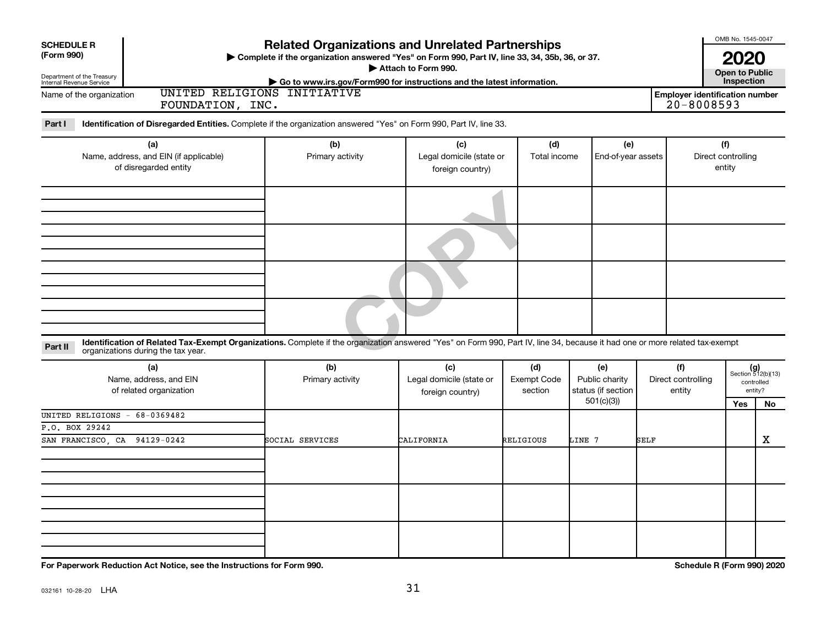| <b>Related Organizations and Unrelated Partnerships</b><br><b>SCHEDULE R</b> |                                                                                                                                                                              |                                                                                                       |                                                     |                                      |                                                          |                                     |                                                         | OMB No. 1545-0047                                          |
|------------------------------------------------------------------------------|------------------------------------------------------------------------------------------------------------------------------------------------------------------------------|-------------------------------------------------------------------------------------------------------|-----------------------------------------------------|--------------------------------------|----------------------------------------------------------|-------------------------------------|---------------------------------------------------------|------------------------------------------------------------|
| (Form 990)<br>Department of the Treasury<br>Internal Revenue Service         |                                                                                                                                                                              | Complete if the organization answered "Yes" on Form 990, Part IV, line 33, 34, 35b, 36, or 37.        | Attach to Form 990.                                 |                                      |                                                          |                                     | <b>2020</b><br><b>Open to Public</b><br>Inspection      |                                                            |
| Name of the organization                                                     | FOUNDATION, INC.                                                                                                                                                             | Go to www.irs.gov/Form990 for instructions and the latest information.<br>UNITED RELIGIONS INITIATIVE |                                                     |                                      |                                                          |                                     | <b>Employer identification number</b><br>$20 - 8008593$ |                                                            |
| Part I                                                                       | Identification of Disregarded Entities. Complete if the organization answered "Yes" on Form 990, Part IV, line 33.                                                           |                                                                                                       |                                                     |                                      |                                                          |                                     |                                                         |                                                            |
| (a)<br>Name, address, and EIN (if applicable)<br>of disregarded entity       |                                                                                                                                                                              | (b)<br>Primary activity                                                                               | (c)<br>Legal domicile (state or<br>foreign country) | (d)<br>Total income                  | (e)<br>End-of-year assets                                |                                     | (f)<br>Direct controlling<br>entity                     |                                                            |
|                                                                              |                                                                                                                                                                              |                                                                                                       |                                                     |                                      |                                                          |                                     |                                                         |                                                            |
|                                                                              |                                                                                                                                                                              |                                                                                                       |                                                     |                                      |                                                          |                                     |                                                         |                                                            |
|                                                                              |                                                                                                                                                                              |                                                                                                       |                                                     |                                      |                                                          |                                     |                                                         |                                                            |
|                                                                              | Identification of Related Tax-Exempt Organizations. Complete if the organization answered "Yes" on Form 990, Part IV, line 34, because it had one or more related tax-exempt |                                                                                                       |                                                     |                                      |                                                          |                                     |                                                         |                                                            |
| Part II                                                                      | organizations during the tax year.                                                                                                                                           |                                                                                                       |                                                     |                                      |                                                          |                                     |                                                         |                                                            |
|                                                                              | (a)<br>Name, address, and EIN<br>of related organization                                                                                                                     | (b)<br>Primary activity                                                                               | (c)<br>Legal domicile (state or<br>foreign country) | (d)<br><b>Exempt Code</b><br>section | (e)<br>Public charity<br>status (if section<br>501(c)(3) | (f)<br>Direct controlling<br>entity | Yes                                                     | $(g)$<br>Section 512(b)(13)<br>controlled<br>entity?<br>No |
| UNITED RELIGIONS - 68-0369482                                                |                                                                                                                                                                              |                                                                                                       |                                                     |                                      |                                                          |                                     |                                                         |                                                            |
| P.O. BOX 29242<br>SAN FRANCISCO, CA 94129-0242                               |                                                                                                                                                                              | SOCIAL SERVICES                                                                                       | CALIFORNIA                                          | RELIGIOUS                            | LINE 7                                                   | SELF                                |                                                         | х                                                          |
|                                                                              |                                                                                                                                                                              |                                                                                                       |                                                     |                                      |                                                          |                                     |                                                         |                                                            |
|                                                                              |                                                                                                                                                                              |                                                                                                       |                                                     |                                      |                                                          |                                     |                                                         |                                                            |
|                                                                              |                                                                                                                                                                              |                                                                                                       |                                                     |                                      |                                                          |                                     |                                                         |                                                            |
|                                                                              | For Paperwork Reduction Act Notice, see the Instructions for Form 990.                                                                                                       |                                                                                                       |                                                     |                                      |                                                          |                                     | Schedule R (Form 990) 2020                              |                                                            |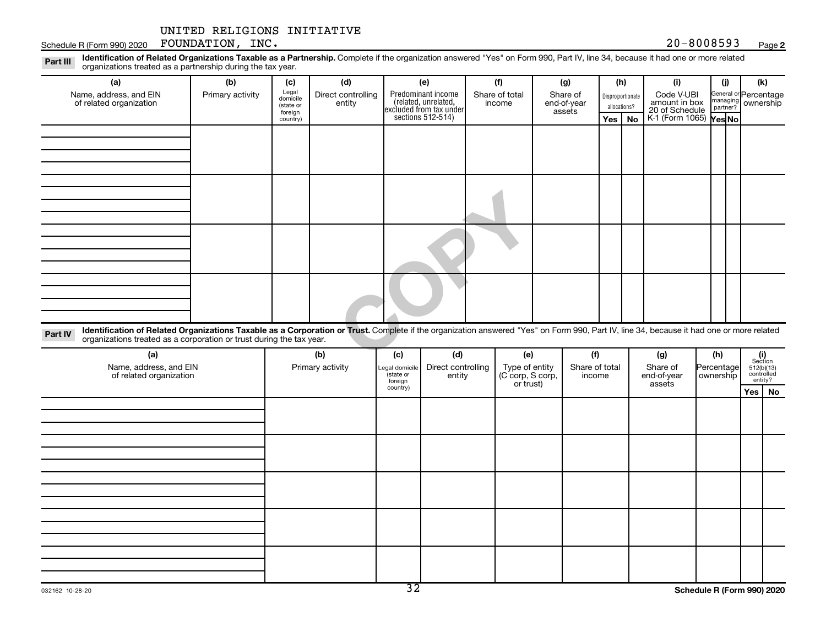#### Schedule R (Form 990) 2020 Page FOUNDATION, INC. 20-8008593

#### **2**

Disproportionate allocations? Legal domicile (state or foreign country) General or Percentage managing partner? Part III Identification of Related Organizations Taxable as a Partnership. Complete if the organization answered "Yes" on Form 990, Part IV, line 34, because it had one or more related<br>Read to the organizations tracted as **(a) (b) (c) (d) (e) (f) (g) (h) (i) (j) (k) Yes No Yes No** K-1 (Form 1065) Predominant income (related, unrelated, excluded from tax under sections 512-514) organizations treated as a partnership during the tax year. Name, address, and EIN of related organization Primary activity  $\left| \begin{array}{c} \text{Legal} \\ \text{demiilla} \end{array} \right|$  Direct controlling entity Share of total income Share of end-of-year assets Code V-UBI amount in box 20 of Schedule ownership

| Identification of Related Organizations Taxable as a Corporation or Trust. Complete if the organization answered "Yes" on Form 990, Part IV, line 34, because it had one or more related organizations treated as a corporatio<br>Part IV |  |  |     |     |     |  |     |  |  |     |     |  |
|-------------------------------------------------------------------------------------------------------------------------------------------------------------------------------------------------------------------------------------------|--|--|-----|-----|-----|--|-----|--|--|-----|-----|--|
| (a)                                                                                                                                                                                                                                       |  |  | (b) | (c) | (d) |  | (e) |  |  | (g) | (h) |  |

| (a)<br>Name, address, and EIN<br>of related organization | (b)<br>Primary activity | (c)<br>Legal domicile<br>(state or<br>foreign | (d)<br>Direct controlling<br>entity | (e)<br>Type of entity<br>(C corp, S corp,<br>or trust) | (f)<br>Share of total<br>income | (g)<br>Share of<br>end-of-year<br>assets | (h)<br>Percentage<br>ownership | $\begin{array}{c} \textbf{(i)}\\ \text{Section}\\ 512 \text{(b)} \text{(13)}\\ \text{controlled} \end{array}$ | entity?  |
|----------------------------------------------------------|-------------------------|-----------------------------------------------|-------------------------------------|--------------------------------------------------------|---------------------------------|------------------------------------------|--------------------------------|---------------------------------------------------------------------------------------------------------------|----------|
|                                                          |                         | country)                                      |                                     |                                                        |                                 |                                          |                                |                                                                                                               | Yes   No |
|                                                          |                         |                                               |                                     |                                                        |                                 |                                          |                                |                                                                                                               |          |
|                                                          |                         |                                               |                                     |                                                        |                                 |                                          |                                |                                                                                                               |          |
|                                                          |                         |                                               |                                     |                                                        |                                 |                                          |                                |                                                                                                               |          |
|                                                          |                         |                                               |                                     |                                                        |                                 |                                          |                                |                                                                                                               |          |
|                                                          |                         |                                               |                                     |                                                        |                                 |                                          |                                |                                                                                                               |          |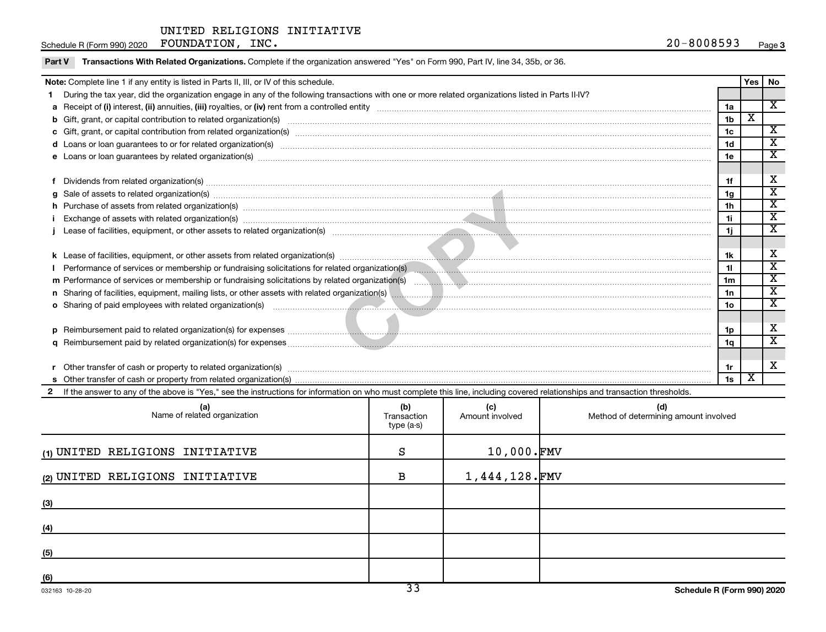|  |  |  | <b>Part V</b> Transactions With Related Organizations. Complete if the organization answered "Yes" on Form 990, Part IV, line 34, 35b, or 36. |
|--|--|--|-----------------------------------------------------------------------------------------------------------------------------------------------|
|--|--|--|-----------------------------------------------------------------------------------------------------------------------------------------------|

| Note: Complete line 1 if any entity is listed in Parts II, III, or IV of this schedule.                                                                                                                                        |                 | Yes   No                |                             |
|--------------------------------------------------------------------------------------------------------------------------------------------------------------------------------------------------------------------------------|-----------------|-------------------------|-----------------------------|
| During the tax year, did the organization engage in any of the following transactions with one or more related organizations listed in Parts II-IV?                                                                            |                 |                         |                             |
|                                                                                                                                                                                                                                | 1a              |                         | $\overline{\mathbf{X}}$     |
| b Gift, grant, or capital contribution to related organization(s) manufaction contracts and contribution to related organization(s) manufaction contribution to related organization(s) manufactured contribution contribution | 1 <sub>b</sub>  | $\overline{\textbf{X}}$ |                             |
|                                                                                                                                                                                                                                | 1c              |                         | $\mathbf x$                 |
| d Loans or loan guarantees to or for related organization(s) www.communities.com/www.communities.com/www.communities-                                                                                                          | 1 <sub>d</sub>  |                         | $\overline{\mathbf{x}}$     |
| e Loans or loan guarantees by related organization(s) www.array.com/www.array.com/www.array.com/www.array.com/www.array.com/www.array.com/www.array.com/www.array.com/www.array.com/www.array.com/www.array.com/www.array.com/ | 1e              |                         | $\mathbf x$                 |
|                                                                                                                                                                                                                                |                 |                         |                             |
|                                                                                                                                                                                                                                | 1f              |                         | х                           |
| g Sale of assets to related organization(s) manufacture content to the content of the content of the content of the content of the content of the content of the content of the content of the content of the content of the c | 1g              |                         | $\overline{\textbf{x}}$     |
| h Purchase of assets from related organization(s) manufactured content to the content of the content of the content of the content of the content of the content of the content of the content of the content of the content o | 1 <sub>h</sub>  |                         | х                           |
| Exchange of assets with related organization(s) www.assettion.com/www.assettion.com/www.assettion.com/www.assettion.com/www.assettion.com/www.assettion.com/www.assettion.com/www.assettion.com/www.assettion.com/www.assettio | 11              |                         | х                           |
|                                                                                                                                                                                                                                | 1j.             |                         | $\overline{\textnormal{x}}$ |
|                                                                                                                                                                                                                                |                 |                         |                             |
|                                                                                                                                                                                                                                | 1k              |                         | х                           |
| Performance of services or membership or fundraising solicitations for related organization(s) manuscription manuscription and content of services or membership or fundraising solicitations for related organization(s)      | 11              |                         | x                           |
|                                                                                                                                                                                                                                | 1 <sub>m</sub>  |                         | $\mathbf x$                 |
|                                                                                                                                                                                                                                | 1n              |                         | $\overline{\mathbf{x}}$     |
| o Sharing of paid employees with related organization(s) manufactured and an account of the state of the state organization (s)                                                                                                | 10 <sub>o</sub> |                         | X                           |
|                                                                                                                                                                                                                                |                 |                         |                             |
|                                                                                                                                                                                                                                | 1p              |                         | X                           |
|                                                                                                                                                                                                                                | 1q              |                         | $\overline{\mathbf{x}}$     |
|                                                                                                                                                                                                                                |                 |                         |                             |
|                                                                                                                                                                                                                                | 1r              |                         | X                           |
|                                                                                                                                                                                                                                | 1s              | х                       |                             |
| 2 If the answer to any of the above is "Yes," see the instructions for information on who must complete this line, including covered relationships and transaction thresholds.                                                 |                 |                         |                             |

| (a)<br>Name of related organization | (b)<br>Transaction<br>type (a-s) | (c)<br>Amount involved | (d)<br>Method of determining amount involved |
|-------------------------------------|----------------------------------|------------------------|----------------------------------------------|
| (1) UNITED RELIGIONS INITIATIVE     | S                                | $10,000$ . FMV         |                                              |
| (2) UNITED RELIGIONS INITIATIVE     | B                                | 1,444,128.FMV          |                                              |
| (3)                                 |                                  |                        |                                              |
| (4)                                 |                                  |                        |                                              |
| (5)                                 |                                  |                        |                                              |
| (6)                                 | $\overline{\phantom{a}}$         |                        |                                              |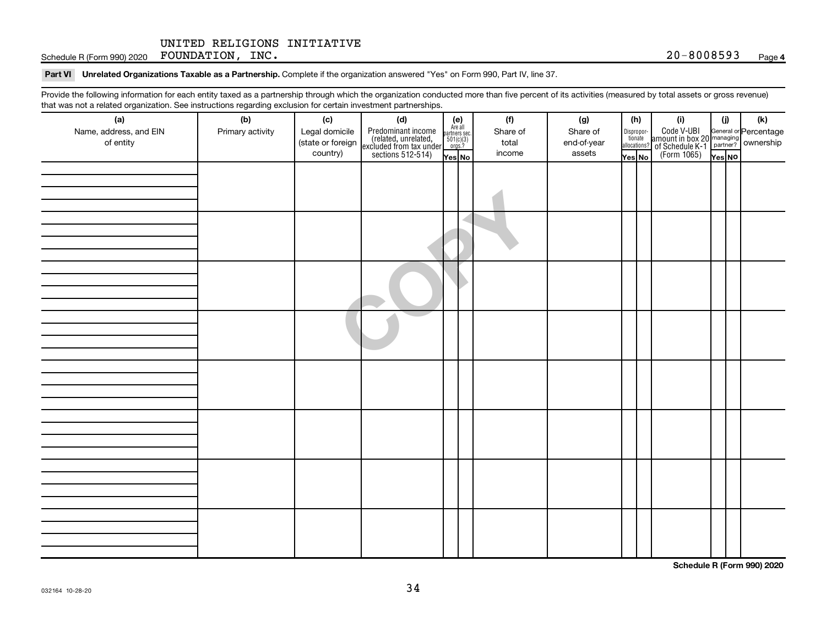Schedule R (Form 990) 2020 Page FOUNDATION, INC. 20-8008593

Part VI Unrelated Organizations Taxable as a Partnership. Complete if the organization answered "Yes" on Form 990, Part IV, line 37.

Provide the following information for each entity taxed as a partnership through which the organization conducted more than five percent of its activities (measured by total assets or gross revenue) that was not a related organization. See instructions regarding exclusion for certain investment partnerships.

| hat neo hot a rolatod organization. Ooo motraotiono rogaranty oxolaolon for oortam invootmont partnolompo.<br>(a) | (b)              | (c)                                 | (d)                                                                                        |                                                          | (f)               | (g)                     | (h)                                                                                                                                       | (i)                                                                                                  | (i)    | $(\mathsf{k})$ |
|-------------------------------------------------------------------------------------------------------------------|------------------|-------------------------------------|--------------------------------------------------------------------------------------------|----------------------------------------------------------|-------------------|-------------------------|-------------------------------------------------------------------------------------------------------------------------------------------|------------------------------------------------------------------------------------------------------|--------|----------------|
| Name, address, and EIN<br>of entity                                                                               | Primary activity | Legal domicile<br>(state or foreign |                                                                                            | (e)<br>Are all<br>partners sec.<br>$501(c)(3)$<br>orgs.? | Share of<br>total | Share of<br>end-of-year | $\fbox{\parbox{0.5cm}{\begin{tabular}{ l l } \hline Disproportion} \\ \hline \text{tion} \\ \hline allocations? \\ \hline \end{tabular}}$ |                                                                                                      |        |                |
|                                                                                                                   |                  | country)                            | Predominant income<br>(related, unrelated,<br>excluded from tax under<br>sections 512-514) | Yes No                                                   | income            | assets                  | Yes No                                                                                                                                    | Code V-UBI<br>amount in box 20 managing<br>of Schedule K-1<br>(Form 1065)<br>$\overline{Y}_{res}$ No | Yes No |                |
|                                                                                                                   |                  |                                     |                                                                                            |                                                          |                   |                         |                                                                                                                                           |                                                                                                      |        |                |
|                                                                                                                   |                  |                                     |                                                                                            |                                                          |                   |                         |                                                                                                                                           |                                                                                                      |        |                |
|                                                                                                                   |                  |                                     |                                                                                            |                                                          |                   |                         |                                                                                                                                           |                                                                                                      |        |                |
|                                                                                                                   |                  |                                     |                                                                                            |                                                          |                   |                         |                                                                                                                                           |                                                                                                      |        |                |
|                                                                                                                   |                  |                                     |                                                                                            |                                                          |                   |                         |                                                                                                                                           |                                                                                                      |        |                |
|                                                                                                                   |                  |                                     |                                                                                            |                                                          |                   |                         |                                                                                                                                           |                                                                                                      |        |                |
|                                                                                                                   |                  |                                     |                                                                                            |                                                          |                   |                         |                                                                                                                                           |                                                                                                      |        |                |
|                                                                                                                   |                  |                                     |                                                                                            |                                                          |                   |                         |                                                                                                                                           |                                                                                                      |        |                |
|                                                                                                                   |                  |                                     |                                                                                            |                                                          |                   |                         |                                                                                                                                           |                                                                                                      |        |                |
|                                                                                                                   |                  |                                     |                                                                                            |                                                          |                   |                         |                                                                                                                                           |                                                                                                      |        |                |
|                                                                                                                   |                  |                                     |                                                                                            |                                                          |                   |                         |                                                                                                                                           |                                                                                                      |        |                |
|                                                                                                                   |                  |                                     |                                                                                            |                                                          |                   |                         |                                                                                                                                           |                                                                                                      |        |                |
|                                                                                                                   |                  |                                     |                                                                                            |                                                          |                   |                         |                                                                                                                                           |                                                                                                      |        |                |
|                                                                                                                   |                  |                                     |                                                                                            |                                                          |                   |                         |                                                                                                                                           |                                                                                                      |        |                |
|                                                                                                                   |                  |                                     |                                                                                            |                                                          |                   |                         |                                                                                                                                           |                                                                                                      |        |                |
|                                                                                                                   |                  |                                     |                                                                                            |                                                          |                   |                         |                                                                                                                                           |                                                                                                      |        |                |
|                                                                                                                   |                  |                                     |                                                                                            |                                                          |                   |                         |                                                                                                                                           |                                                                                                      |        |                |
|                                                                                                                   |                  |                                     |                                                                                            |                                                          |                   |                         |                                                                                                                                           |                                                                                                      |        |                |
|                                                                                                                   |                  |                                     |                                                                                            |                                                          |                   |                         |                                                                                                                                           |                                                                                                      |        |                |
|                                                                                                                   |                  |                                     |                                                                                            |                                                          |                   |                         |                                                                                                                                           |                                                                                                      |        |                |
|                                                                                                                   |                  |                                     |                                                                                            |                                                          |                   |                         |                                                                                                                                           |                                                                                                      |        |                |
|                                                                                                                   |                  |                                     |                                                                                            |                                                          |                   |                         |                                                                                                                                           |                                                                                                      |        |                |
|                                                                                                                   |                  |                                     |                                                                                            |                                                          |                   |                         |                                                                                                                                           |                                                                                                      |        |                |
|                                                                                                                   |                  |                                     |                                                                                            |                                                          |                   |                         |                                                                                                                                           |                                                                                                      |        |                |
|                                                                                                                   |                  |                                     |                                                                                            |                                                          |                   |                         |                                                                                                                                           |                                                                                                      |        |                |
|                                                                                                                   |                  |                                     |                                                                                            |                                                          |                   |                         |                                                                                                                                           |                                                                                                      |        |                |

**Schedule R (Form 990) 2020**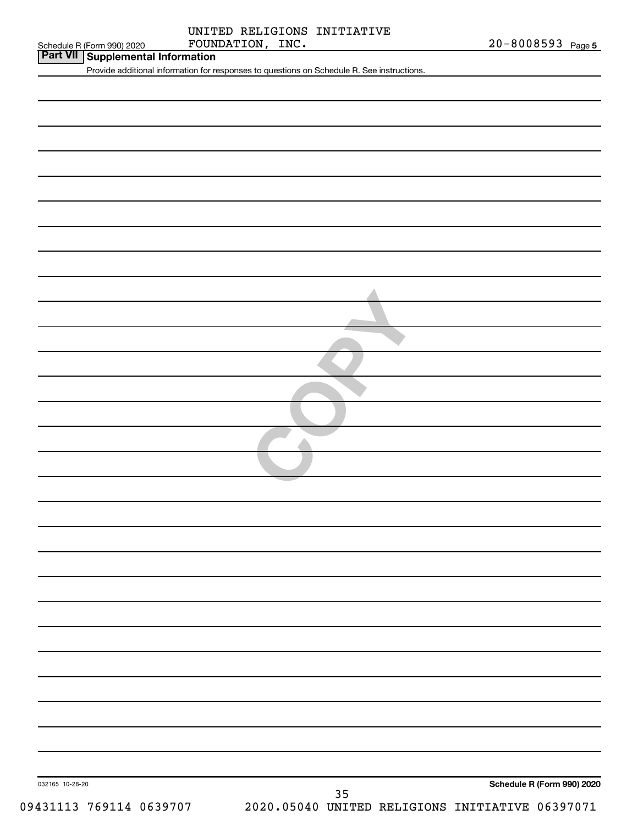|                            | UNITED RELIGIONS INITIATIVE |                       |
|----------------------------|-----------------------------|-----------------------|
| Schedule R (Form 990) 2020 | FOUNDATION,<br>INC.         | $20 - 8008593$ Page 5 |

| Schedule R (Form 990) 2020 |  |  |
|----------------------------|--|--|
|                            |  |  |

# **Part VII Supplemental Information**

Provide additional information for responses to questions on Schedule R. See instructions.

| 032165 10-28-20         | Schedule R (Form 990) 2020<br>$35\,$            |
|-------------------------|-------------------------------------------------|
| 09431113 769114 0639707 | 2020.05040 UNITED RELIGIONS INITIATIVE 06397071 |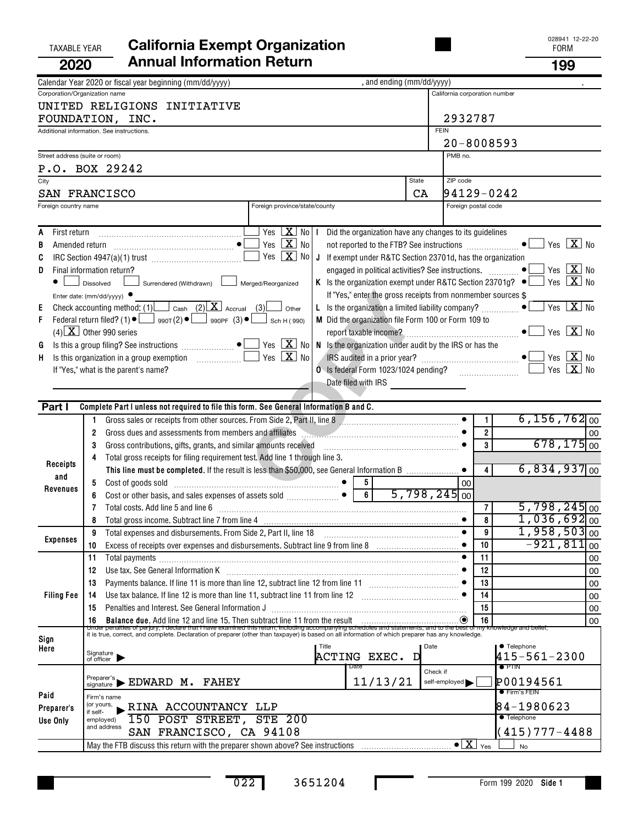## TAXABLE YEAR **California Exempt Organization California Exempt Organization 2020 Annual Information Return 199**

| ∠∪∠∪                 |                                                                                                                                                                                                                                      |             |                                                       | טט ו                                                                                |    |
|----------------------|--------------------------------------------------------------------------------------------------------------------------------------------------------------------------------------------------------------------------------------|-------------|-------------------------------------------------------|-------------------------------------------------------------------------------------|----|
|                      | , and ending (mm/dd/yyyy)<br>Calendar Year 2020 or fiscal year beginning (mm/dd/yyyy)                                                                                                                                                |             |                                                       |                                                                                     |    |
|                      | Corporation/Organization name                                                                                                                                                                                                        |             | California corporation number                         |                                                                                     |    |
|                      | UNITED RELIGIONS INITIATIVE<br>FOUNDATION, INC.                                                                                                                                                                                      |             | 2932787                                               |                                                                                     |    |
|                      | Additional information. See instructions.                                                                                                                                                                                            | <b>FEIN</b> |                                                       |                                                                                     |    |
|                      |                                                                                                                                                                                                                                      |             | 20-8008593                                            |                                                                                     |    |
|                      | Street address (suite or room)                                                                                                                                                                                                       |             | PMB no.                                               |                                                                                     |    |
|                      | P.O. BOX 29242                                                                                                                                                                                                                       |             |                                                       |                                                                                     |    |
| City                 | State                                                                                                                                                                                                                                |             | ZIP code                                              |                                                                                     |    |
|                      | SAN FRANCISCO                                                                                                                                                                                                                        | CA          | 94129-0242                                            |                                                                                     |    |
| Foreign country name | Foreign province/state/county                                                                                                                                                                                                        |             | Foreign postal code                                   |                                                                                     |    |
|                      |                                                                                                                                                                                                                                      |             |                                                       |                                                                                     |    |
| First return<br>A    | Yes $X$ No I<br>Did the organization have any changes to its guidelines                                                                                                                                                              |             |                                                       |                                                                                     |    |
| B                    | Yes $X$ No                                                                                                                                                                                                                           |             |                                                       | Yes $X$ No                                                                          |    |
| C                    | Yes $X$ No<br>J If exempt under R&TC Section 23701d, has the organization                                                                                                                                                            |             |                                                       |                                                                                     |    |
| D                    | engaged in political activities? See instructions. $\Box$ Yes $\boxed{\mathbf{X}}$ No<br>Final information return?                                                                                                                   |             |                                                       |                                                                                     |    |
|                      | K Is the organization exempt under R&TC Section 23701g? $\bullet$ $\Box$ Yes $\boxed{\mathbf{X}}$ No<br>Surrendered (Withdrawn)<br>Merged/Reorganized<br>Dissolved                                                                   |             |                                                       |                                                                                     |    |
|                      | If "Yes," enter the gross receipts from nonmember sources \$<br>Enter date: (mm/dd/yyyy) $\bullet$                                                                                                                                   |             |                                                       |                                                                                     |    |
| Е                    | Check accounting method: (1) $\Box$ Cash (2) $\Box$ Accrual (3) other<br>L Is the organization a limited liability company?                                                                                                          |             |                                                       | $\bullet$ $\sqrt{Y_{\text{ES}}\left[\begin{array}{c} X \\ X \end{array}\right]}$ No |    |
| F                    | Federal return filed? (1) $\bullet$ $\Box$ 990T(2) $\bullet$ $\Box$ 990PF (3) $\bullet$ $\Box$ Sch H(990)<br>M Did the organization file Form 100 or Form 109 to                                                                     |             |                                                       |                                                                                     |    |
|                      | $(4)$ X Other 990 series                                                                                                                                                                                                             |             |                                                       |                                                                                     |    |
| G                    | Is this a group filing? See instructions $\overline{\cdots}$ $\bullet$ $\overline{\cdots}$ Yes $\boxed{\mathbf{X}}$ No   N Is the organization under audit by the IRS or has the                                                     |             |                                                       |                                                                                     |    |
| H.                   | Yes $\boxed{\mathbf{X}}$ No                                                                                                                                                                                                          |             |                                                       |                                                                                     |    |
|                      | If "Yes," what is the parent's name?                                                                                                                                                                                                 |             |                                                       | Yes $X$ No                                                                          |    |
|                      | Date filed with IRS                                                                                                                                                                                                                  |             |                                                       |                                                                                     |    |
| Part I               | Complete Part I unless not required to file this form. See General Information B and C.                                                                                                                                              |             |                                                       |                                                                                     |    |
|                      | Gross sales or receipts from other sources. From Side 2, Part II, line 8                                                                                                                                                             |             | 1                                                     | $6,156,762]$ <sub>00</sub>                                                          |    |
|                      | Gross dues and assessments from members and affiliates <b>Constanting Constanting Constanting O</b><br>2                                                                                                                             |             | $\overline{\mathbf{2}}$                               |                                                                                     | 00 |
|                      | Gross contributions, gifts, grants, and similar amounts received<br>3                                                                                                                                                                |             | $\overline{3}$                                        | $678, 175$ <sub>00</sub>                                                            |    |
|                      | Total gross receipts for filing requirement test. Add line 1 through line 3.<br>4                                                                                                                                                    |             |                                                       |                                                                                     |    |
| Receipts             |                                                                                                                                                                                                                                      |             | $\vert$                                               | $6,834,937$ <sub>00</sub>                                                           |    |
| and                  | 5                                                                                                                                                                                                                                    |             | 00                                                    |                                                                                     |    |
| Revenues             | $\overline{6}$<br>$5,798,245$ <sub>00</sub><br>6                                                                                                                                                                                     |             |                                                       |                                                                                     |    |
|                      | Total costs. Add line 5 and line 6 [11] manufacture contracts and line 6 [11] manufacture contracts and line 6                                                                                                                       |             | $\overline{7}$                                        | $5,798,245$ <sub>00</sub>                                                           |    |
|                      |                                                                                                                                                                                                                                      |             | 8                                                     | $1,036,692]$ <sub>00</sub>                                                          |    |
| Expenses             | Total expenses and disbursements. From Side 2, Part II, line 18<br>9                                                                                                                                                                 |             | 9<br>$\bullet$                                        | $1,958,503$ <sub>00</sub>                                                           |    |
|                      | 10                                                                                                                                                                                                                                   |             | 10                                                    | $-921,811$                                                                          | 00 |
|                      | Total payments [111] continuum contract and continuum contract and contract and continuum contract and contract and contract and contract and contract and contract and contract and contract and contract and contract and co<br>11 |             | 11                                                    |                                                                                     | 00 |
|                      | Use tax. See General Information K [111] Martin Martin Martin Martin Martin Martin Martin Martin Martin Martin M<br>12                                                                                                               |             | 12                                                    |                                                                                     | 00 |
|                      | 13                                                                                                                                                                                                                                   |             | 13                                                    |                                                                                     | 00 |
| <b>Filing Fee</b>    | Use tax balance. If line 12 is more than line 11, subtract line 11 from line 12<br>14                                                                                                                                                |             | 14                                                    |                                                                                     | 00 |
|                      | 15                                                                                                                                                                                                                                   |             | 15                                                    |                                                                                     | 00 |
|                      | Balance due. Add line 12 and line 15. Then subtract line 11 from the result<br>16<br>Under penalties of perjury, I declare that I have examined this return, including accompanying schedules and state                              |             | 16<br>is, and to the best of my knowledge and belief, |                                                                                     | 00 |
| Sign                 | it is true, correct, and complete. Declaration of preparer (other than taxpayer) is based on all information of which preparer has any knowledge.                                                                                    |             |                                                       |                                                                                     |    |
| Here                 | Title<br>Signature<br>of officer<br>ACTING EXEC. D                                                                                                                                                                                   | Date        |                                                       | ● Telephone<br> 415-561-2300                                                        |    |
|                      | Date                                                                                                                                                                                                                                 |             |                                                       | $\bullet$ PTIN                                                                      |    |
|                      | Preparer's EDWARD M. FAHEY<br>11/13/21                                                                                                                                                                                               | Check if    | self-employed                                         | P00194561                                                                           |    |
| Paid                 | Firm's name                                                                                                                                                                                                                          |             |                                                       | <b>•</b> Firm's FEIN                                                                |    |
| Preparer's           | (or yours,<br>RINA ACCOUNTANCY LLP                                                                                                                                                                                                   |             |                                                       | 84-1980623                                                                          |    |
| Use Only             | if self-<br>150 POST STREET, STE 200<br>employed)                                                                                                                                                                                    |             |                                                       | <b>Telephone</b>                                                                    |    |
|                      | and address<br>SAN FRANCISCO, CA 94108                                                                                                                                                                                               |             |                                                       | (415)777-4488                                                                       |    |
|                      | May the FTB discuss this return with the preparer shown above? See instructions $\boxed{\ldots}$ $\ldots$ $\ldots$ $\ldots$ $\ldots$ $\boxed{\textbf{X}}$                                                                            |             | Yes                                                   | <b>No</b>                                                                           |    |

L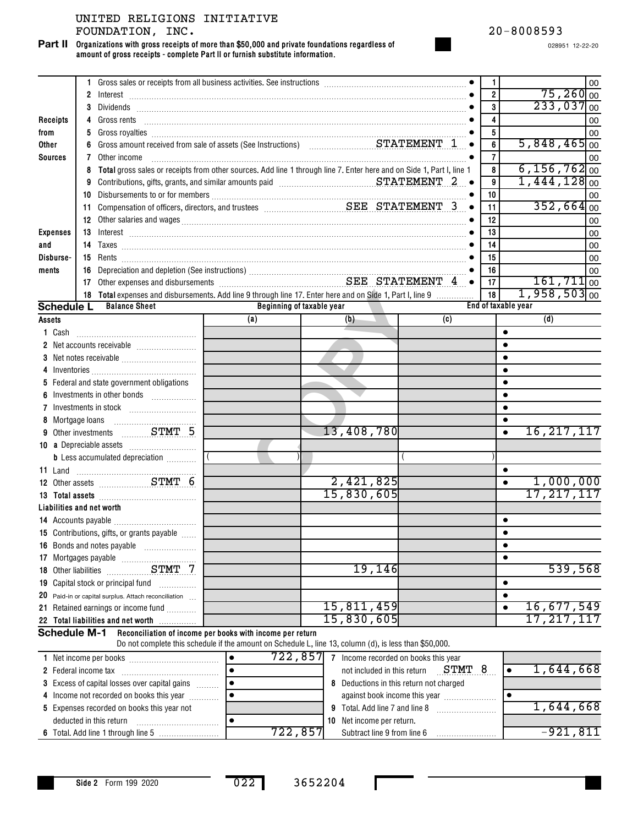#### UNITED RELIGIONS INITIATIVE FOUNDATION, INC. 20-8008593

**Organizations with gross receipts of more than \$50,000 and private foundations regardless of amount of gross receipts - complete Part II or furnish substitute information. Part II**

028951 12-22-20

|                                            |                                        | Gross sales or receipts from all business activities. See instructions [111] [12] content content of the sales or receipts from all business activities. See instructions [11] [12] $\alpha$                                                                                                                                                                                                                                     |                                                                                                                                                                                                                                                                                                                                                                                                                                               |                                       |                                         |           | 1                         | 00                        |
|--------------------------------------------|----------------------------------------|----------------------------------------------------------------------------------------------------------------------------------------------------------------------------------------------------------------------------------------------------------------------------------------------------------------------------------------------------------------------------------------------------------------------------------|-----------------------------------------------------------------------------------------------------------------------------------------------------------------------------------------------------------------------------------------------------------------------------------------------------------------------------------------------------------------------------------------------------------------------------------------------|---------------------------------------|-----------------------------------------|-----------|---------------------------|---------------------------|
|                                            | $\mathbf{2}$                           |                                                                                                                                                                                                                                                                                                                                                                                                                                  |                                                                                                                                                                                                                                                                                                                                                                                                                                               |                                       |                                         |           | $\overline{\mathbf{2}}$   | $75,260$ <sub>00</sub>    |
|                                            | 3                                      |                                                                                                                                                                                                                                                                                                                                                                                                                                  |                                                                                                                                                                                                                                                                                                                                                                                                                                               |                                       |                                         |           | 3                         | $233,037$ <sub>00</sub>   |
| Receipts                                   | 4                                      |                                                                                                                                                                                                                                                                                                                                                                                                                                  |                                                                                                                                                                                                                                                                                                                                                                                                                                               |                                       |                                         |           |                           | 00                        |
| from                                       | 5                                      |                                                                                                                                                                                                                                                                                                                                                                                                                                  |                                                                                                                                                                                                                                                                                                                                                                                                                                               |                                       |                                         |           | 5                         | 00                        |
| <b>Other</b>                               | 6                                      | Gross amount received from sale of assets (See Instructions) Materian Materian STATEMENT 1                                                                                                                                                                                                                                                                                                                                       |                                                                                                                                                                                                                                                                                                                                                                                                                                               |                                       |                                         |           | 6                         | $5,848,465$ <sub>00</sub> |
| <b>Sources</b>                             | 7                                      | Other income                                                                                                                                                                                                                                                                                                                                                                                                                     |                                                                                                                                                                                                                                                                                                                                                                                                                                               |                                       |                                         |           | $\overline{7}$            | 00                        |
|                                            | 8                                      | Total gross sales or receipts from other sources. Add line 1 through line 7. Enter here and on Side 1, Part I, line 1                                                                                                                                                                                                                                                                                                            |                                                                                                                                                                                                                                                                                                                                                                                                                                               |                                       |                                         |           | 8                         | $6,156,762$ <sub>00</sub> |
|                                            | 9                                      | Contributions, gifts, grants, and similar amounts paid material material contributions, gifts, grants, and similar amounts paid material contract controller and $\bullet$                                                                                                                                                                                                                                                       |                                                                                                                                                                                                                                                                                                                                                                                                                                               |                                       |                                         |           | 9                         | $1,444,128$ <sub>00</sub> |
|                                            |                                        | 10 Disbursements to or for members<br>11 Compensation of officers, directors, and trustees<br>21 Compensation of officers, directors, and trustees<br>21 Compensation of officers, directors, and trustees<br>21 Compensation of the S                                                                                                                                                                                           |                                                                                                                                                                                                                                                                                                                                                                                                                                               |                                       |                                         |           | 10                        | 00                        |
|                                            |                                        |                                                                                                                                                                                                                                                                                                                                                                                                                                  |                                                                                                                                                                                                                                                                                                                                                                                                                                               |                                       |                                         | $\bullet$ | 11                        | $352,664$ <sub>00</sub>   |
|                                            |                                        | 12 Other salaries and wages <b>construction and construction</b> and wages <b>construction</b> and and analyzing <b>construction</b> and analyzing <b>construction</b> and analyzing <b>construction</b> and analyzing <b>construction</b> and analyzing <b>co</b>                                                                                                                                                               |                                                                                                                                                                                                                                                                                                                                                                                                                                               |                                       |                                         |           | 12                        | 00                        |
| <b>Expenses</b>                            | 13                                     |                                                                                                                                                                                                                                                                                                                                                                                                                                  | ${\small \rule{0.0cm}{0.0cm}} {\small \rule{0.0cm}{0.0cm}} {\small \rule{0.0cm}{0.0cm}} {\small \rule{0.0cm}{0.0cm}} {\small \rule{0.0cm}{0.0cm}} {\small \rule{0.0cm}{0.0cm}} {\small \rule{0.0cm}{0.0cm}} {\small \rule{0.0cm}{0.0cm}} {\small \rule{0.0cm}{0.0cm}} {\small \rule{0.0cm}{0.0cm}} {\small \rule{0.0cm}{0.0cm}} {\small \rule{0.0cm}{0.0cm}} {\small \rule{0.0cm}{0.0cm}} {\small \rule{0.0cm}{0.0cm}} {\small \rule{0.0cm}{$ |                                       |                                         |           | 13                        | 00                        |
| and                                        | 14                                     |                                                                                                                                                                                                                                                                                                                                                                                                                                  |                                                                                                                                                                                                                                                                                                                                                                                                                                               |                                       |                                         |           | 14                        | 00                        |
| Disburse-                                  | 15                                     |                                                                                                                                                                                                                                                                                                                                                                                                                                  |                                                                                                                                                                                                                                                                                                                                                                                                                                               |                                       |                                         |           | 15                        | 00                        |
| ments                                      | 16                                     |                                                                                                                                                                                                                                                                                                                                                                                                                                  |                                                                                                                                                                                                                                                                                                                                                                                                                                               |                                       |                                         |           | 16                        | 00                        |
|                                            |                                        |                                                                                                                                                                                                                                                                                                                                                                                                                                  |                                                                                                                                                                                                                                                                                                                                                                                                                                               |                                       |                                         | $\bullet$ | 17                        | $161,711$ <sub>00</sub>   |
|                                            |                                        | 18 Total expenses and disbursements. Add line 9 through line 17. Enter here and on Side 1, Part I, line 9                                                                                                                                                                                                                                                                                                                        |                                                                                                                                                                                                                                                                                                                                                                                                                                               |                                       |                                         |           | 18<br>End of taxable year | $1,958,503$ <sub>00</sub> |
| <b>Schedule L</b>                          |                                        | <b>Balance Sheet</b>                                                                                                                                                                                                                                                                                                                                                                                                             |                                                                                                                                                                                                                                                                                                                                                                                                                                               | Beginning of taxable year             |                                         |           |                           |                           |
| Assets                                     |                                        |                                                                                                                                                                                                                                                                                                                                                                                                                                  | (a)                                                                                                                                                                                                                                                                                                                                                                                                                                           |                                       | (b)                                     | (c)       |                           | (d)                       |
| 1 Cash                                     |                                        |                                                                                                                                                                                                                                                                                                                                                                                                                                  |                                                                                                                                                                                                                                                                                                                                                                                                                                               |                                       |                                         |           | $\bullet$<br>$\bullet$    |                           |
|                                            |                                        | Net accounts receivable                                                                                                                                                                                                                                                                                                                                                                                                          |                                                                                                                                                                                                                                                                                                                                                                                                                                               |                                       |                                         |           | $\bullet$                 |                           |
| 3                                          |                                        |                                                                                                                                                                                                                                                                                                                                                                                                                                  |                                                                                                                                                                                                                                                                                                                                                                                                                                               |                                       |                                         |           | $\bullet$                 |                           |
|                                            |                                        | $Inventories \begin{picture}(1,0) \put(0,0){\vector(1,0){100}} \put(0,0){\vector(1,0){100}} \put(0,0){\vector(1,0){100}} \put(0,0){\vector(1,0){100}} \put(0,0){\vector(1,0){100}} \put(0,0){\vector(1,0){100}} \put(0,0){\vector(1,0){100}} \put(0,0){\vector(1,0){100}} \put(0,0){\vector(1,0){100}} \put(0,0){\vector(1,0){100}} \put(0,0){\vector(1,0){100}} \put(0,0){\vector($<br>Federal and state government obligations |                                                                                                                                                                                                                                                                                                                                                                                                                                               |                                       |                                         |           | $\bullet$                 |                           |
| 5<br>6                                     |                                        | Investments in other bonds                                                                                                                                                                                                                                                                                                                                                                                                       |                                                                                                                                                                                                                                                                                                                                                                                                                                               |                                       |                                         |           | $\bullet$                 |                           |
| 7                                          |                                        |                                                                                                                                                                                                                                                                                                                                                                                                                                  |                                                                                                                                                                                                                                                                                                                                                                                                                                               |                                       |                                         |           | $\bullet$                 |                           |
|                                            |                                        |                                                                                                                                                                                                                                                                                                                                                                                                                                  |                                                                                                                                                                                                                                                                                                                                                                                                                                               |                                       |                                         |           | $\bullet$                 |                           |
| 8<br>9                                     |                                        | Other investments __________ STMT 5                                                                                                                                                                                                                                                                                                                                                                                              |                                                                                                                                                                                                                                                                                                                                                                                                                                               |                                       | 13,408,780                              |           | $\bullet$                 | 16, 217, 117              |
|                                            |                                        |                                                                                                                                                                                                                                                                                                                                                                                                                                  |                                                                                                                                                                                                                                                                                                                                                                                                                                               |                                       |                                         |           |                           |                           |
|                                            |                                        | <b>b</b> Less accumulated depreciation <i></i>                                                                                                                                                                                                                                                                                                                                                                                   |                                                                                                                                                                                                                                                                                                                                                                                                                                               |                                       |                                         |           |                           |                           |
| 11 Land                                    |                                        |                                                                                                                                                                                                                                                                                                                                                                                                                                  |                                                                                                                                                                                                                                                                                                                                                                                                                                               |                                       |                                         |           | $\bullet$                 |                           |
|                                            |                                        | 12 Other assets STMT 6                                                                                                                                                                                                                                                                                                                                                                                                           |                                                                                                                                                                                                                                                                                                                                                                                                                                               |                                       | 2,421,825                               |           |                           | 1,000,000                 |
|                                            |                                        |                                                                                                                                                                                                                                                                                                                                                                                                                                  |                                                                                                                                                                                                                                                                                                                                                                                                                                               |                                       | 15,830,605                              |           |                           | 17, 217, 117              |
| Liabilities and net worth                  |                                        |                                                                                                                                                                                                                                                                                                                                                                                                                                  |                                                                                                                                                                                                                                                                                                                                                                                                                                               |                                       |                                         |           |                           |                           |
|                                            |                                        |                                                                                                                                                                                                                                                                                                                                                                                                                                  |                                                                                                                                                                                                                                                                                                                                                                                                                                               |                                       |                                         |           | $\bullet$                 |                           |
|                                            |                                        | 15 Contributions, gifts, or grants payable                                                                                                                                                                                                                                                                                                                                                                                       |                                                                                                                                                                                                                                                                                                                                                                                                                                               |                                       |                                         |           |                           |                           |
|                                            |                                        | 16 Bonds and notes payable                                                                                                                                                                                                                                                                                                                                                                                                       |                                                                                                                                                                                                                                                                                                                                                                                                                                               |                                       |                                         |           |                           |                           |
|                                            |                                        |                                                                                                                                                                                                                                                                                                                                                                                                                                  |                                                                                                                                                                                                                                                                                                                                                                                                                                               |                                       |                                         |           |                           |                           |
| 18                                         |                                        |                                                                                                                                                                                                                                                                                                                                                                                                                                  |                                                                                                                                                                                                                                                                                                                                                                                                                                               |                                       | 19,146                                  |           |                           | 539,568                   |
| 19                                         |                                        | Capital stock or principal fund                                                                                                                                                                                                                                                                                                                                                                                                  |                                                                                                                                                                                                                                                                                                                                                                                                                                               |                                       |                                         |           | $\bullet$                 |                           |
| 20                                         |                                        | Paid-in or capital surplus. Attach reconciliation                                                                                                                                                                                                                                                                                                                                                                                |                                                                                                                                                                                                                                                                                                                                                                                                                                               |                                       |                                         |           | $\bullet$                 |                           |
| 21                                         |                                        | Retained earnings or income fund                                                                                                                                                                                                                                                                                                                                                                                                 |                                                                                                                                                                                                                                                                                                                                                                                                                                               |                                       | 15,811,459                              |           | $\bullet$                 | 16,677,549                |
|                                            |                                        | 22 Total liabilities and net worth                                                                                                                                                                                                                                                                                                                                                                                               |                                                                                                                                                                                                                                                                                                                                                                                                                                               |                                       | 15,830,605                              |           |                           | 17, 217, 117              |
|                                            |                                        | Schedule M-1 Reconciliation of income per books with income per return<br>Do not complete this schedule if the amount on Schedule L, line 13, column (d), is less than \$50,000.                                                                                                                                                                                                                                                 |                                                                                                                                                                                                                                                                                                                                                                                                                                               |                                       |                                         |           |                           |                           |
|                                            |                                        |                                                                                                                                                                                                                                                                                                                                                                                                                                  | $\bullet$                                                                                                                                                                                                                                                                                                                                                                                                                                     | 722,857                               | 7 Income recorded on books this year    |           |                           |                           |
|                                            |                                        |                                                                                                                                                                                                                                                                                                                                                                                                                                  |                                                                                                                                                                                                                                                                                                                                                                                                                                               | STMT 8<br>not included in this return |                                         | $\bullet$ | 1,644,668                 |                           |
|                                            |                                        | 3 Excess of capital losses over capital gains                                                                                                                                                                                                                                                                                                                                                                                    |                                                                                                                                                                                                                                                                                                                                                                                                                                               |                                       | 8 Deductions in this return not charged |           |                           |                           |
|                                            | Income not recorded on books this year |                                                                                                                                                                                                                                                                                                                                                                                                                                  |                                                                                                                                                                                                                                                                                                                                                                                                                                               |                                       | against book income this year           |           |                           |                           |
| 5 Expenses recorded on books this year not |                                        |                                                                                                                                                                                                                                                                                                                                                                                                                                  |                                                                                                                                                                                                                                                                                                                                                                                                                                               |                                       | 9 Total. Add line 7 and line 8          |           |                           | 1,644,668                 |

•

022 3652204

**9** Total. Add line 7 and line 8 **10** Net income per return.

Subtract line 9 from line 6 722,857 -921,811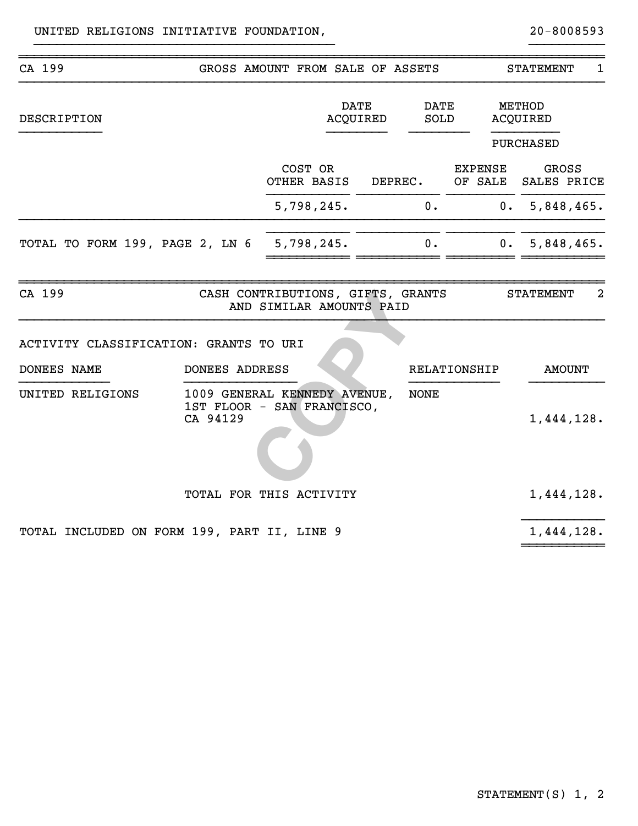| CA 199                                      |                | GROSS AMOUNT FROM SALE OF ASSETS                              |  |                     |                           | $\mathbf{1}$<br><b>STATEMENT</b>   |  |
|---------------------------------------------|----------------|---------------------------------------------------------------|--|---------------------|---------------------------|------------------------------------|--|
| DESCRIPTION                                 |                | <b>DATE</b><br>ACQUIRED                                       |  | <b>DATE</b><br>SOLD |                           | <b>METHOD</b><br>ACQUIRED          |  |
|                                             |                |                                                               |  |                     |                           | <b>PURCHASED</b>                   |  |
|                                             |                | COST OR<br>OTHER BASIS DEPREC.                                |  |                     | <b>EXPENSE</b><br>OF SALE | GROSS<br>SALES PRICE               |  |
|                                             |                | 5,798,245.                                                    |  | 0.                  |                           | 0.5,848,465.                       |  |
| TOTAL TO FORM 199, PAGE 2, LN 6 5,798,245.  |                |                                                               |  | 0.                  |                           | 0.5,848,465.                       |  |
| CA 199                                      |                | CASH CONTRIBUTIONS, GIFTS, GRANTS<br>AND SIMILAR AMOUNTS PAID |  |                     |                           | $\overline{a}$<br><b>STATEMENT</b> |  |
| ACTIVITY CLASSIFICATION: GRANTS TO URI      |                |                                                               |  |                     |                           |                                    |  |
| DONEES NAME                                 | DONEES ADDRESS |                                                               |  | RELATIONSHIP        |                           | <b>AMOUNT</b>                      |  |
| UNITED RELIGIONS                            | CA 94129       | 1009 GENERAL KENNEDY AVENUE,<br>1ST FLOOR - SAN FRANCISCO,    |  | <b>NONE</b>         |                           | 1,444,128.                         |  |
|                                             |                | TOTAL FOR THIS ACTIVITY                                       |  |                     |                           | 1,444,128.                         |  |
| TOTAL INCLUDED ON FORM 199, PART II, LINE 9 |                |                                                               |  |                     |                           | 1,444,128.                         |  |

}}}}}}}}}}}}}}}}}}}}}}}}}}}}}}}}}}}}}}}} }}}}}}}}}}

~~~~~~~~~~~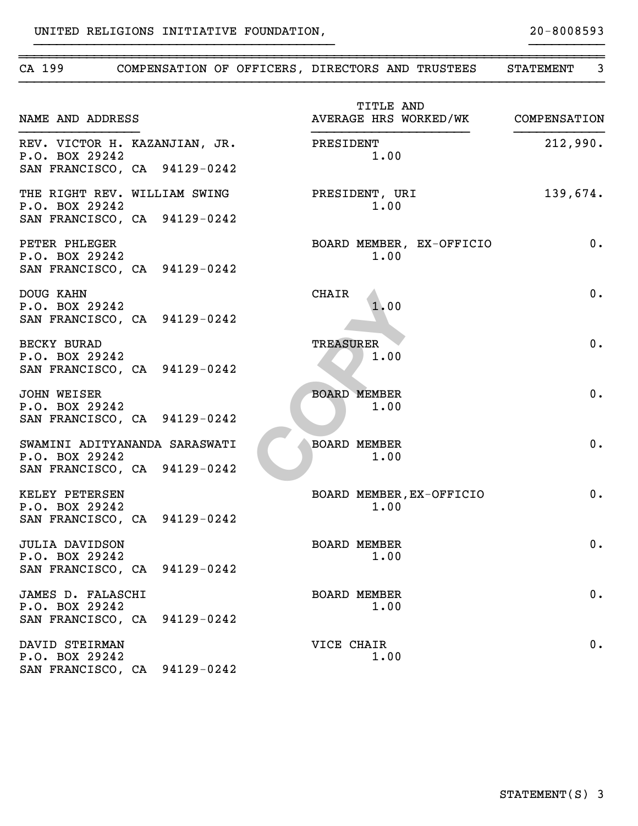UNITED RELIGIONS INITIATIVE FOUNDATION,  $20-8008593$ 

| CA 199                                  |                                                               | COMPENSATION OF OFFICERS, DIRECTORS AND TRUSTEES | $\mathbf{3}$<br><b>STATEMENT</b> |
|-----------------------------------------|---------------------------------------------------------------|--------------------------------------------------|----------------------------------|
| NAME AND ADDRESS                        |                                                               | TITLE AND<br>AVERAGE HRS WORKED/WK               | COMPENSATION                     |
| P.O. BOX 29242                          | REV. VICTOR H. KAZANJIAN, JR.<br>SAN FRANCISCO, CA 94129-0242 | PRESIDENT<br>1.00                                | 212,990.                         |
| P.O. BOX 29242                          | THE RIGHT REV. WILLIAM SWING<br>SAN FRANCISCO, CA 94129-0242  | PRESIDENT, URI<br>1.00                           | 139,674.                         |
| PETER PHLEGER<br>P.O. BOX 29242         | SAN FRANCISCO, CA 94129-0242                                  | BOARD MEMBER, EX-OFFICIO<br>1.00                 | 0.                               |
| DOUG KAHN<br>P.O. BOX 29242             | SAN FRANCISCO, CA 94129-0242                                  | <b>CHAIR</b><br>1.00                             | 0.                               |
| <b>BECKY BURAD</b><br>P.O. BOX 29242    | SAN FRANCISCO, CA 94129-0242                                  | <b>TREASURER</b><br>1.00                         | 0.                               |
| <b>JOHN WEISER</b><br>P.O. BOX 29242    | SAN FRANCISCO, CA 94129-0242                                  | <b>BOARD MEMBER</b><br>1.00                      | 0.                               |
| P.O. BOX 29242                          | SWAMINI ADITYANANDA SARASWATI<br>SAN FRANCISCO, CA 94129-0242 | <b>BOARD MEMBER</b><br>1.00                      | 0.                               |
| KELEY PETERSEN<br>P.O. BOX 29242        | SAN FRANCISCO, CA 94129-0242                                  | BOARD MEMBER, EX-OFFICIO<br>1.00                 | 0.                               |
| <b>JULIA DAVIDSON</b><br>P.O. BOX 29242 | SAN FRANCISCO, CA 94129-0242                                  | <b>BOARD MEMBER</b><br>1.00                      | 0.                               |
| JAMES D. FALASCHI<br>P.O. BOX 29242     | SAN FRANCISCO, CA 94129-0242                                  | <b>BOARD MEMBER</b><br>1.00                      | 0.                               |
| DAVID STEIRMAN<br>P.O. BOX 29242        | SAN FRANCISCO, CA 94129-0242                                  | VICE CHAIR<br>1.00                               | 0.                               |

~~~~~~~~~~~~~~~~~~~~~~~~~~~~~~~~~~~~~~~~~~~~~~~~~~~~~~~~~~~~~~~~~~~~~~~~~~~~~~

}}}}}}}}}}}}}}}}}}}}}}}}}}}}}}}}}}}}}}}} }}}}}}}}}}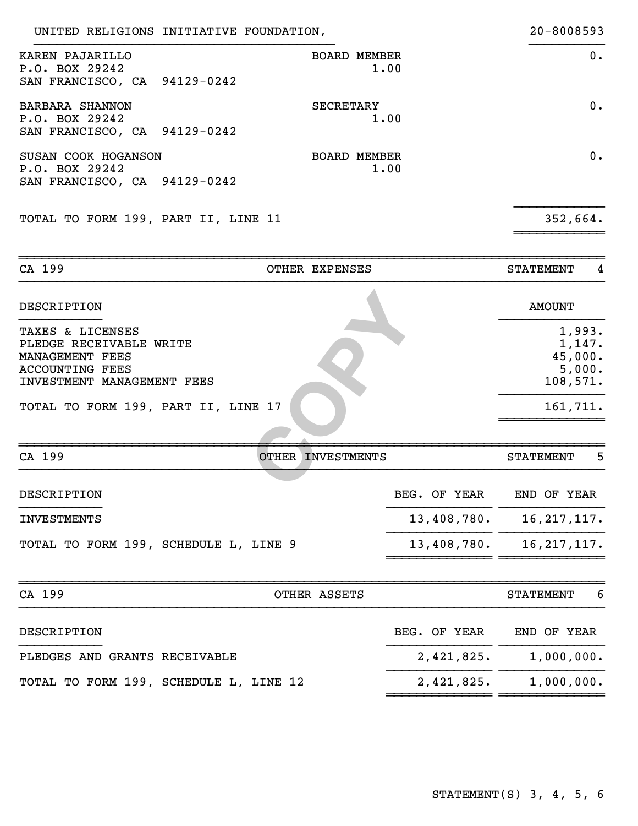| UNITED RELIGIONS INITIATIVE FOUNDATION,                                                                                |                                                               | $20 - 8008593$        |
|------------------------------------------------------------------------------------------------------------------------|---------------------------------------------------------------|-----------------------|
| KAREN PAJARILLO<br><b>BOARD MEMBER</b><br>P.O. BOX 29242<br>SAN FRANCISCO, CA 94129-0242                               | 1.00                                                          | $0$ .                 |
| <b>BARBARA SHANNON</b><br>SECRETARY<br>P.O. BOX 29242<br>1.00<br>SAN FRANCISCO, CA 94129-0242                          | 0.                                                            |                       |
| SUSAN COOK HOGANSON<br><b>BOARD MEMBER</b><br>P.O. BOX 29242<br>SAN FRANCISCO, CA 94129-0242                           | 1.00                                                          | 0.                    |
| TOTAL TO FORM 199, PART II, LINE 11                                                                                    |                                                               | 352,664.              |
| CA 199<br>OTHER EXPENSES                                                                                               |                                                               | <b>STATEMENT</b><br>4 |
| DESCRIPTION                                                                                                            |                                                               | <b>AMOUNT</b>         |
| TAXES & LICENSES<br>PLEDGE RECEIVABLE WRITE<br>MANAGEMENT FEES<br><b>ACCOUNTING FEES</b><br>INVESTMENT MANAGEMENT FEES | 1,993.<br>1,147.<br>45,000.<br>5,000.<br>108,571.<br>161,711. |                       |
| TOTAL TO FORM 199, PART II, LINE 17                                                                                    |                                                               |                       |
| CA 199<br>OTHER INVESTMENTS                                                                                            |                                                               | 5<br><b>STATEMENT</b> |
| DESCRIPTION                                                                                                            | BEG. OF YEAR                                                  | END OF YEAR           |
| <b>INVESTMENTS</b>                                                                                                     | 13,408,780.                                                   | 16, 217, 117.         |
| TOTAL TO FORM 199, SCHEDULE L, LINE 9                                                                                  | 13,408,780.                                                   | 16, 217, 117.         |
| CA 199<br>OTHER ASSETS                                                                                                 |                                                               | 6<br><b>STATEMENT</b> |
| DESCRIPTION                                                                                                            | BEG. OF YEAR                                                  | END OF YEAR           |
| PLEDGES AND GRANTS RECEIVABLE                                                                                          | 2,421,825.                                                    | 1,000,000.            |
| TOTAL TO FORM 199, SCHEDULE L, LINE 12                                                                                 | 2,421,825.                                                    | 1,000,000.            |
|                                                                                                                        |                                                               |                       |

STATEMENT(S) 3, 4, 5, 6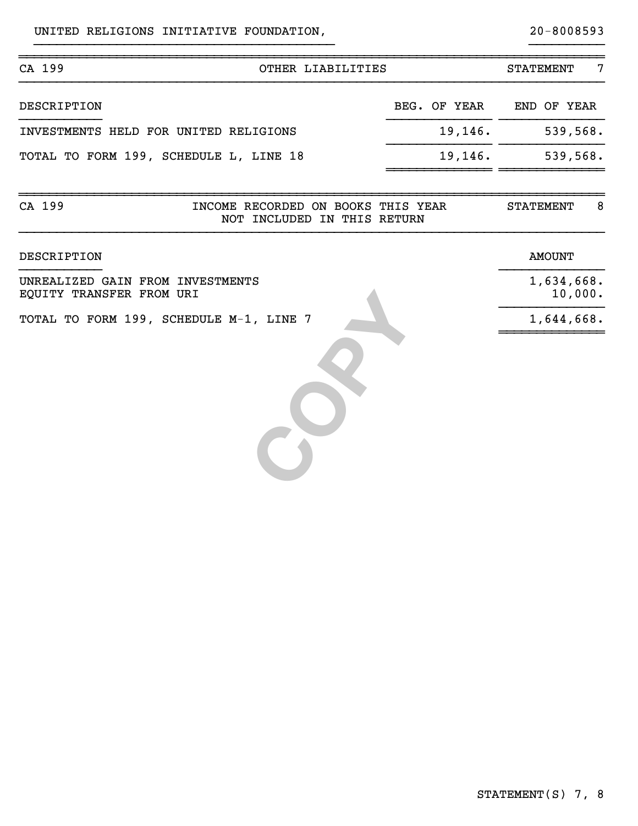| CA 199                                 | OTHER LIABILITIES |              | 7<br><b>STATEMENT</b> |
|----------------------------------------|-------------------|--------------|-----------------------|
| DESCRIPTION                            |                   | BEG. OF YEAR | END OF YEAR           |
| INVESTMENTS HELD FOR UNITED RELIGIONS  |                   | 19, 146.     | 539,568.              |
| TOTAL TO FORM 199, SCHEDULE L, LINE 18 |                   | 19,146.      | 539,568.              |
|                                        |                   |              |                       |

}}}}}}}}}}}}}}}}}}}}}}}}}}}}}}}}}}}}}}}} }}}}}}}}}}

~~~~~~~~~~~~~~~~~~~~~~~~~~~~~~~~~~~~~~~~~~~~~~~~~~~~~~~~~~~~~~~~~~~~~~~~~~~~~~ CA 199 INCOME RECORDED ON BOOKS THIS YEAR STATEMENT 8

| NOT INCLUDED IN THIS RETURN                                  |                       |
|--------------------------------------------------------------|-----------------------|
| DESCRIPTION                                                  | <b>AMOUNT</b>         |
| UNREALIZED GAIN FROM INVESTMENTS<br>EQUITY TRANSFER FROM URI | 1,634,668.<br>10,000. |
| TOTAL TO FORM 199, SCHEDULE M-1, LINE 7                      | 1,644,668.            |
|                                                              |                       |